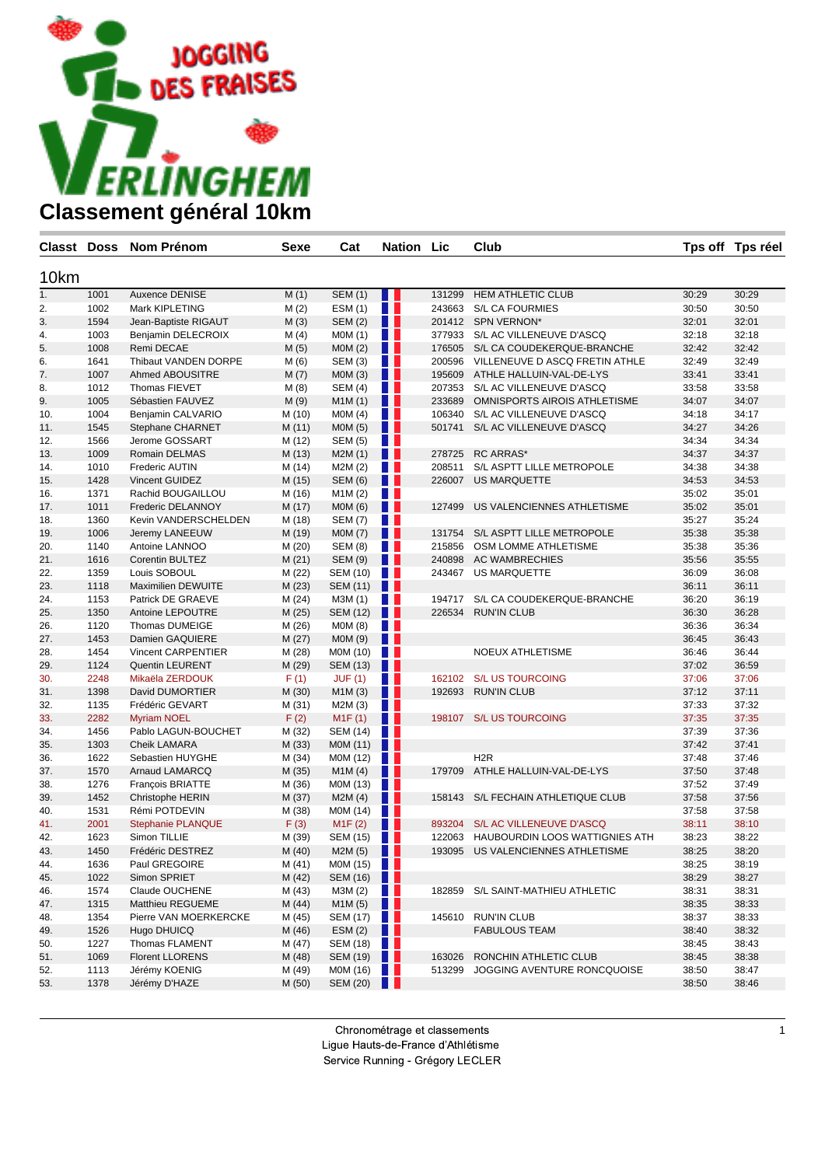

| Classt Doss |      | <b>Nom Prénom</b>         | Sexe   | Cat            | Nation           | Lic    | Club                              | Tps off | Tps réel |
|-------------|------|---------------------------|--------|----------------|------------------|--------|-----------------------------------|---------|----------|
|             |      |                           |        |                |                  |        |                                   |         |          |
| 10km        |      |                           |        |                |                  |        |                                   |         |          |
| 1.          | 1001 | Auxence DENISE            | M(1)   | <b>SEM (1)</b> | Ш                | 131299 | <b>HEM ATHLETIC CLUB</b>          | 30:29   | 30:29    |
| 2.          | 1002 | Mark KIPLETING            | M(2)   | ESM (1)        | H.               | 243663 | <b>S/L CA FOURMIES</b>            | 30:50   | 30:50    |
| 3.          | 1594 | Jean-Baptiste RIGAUT      | M(3)   | <b>SEM (2)</b> | H                |        | 201412 SPN VERNON*                | 32:01   | 32:01    |
| 4.          | 1003 | Benjamin DELECROIX        | M(4)   | <b>MOM (1)</b> | <b>TELESCOPE</b> |        | 377933 S/L AC VILLENEUVE D'ASCQ   | 32:18   | 32:18    |
| 5.          | 1008 | Remi DECAE                | M(5)   | MOM(2)         | n n              |        | 176505 S/L CA COUDEKERQUE-BRANCHE | 32:42   | 32:42    |
| 6.          | 1641 | Thibaut VANDEN DORPE      | M (6)  | SEM (3)        | H H              | 200596 | VILLENEUVE D ASCQ FRETIN ATHLE    | 32:49   | 32:49    |
| 7.          | 1007 | Ahmed ABOUSITRE           | M(7)   | MOM(3)         | H                | 195609 | ATHLE HALLUIN-VAL-DE-LYS          | 33:41   | 33:41    |
| 8.          | 1012 | Thomas FIEVET             | M(8)   | SEM (4)        | n N              | 207353 | S/L AC VILLENEUVE D'ASCQ          | 33:58   | 33:58    |
| 9.          | 1005 | Sébastien FAUVEZ          | M(9)   | M1M(1)         | n n              | 233689 | OMNISPORTS AIROIS ATHLETISME      | 34:07   | 34:07    |
| 10.         | 1004 | Benjamin CALVARIO         | M (10) | MOM(4)         | H                | 106340 | S/L AC VILLENEUVE D'ASCQ          | 34:18   | 34:17    |
| 11.         | 1545 | Stephane CHARNET          | M (11) | MOM(5)         | . .              | 501741 | S/L AC VILLENEUVE D'ASCQ          | 34:27   | 34:26    |
| 12.         | 1566 | Jerome GOSSART            | M (12) | <b>SEM (5)</b> | H.               |        |                                   | 34:34   | 34:34    |
| 13.         | 1009 | Romain DELMAS             | M (13) | M2M(1)         | IJ               | 278725 | <b>RC ARRAS*</b>                  | 34:37   | 34:37    |
| 14.         | 1010 | Frederic AUTIN            | M (14) | M2M (2)        | <b>TELESCOPE</b> | 208511 | S/L ASPTT LILLE METROPOLE         | 34:38   | 34:38    |
| 15.         | 1428 | Vincent GUIDEZ            | M (15) | <b>SEM (6)</b> | Ш                | 226007 | <b>US MARQUETTE</b>               | 34:53   | 34:53    |
| 16.         | 1371 | Rachid BOUGAILLOU         | M (16) | M1M (2)        | n n              |        |                                   | 35:02   | 35:01    |
| 17.         | 1011 | Frederic DELANNOY         | M (17) | MOM(6)         | Ш                | 127499 | US VALENCIENNES ATHLETISME        | 35:02   | 35:01    |
| 18.         | 1360 | Kevin VANDERSCHELDEN      | M (18) | <b>SEM (7)</b> | n p              |        |                                   | 35:27   | 35:24    |
| 19.         | 1006 | Jeremy LANEEUW            | M (19) | MOM(7)         | n n              | 131754 | S/L ASPTT LILLE METROPOLE         | 35:38   | 35:38    |
| 20.         | 1140 | Antoine LANNOO            | M(20)  | <b>SEM (8)</b> | w                | 215856 | OSM LOMME ATHLETISME              | 35:38   | 35:36    |
| 21.         | 1616 | Corentin BULTEZ           | M(21)  | <b>SEM (9)</b> | . .              | 240898 | <b>AC WAMBRECHIES</b>             | 35:56   | 35:55    |
| 22.         | 1359 | Louis SOBOUL              | M (22) | SEM (10)       | n a              | 243467 | US MARQUETTE                      | 36:09   | 36:08    |
| 23.         | 1118 | <b>Maximilien DEWUITE</b> | M (23) | SEM (11)       | H                |        |                                   | 36:11   | 36:11    |
| 24.         | 1153 | Patrick DE GRAEVE         | M (24) | M3M (1)        | <b>TELESCOPE</b> | 194717 | S/L CA COUDEKERQUE-BRANCHE        | 36:20   | 36:19    |
| 25.         | 1350 | Antoine LEPOUTRE          | M (25) | SEM (12)       | Ш                | 226534 | <b>RUN'IN CLUB</b>                | 36:30   | 36:28    |
| 26.         | 1120 | Thomas DUMEIGE            | M (26) | MOM(8)         | H H              |        |                                   | 36:36   | 36:34    |
| 27.         | 1453 | Damien GAQUIERE           | M(27)  | MOM(9)         | n n              |        |                                   | 36:45   | 36:43    |
| 28.         | 1454 | Vincent CARPENTIER        | M (28) | M0M (10)       |                  |        | <b>NOEUX ATHLETISME</b>           | 36:46   | 36:44    |
| 29.         | 1124 | Quentin LEURENT           | M (29) | SEM (13)       | a sa             |        |                                   | 37:02   | 36:59    |
| 30.         | 2248 | Mikaëla ZERDOUK           | F(1)   | JUF(1)         | n II             | 162102 | <b>S/L US TOURCOING</b>           | 37:06   | 37:06    |
| 31.         | 1398 | David DUMORTIER           | M (30) | M1M(3)         | . .              | 192693 | <b>RUN'IN CLUB</b>                | 37:12   | 37:11    |
| 32.         | 1135 | Frédéric GEVART           | M (31) | M2M (3)        | n e s            |        |                                   | 37:33   | 37:32    |
| 33.         | 2282 | <b>Myriam NOEL</b>        | F(2)   | M1F(1)         | H                | 198107 | <b>S/L US TOURCOING</b>           | 37:35   | 37:35    |
| 34.         | 1456 | Pablo LAGUN-BOUCHET       | M (32) | SEM (14)       | H                |        |                                   | 37:39   | 37:36    |
| 35.         | 1303 | <b>Cheik LAMARA</b>       | M (33) | M0M (11)       | w                |        |                                   | 37:42   | 37:41    |
| 36.         | 1622 | Sebastien HUYGHE          | M (34) | M0M (12)       | n p              |        | H <sub>2</sub> R                  | 37:48   | 37:46    |
| 37.         | 1570 | Arnaud LAMARCQ            | M (35) | M1M(4)         | n II             | 179709 | ATHLE HALLUIN-VAL-DE-LYS          | 37:50   | 37:48    |
| 38.         | 1276 | François BRIATTE          | M (36) | MOM(13)        |                  |        |                                   | 37:52   | 37:49    |
| 39.         | 1452 | Christophe HERIN          | M (37) | M2M(4)         | n                | 158143 | S/L FECHAIN ATHLETIQUE CLUB       | 37:58   | 37:56    |
| 40.         | 1531 | Rémi POTDEVIN             | M (38) | M0M (14)       |                  |        |                                   | 37:58   | 37:58    |
| 41.         | 2001 | Stephanie PLANQUE         | F(3)   | M1F(2)         | . .              | 893204 | S/L AC VILLENEUVE D'ASCQ          | 38:11   | 38:10    |
| 42.         | 1623 | Simon TILLIE              | M (39) | SEM (15)       | . .              | 122063 | HAUBOURDIN LOOS WATTIGNIES ATH    | 38:23   | 38:22    |
| 43.         | 1450 | Frédéric DESTREZ          | M (40) | M2M(5)         | . .              | 193095 | US VALENCIENNES ATHLETISME        | 38:25   | 38:20    |
| 44.         | 1636 | Paul GREGOIRE             | M(41)  | MOM $(15)$     |                  |        |                                   | 38:25   | 38:19    |
| 45.         | 1022 | Simon SPRIET              | M (42) | SEM (16)       |                  |        |                                   | 38:29   | 38:27    |
| 46.         | 1574 | Claude OUCHENE            | M (43) | M3M (2)        | H L              | 182859 | S/L SAINT-MATHIEU ATHLETIC        | 38:31   | 38:31    |
| 47.         | 1315 | Matthieu REGUEME          | M (44) | M1M (5)        | ш                |        |                                   | 38:35   | 38:33    |
| 48.         | 1354 | Pierre VAN MOERKERCKE     | M (45) | SEM $(17)$     |                  |        | 145610 RUN'IN CLUB                | 38:37   | 38:33    |
| 49.         | 1526 | Hugo DHUICQ               | M (46) | ESM(2)         | H                |        | <b>FABULOUS TEAM</b>              | 38:40   | 38:32    |
| 50.         | 1227 | Thomas FLAMENT            | M (47) | SEM $(18)$     |                  |        |                                   | 38:45   | 38:43    |
| 51.         | 1069 | <b>Florent LLORENS</b>    | M (48) | SEM (19)       |                  | 163026 | RONCHIN ATHLETIC CLUB             | 38:45   | 38:38    |
| 52.         | 1113 | Jérémy KOENIG             | M (49) | MOM(16)        |                  | 513299 | JOGGING AVENTURE RONCQUOISE       | 38:50   | 38:47    |
| 53.         | 1378 | Jérémy D'HAZE             | M (50) | SEM $(20)$     |                  |        |                                   | 38:50   | 38:46    |
|             |      |                           |        |                |                  |        |                                   |         |          |

Chronométrage et classements

Ligue Hauts-de-France d'Athlétisme

Service Running - Grégory LECLER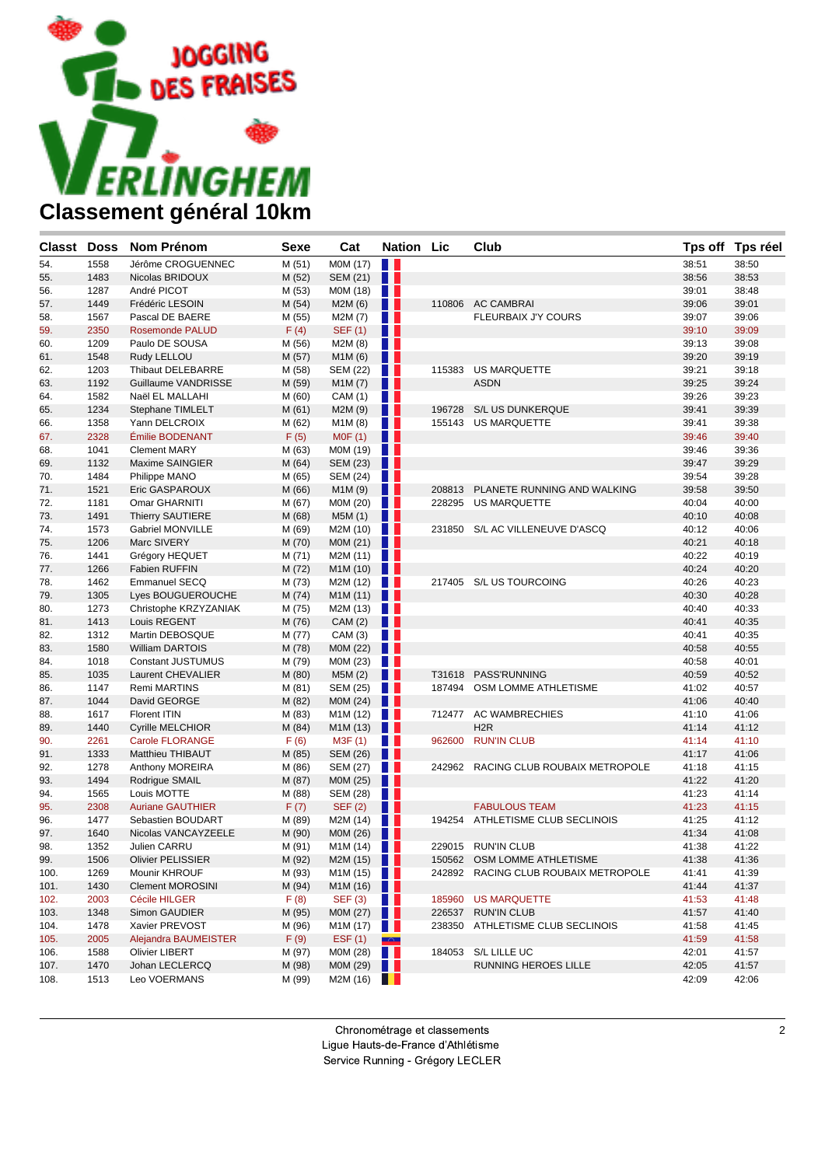

| <b>Classt Doss</b> |      | <b>Nom Prénom</b>        | <b>Sexe</b> | Cat                              | <b>Nation Lic</b> |        | Club                                 |       | Tps off Tps réel |
|--------------------|------|--------------------------|-------------|----------------------------------|-------------------|--------|--------------------------------------|-------|------------------|
| 54.                | 1558 | Jérôme CROGUENNEC        | M(51)       | M0M (17)                         | H                 |        |                                      | 38:51 | 38:50            |
| 55.                | 1483 | Nicolas BRIDOUX          | M (52)      | SEM (21)                         | Ш                 |        |                                      | 38:56 | 38:53            |
| 56.                | 1287 | André PICOT              | M (53)      | M0M (18)                         | $\blacksquare$    |        |                                      | 39:01 | 38:48            |
| 57.                | 1449 | Frédéric LESOIN          | M (54)      | M2M(6)                           | a s               |        | 110806 AC CAMBRAI                    | 39:06 | 39:01            |
| 58.                | 1567 | Pascal DE BAERE          | M (55)      | M2M (7)                          | M.                |        | <b>FLEURBAIX J'Y COURS</b>           | 39:07 | 39:06            |
| 59.                | 2350 | <b>Rosemonde PALUD</b>   | F(4)        | <b>SEF (1)</b>                   | . .               |        |                                      | 39:10 | 39:09            |
| 60.                | 1209 | Paulo DE SOUSA           | M (56)      | M2M (8)                          | H H               |        |                                      | 39:13 | 39:08            |
| 61.                | 1548 | Rudy LELLOU              | M (57)      | M1M (6)                          | . .               |        |                                      | 39:20 | 39:19            |
| 62.                | 1203 | Thibaut DELEBARRE        | M (58)      | SEM (22)                         | n a               | 115383 | US MARQUETTE                         | 39:21 | 39:18            |
| 63.                | 1192 | Guillaume VANDRISSE      | M (59)      | M1M(7)                           | Ш                 |        | <b>ASDN</b>                          | 39:25 | 39:24            |
| 64.                | 1582 | Naël EL MALLAHI          | M (60)      | CAM (1)                          | H.                |        |                                      | 39:26 | 39:23            |
| 65.                | 1234 | Stephane TIMLELT         | M(61)       | M2M (9)                          | . .               |        | 196728 S/L US DUNKERQUE              | 39:41 | 39:39            |
| 66.                | 1358 | Yann DELCROIX            | M (62)      | M1M(8)                           | a sa n            |        | 155143 US MARQUETTE                  | 39:41 | 39:38            |
| 67.                | 2328 | Émilie BODENANT          | F(5)        | MOF(1)                           | <b>. .</b>        |        |                                      | 39:46 | 39:40            |
| 68.                | 1041 | <b>Clement MARY</b>      | M (63)      | M0M (19)                         | n a               |        |                                      | 39:46 | 39:36            |
| 69.                | 1132 | Maxime SAINGIER          | M (64)      | <b>SEM (23)</b>                  | n n               |        |                                      | 39:47 | 39:29            |
| 70.                | 1484 | Philippe MANO            | M (65)      | SEM (24)                         | . .               |        |                                      | 39:54 | 39:28            |
| 71.                | 1521 | Eric GASPAROUX           | M (66)      | M <sub>1</sub> M <sub>(9)</sub>  | . .               |        | 208813 PLANETE RUNNING AND WALKING   | 39:58 | 39:50            |
| 72.                | 1181 | Omar GHARNITI            | M (67)      | M0M (20)                         | H I               |        | 228295 US MARQUETTE                  | 40:04 | 40:00            |
| 73.                | 1491 | <b>Thierry SAUTIERE</b>  | M (68)      | M5M (1)                          | . .               |        |                                      | 40:10 | 40:08            |
| 74.                | 1573 | <b>Gabriel MONVILLE</b>  | M (69)      | M2M (10)                         | H I               | 231850 | S/L AC VILLENEUVE D'ASCQ             | 40:12 | 40:06            |
| 75.                | 1206 | Marc SIVERY              | M (70)      | M0M (21)                         | . .               |        |                                      | 40:21 | 40:18            |
| 76.                | 1441 | Grégory HEQUET           | M (71)      | M2M (11)                         | . .               |        |                                      | 40:22 | 40:19            |
| 77.                | 1266 | <b>Fabien RUFFIN</b>     | M (72)      | M1M (10)                         | n n               |        |                                      | 40:24 | 40:20            |
| 78.                | 1462 | <b>Emmanuel SECQ</b>     | M (73)      | M2M (12)                         | a ka              |        | 217405 S/L US TOURCOING              | 40:26 | 40:23            |
| 79.                | 1305 | Lyes BOUGUEROUCHE        | M (74)      | M1M (11)                         | . .               |        |                                      | 40:30 | 40:28            |
| 80.                | 1273 | Christophe KRZYZANIAK    | M (75)      | M2M (13)                         | a sa s            |        |                                      | 40:40 | 40:33            |
| 81.                | 1413 | Louis REGENT             | M (76)      | CAM (2)                          | . .               |        |                                      | 40:41 | 40:35            |
| 82.                | 1312 | Martin DEBOSQUE          | M (77)      | CAM(3)                           | H.                |        |                                      | 40:41 | 40:35            |
| 83.                | 1580 | <b>William DARTOIS</b>   | M (78)      | M0M (22)                         | . .               |        |                                      | 40:58 | 40:55            |
| 84.                | 1018 | <b>Constant JUSTUMUS</b> | M (79)      | M0M (23)                         | W                 |        |                                      | 40:58 | 40:01            |
| 85.                | 1035 | Laurent CHEVALIER        | M (80)      | M5M (2)                          | w                 | T31618 | PASS'RUNNING                         | 40:59 | 40:52            |
| 86.                | 1147 | <b>Remi MARTINS</b>      | M (81)      | SEM (25)                         | H H               |        | 187494 OSM LOMME ATHLETISME          | 41:02 | 40:57            |
| 87.                | 1044 | David GEORGE             | M(82)       | M0M (24)                         | w                 |        |                                      | 41:06 | 40:40            |
| 88.                | 1617 | Florent ITIN             | M (83)      | M1M (12)                         | . .               |        | 712477 AC WAMBRECHIES                | 41:10 | 41:06            |
| 89.                | 1440 | <b>Cyrille MELCHIOR</b>  | M (84)      | M1M (13)                         | w                 |        | H <sub>2</sub> R                     | 41:14 | 41:12            |
| 90.                | 2261 | Carole FLORANGE          | F(6)        | M3F (1)                          | a sa n            | 962600 | <b>RUN'IN CLUB</b>                   | 41:14 | 41:10            |
| 91.                | 1333 | Matthieu THIBAUT         | M (85)      | SEM (26)                         | . .               |        |                                      | 41:17 | 41:06            |
| 92.                | 1278 | Anthony MOREIRA          | M (86)      | SEM (27)                         | H H               |        | 242962 RACING CLUB ROUBAIX METROPOLE | 41:18 | 41:15            |
| 93.                | 1494 | Rodrigue SMAIL           | M (87)      | M0M (25)                         | w                 |        |                                      | 41:22 | 41:20            |
| 94.                | 1565 | Louis MOTTE              | M (88)      | SEM (28)                         | W                 |        |                                      | 41:23 | 41:14            |
| 95.                | 2308 | <b>Auriane GAUTHIER</b>  | F(7)        | <b>SEF (2)</b>                   | . .               |        | <b>FABULOUS TEAM</b>                 | 41:23 | 41:15            |
| 96.                | 1477 | Sebastien BOUDART        | M (89)      | M2M (14)                         | H H               |        | 194254 ATHLETISME CLUB SECLINOIS     | 41:25 | 41:12            |
| 97.                | 1640 | Nicolas VANCAYZEELE      | M (90)      | M0M (26)                         | . .               |        |                                      | 41:34 | 41:08            |
| 98.                | 1352 | Julien CARRU             | M (91)      | M1M (14)                         | n a               |        | 229015 RUN'IN CLUB                   | 41:38 | 41:22            |
| 99.                | 1506 | <b>Olivier PELISSIER</b> | M (92)      | M2M (15) $\blacksquare$          |                   |        | 150562 OSM LOMME ATHLETISME          | 41:38 | 41:36            |
| 100.               | 1269 | Mounir KHROUF            | M (93)      | M <sub>1</sub> M <sub>(15)</sub> |                   |        | 242892 RACING CLUB ROUBAIX METROPOLE | 41:41 | 41:39            |
| 101.               | 1430 | <b>Clement MOROSINI</b>  | M (94)      | M1M(16)                          |                   |        |                                      | 41:44 | 41:37            |
| 102.               | 2003 | Cécile HILGER            | F(8)        | SEF(3) $\blacksquare$            |                   |        | 185960 US MARQUETTE                  | 41:53 | 41:48            |
| 103.               | 1348 | Simon GAUDIER            | M (95)      | MOM $(27)$                       |                   |        | 226537 RUN'IN CLUB                   | 41:57 | 41:40            |
| 104.               | 1478 | Xavier PREVOST           | M (96)      | M1M (17)                         |                   |        | 238350 ATHLETISME CLUB SECLINOIS     | 41:58 | 41:45            |
| 105.               | 2005 | Alejandra BAUMEISTER     | F(9)        | EST(1)                           | $\sim$            |        |                                      | 41:59 | 41:58            |
| 106.               | 1588 | <b>Olivier LIBERT</b>    | M (97)      | M0M (28)                         | w                 |        | 184053 S/L LILLE UC                  | 42:01 | 41:57            |
| 107.               | 1470 | Johan LECLERCQ           | M (98)      | MOM $(29)$                       |                   |        | RUNNING HEROES LILLE                 | 42:05 | 41:57            |
| 108.               | 1513 | Leo VOERMANS             | M (99)      | M2M(16)                          |                   |        |                                      | 42:09 | 42:06            |

Chronométrage et classements Ligue Hauts-de-France d'Athlétisme

Service Running - Grégory LECLER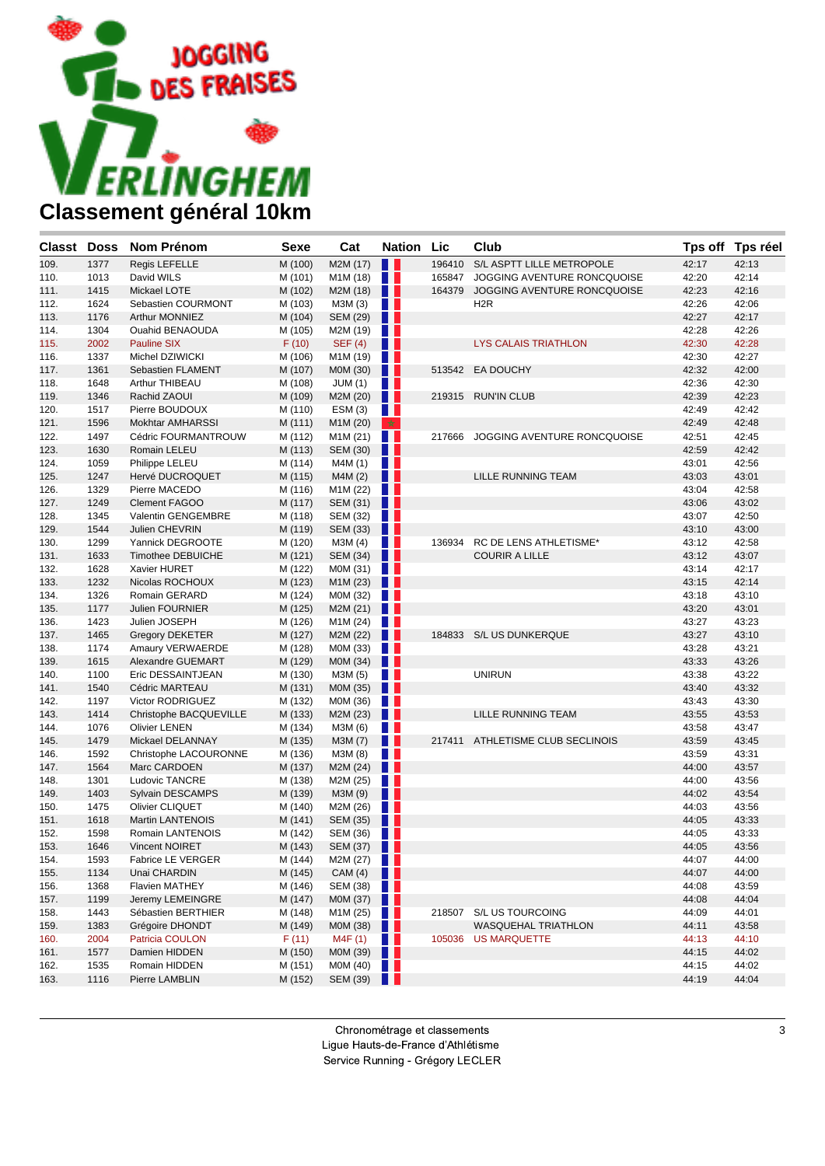

| Classt Doss |      | Nom Prénom               | Sexe    | Cat             | <b>Nation Lic</b> |        | Club                             |       | Tps off Tps réel |
|-------------|------|--------------------------|---------|-----------------|-------------------|--------|----------------------------------|-------|------------------|
| 109.        | 1377 | Regis LEFELLE            | M (100) | M2M (17)        | H                 | 196410 | S/L ASPTT LILLE METROPOLE        | 42:17 | 42:13            |
| 110.        | 1013 | David WILS               | M (101) | M1M (18)        | a ka              | 165847 | JOGGING AVENTURE RONCQUOISE      | 42:20 | 42:14            |
| 111.        | 1415 | Mickael LOTE             | M (102) | M2M (18)        | . .               | 164379 | JOGGING AVENTURE RONCQUOISE      | 42:23 | 42:16            |
| 112.        | 1624 | Sebastien COURMONT       | M (103) | M3M (3)         | H.                |        | H <sub>2</sub> R                 | 42:26 | 42:06            |
| 113.        | 1176 | Arthur MONNIEZ           | M (104) | SEM (29)        | H                 |        |                                  | 42:27 | 42:17            |
| 114.        | 1304 | Ouahid BENAOUDA          | M (105) | M2M (19)        | H.                |        |                                  | 42:28 | 42:26            |
| 115.        | 2002 | <b>Pauline SIX</b>       | F(10)   | <b>SEF (4)</b>  | Ш                 |        | <b>LYS CALAIS TRIATHLON</b>      | 42:30 | 42:28            |
| 116.        | 1337 | Michel DZIWICKI          | M (106) | M1M (19)        | . .               |        |                                  | 42:30 | 42:27            |
| 117.        | 1361 | Sebastien FLAMENT        | M (107) | M0M (30)        | Ш                 |        | 513542 EA DOUCHY                 | 42:32 | 42:00            |
| 118.        | 1648 | Arthur THIBEAU           | M (108) | JUM(1)          | a sa n            |        |                                  | 42:36 | 42:30            |
| 119.        | 1346 | Rachid ZAOUI             | M (109) | M2M (20)        | H I               | 219315 | <b>RUN'IN CLUB</b>               | 42:39 | 42:23            |
| 120.        | 1517 | Pierre BOUDOUX           | M (110) | ESM(3)          | H.                |        |                                  | 42:49 | 42:42            |
| 121.        | 1596 | <b>Mokhtar AMHARSSI</b>  | M (111) | M1M (20)        | ★                 |        |                                  | 42:49 | 42:48            |
| 122.        | 1497 | Cédric FOURMANTROUW      | M (112) | M1M (21)        | H.                | 217666 | JOGGING AVENTURE RONCQUOISE      | 42:51 | 42:45            |
| 123.        | 1630 | Romain LELEU             | M (113) | <b>SEM (30)</b> | w                 |        |                                  | 42:59 | 42:42            |
| 124.        | 1059 | Philippe LELEU           | M (114) | M4M (1)         | HH.               |        |                                  | 43:01 | 42:56            |
| 125.        | 1247 | Hervé DUCROQUET          | M (115) | M4M (2)         | H I               |        | LILLE RUNNING TEAM               | 43:03 | 43:01            |
| 126.        | 1329 | Pierre MACEDO            | M (116) | M1M (22)        | n a               |        |                                  | 43:04 | 42:58            |
| 127.        | 1249 | <b>Clement FAGOO</b>     | M (117) | SEM (31)        | <b>11</b>         |        |                                  | 43:06 | 43:02            |
| 128.        | 1345 | Valentin GENGEMBRE       | M (118) | <b>SEM (32)</b> | H.                |        |                                  | 43:07 | 42:50            |
| 129.        | 1544 | Julien CHEVRIN           | M (119) | SEM (33)        | H I               |        |                                  | 43:10 | 43:00            |
| 130.        | 1299 | Yannick DEGROOTE         | M (120) | M3M(4)          | . .               | 136934 | RC DE LENS ATHLETISME*           | 43:12 | 42:58            |
| 131.        | 1633 | <b>Timothee DEBUICHE</b> | M (121) | <b>SEM (34)</b> | n n               |        | <b>COURIR A LILLE</b>            | 43:12 | 43:07            |
| 132.        | 1628 | Xavier HURET             | M (122) | M0M (31)        | n a               |        |                                  | 43:14 | 42:17            |
| 133.        | 1232 | Nicolas ROCHOUX          | M (123) | M1M (23)        | ш                 |        |                                  | 43:15 | 42:14            |
| 134.        | 1326 | Romain GERARD            | M (124) | M0M (32)        | . .               |        |                                  | 43:18 | 43:10            |
| 135.        | 1177 | <b>Julien FOURNIER</b>   | M (125) | M2M (21)        | u                 |        |                                  | 43:20 | 43:01            |
| 136.        | 1423 | Julien JOSEPH            | M (126) | M1M (24)        | a ka              |        |                                  | 43:27 | 43:23            |
| 137.        | 1465 | <b>Gregory DEKETER</b>   | M (127) | M2M (22)        | . .               |        | 184833 S/L US DUNKERQUE          | 43:27 | 43:10            |
| 138.        | 1174 | Amaury VERWAERDE         | M (128) | M0M (33)        | . .               |        |                                  | 43:28 | 43:21            |
| 139.        | 1615 | Alexandre GUEMART        | M (129) | M0M (34)        | w                 |        |                                  | 43:33 | 43:26            |
| 140.        | 1100 | Eric DESSAINTJEAN        | M (130) | M3M (5)         | $\blacksquare$    |        | <b>UNIRUN</b>                    | 43:38 | 43:22            |
| 141.        | 1540 | Cédric MARTEAU           | M (131) | M0M (35)        | . .               |        |                                  | 43:40 | 43:32            |
| 142.        | 1197 | Victor RODRIGUEZ         | M (132) | M0M (36)        | a sa s            |        |                                  | 43:43 | 43:30            |
| 143.        | 1414 | Christophe BACQUEVILLE   | M (133) | M2M (23)        | a sa              |        | LILLE RUNNING TEAM               | 43:55 | 43:53            |
| 144.        | 1076 | <b>Olivier LENEN</b>     | M (134) | M3M (6)         | H H               |        |                                  | 43:58 | 43:47            |
| 145.        | 1479 | Mickael DELANNAY         | M (135) | M3M (7)         | Ш                 |        | 217411 ATHLETISME CLUB SECLINOIS | 43:59 | 43:45            |
| 146.        | 1592 | Christophe LACOURONNE    | M (136) | M3M (8)         | u                 |        |                                  | 43:59 | 43:31            |
| 147.        | 1564 | Marc CARDOEN             | M (137) | M2M (24)        | Ш                 |        |                                  | 44:00 | 43:57            |
| 148.        | 1301 | Ludovic TANCRE           | M (138) | M2M (25)        | a ka              |        |                                  | 44:00 | 43:56            |
| 149.        | 1403 | Sylvain DESCAMPS         | M (139) | M3M (9)         | Ш                 |        |                                  | 44:02 | 43:54            |
| 150.        | 1475 | Olivier CLIQUET          | M (140) | M2M (26)        | n a               |        |                                  | 44:03 | 43:56            |
| 151.        | 1618 | Martin LANTENOIS         | M (141) | SEM (35)        | Ш                 |        |                                  | 44:05 | 43:33            |
| 152.        | 1598 | Romain LANTENOIS         | M (142) | SEM $(36)$      |                   |        |                                  | 44:05 | 43:33            |
| 153.        | 1646 | <b>Vincent NOIRET</b>    | M (143) | SEM (37)        |                   |        |                                  | 44:05 | 43:56            |
| 154.        | 1593 | <b>Fabrice LE VERGER</b> | M (144) | M2M(27)         |                   |        |                                  | 44:07 | 44:00            |
| 155.        | 1134 | Unai CHARDIN             | M (145) | CAM(4)          | Ш                 |        |                                  | 44:07 | 44:00            |
| 156.        | 1368 | <b>Flavien MATHEY</b>    | M (146) | SEM (38)        | a ka              |        |                                  | 44:08 | 43:59            |
| 157.        | 1199 | Jeremy LEMEINGRE         | M (147) | M0M (37)        | w                 |        |                                  | 44:08 | 44:04            |
| 158.        | 1443 | Sébastien BERTHIER       | M (148) | M1M (25)        | a pr              |        | 218507 S/L US TOURCOING          | 44:09 | 44:01            |
| 159.        | 1383 | Grégoire DHONDT          | M (149) | M0M (38)        | Ш                 |        | WASQUEHAL TRIATHLON              | 44:11 | 43:58            |
| 160.        | 2004 | Patricia COULON          | F(11)   | M4F (1)         | H L               |        | 105036 US MARQUETTE              | 44:13 | 44:10            |
| 161.        | 1577 | Damien HIDDEN            | M (150) | M0M (39)        | <b>TELESCOPE</b>  |        |                                  | 44:15 | 44:02            |
| 162.        | 1535 | Romain HIDDEN            | M (151) | MOM $(40)$      |                   |        |                                  | 44:15 | 44:02            |
| 163.        | 1116 | Pierre LAMBLIN           | M (152) | SEM (39)        | w                 |        |                                  | 44:19 | 44:04            |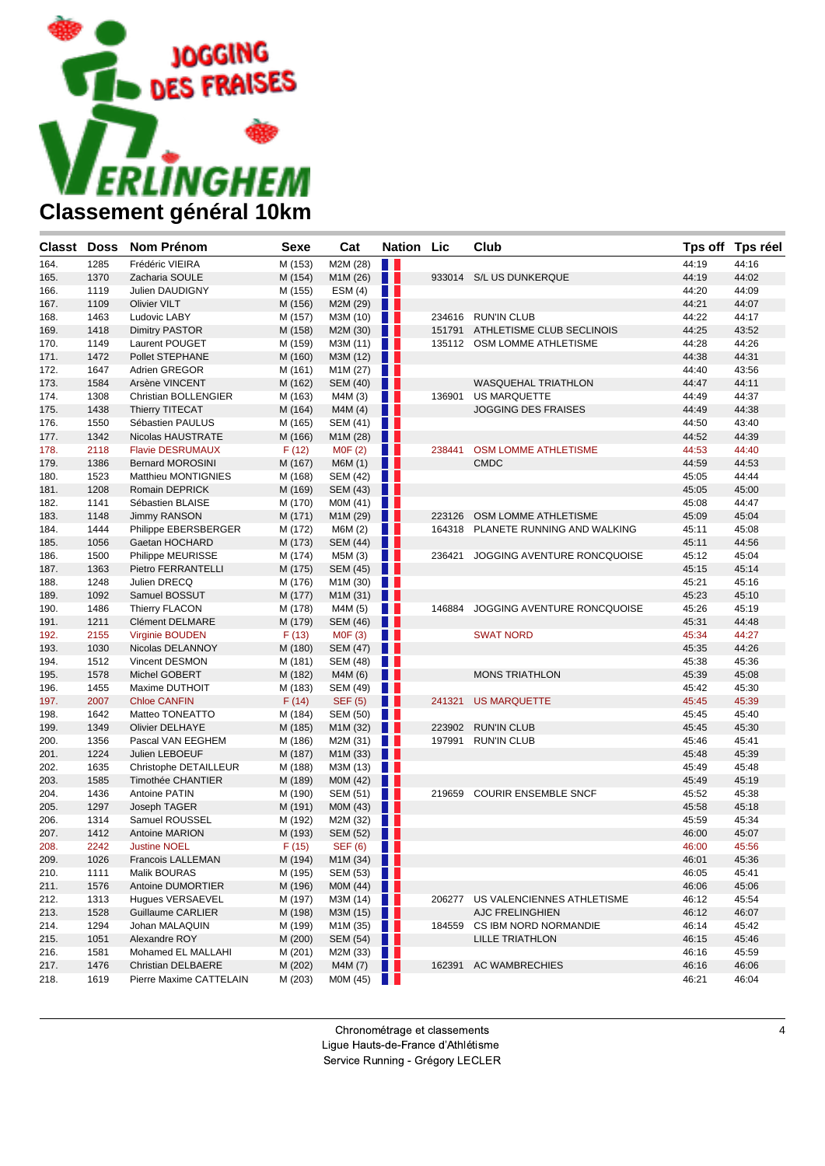

| <b>Classt Doss</b> |      | <b>Nom Prénom</b>       | <b>Sexe</b> | Cat                                       | <b>Nation Lic</b> |        | Club                        |       | Tps off Tps réel |
|--------------------|------|-------------------------|-------------|-------------------------------------------|-------------------|--------|-----------------------------|-------|------------------|
| 164.               | 1285 | Frédéric VIEIRA         | M (153)     | M2M (28)                                  | H I               |        |                             | 44:19 | 44:16            |
| 165.               | 1370 | Zacharia SOULE          | M (154)     | M1M (26)                                  | H                 |        | 933014 S/L US DUNKERQUE     | 44:19 | 44:02            |
| 166.               | 1119 | Julien DAUDIGNY         | M (155)     | ESM(4)                                    | w                 |        |                             | 44:20 | 44:09            |
| 167.               | 1109 | <b>Olivier VILT</b>     | M (156)     | M2M (29)                                  | Ш                 |        |                             | 44:21 | 44:07            |
| 168.               | 1463 | Ludovic LABY            | M (157)     | M3M (10)                                  | n e s             |        | 234616 RUN'IN CLUB          | 44:22 | 44:17            |
| 169.               | 1418 | <b>Dimitry PASTOR</b>   | M (158)     | M2M (30)                                  | n n               | 151791 | ATHLETISME CLUB SECLINOIS   | 44:25 | 43:52            |
| 170.               | 1149 | Laurent POUGET          | M (159)     | M3M (11)                                  | H.                |        | 135112 OSM LOMME ATHLETISME | 44:28 | 44:26            |
| 171.               | 1472 | Pollet STEPHANE         | M (160)     | M3M (12)                                  | . .               |        |                             | 44:38 | 44:31            |
| 172.               | 1647 | Adrien GREGOR           | M (161)     | M1M (27)                                  | H H               |        |                             | 44:40 | 43:56            |
| 173.               | 1584 | Arsène VINCENT          | M (162)     | SEM (40)                                  | . .               |        | <b>WASQUEHAL TRIATHLON</b>  | 44:47 | 44:11            |
| 174.               | 1308 | Christian BOLLENGIER    | M (163)     | M4M (3)                                   | <b>TELESCOPE</b>  | 136901 | <b>US MARQUETTE</b>         | 44:49 | 44:37            |
| 175.               | 1438 | <b>Thierry TITECAT</b>  | M (164)     | M4M(4)                                    | H                 |        | <b>JOGGING DES FRAISES</b>  | 44:49 | 44:38            |
| 176.               | 1550 | Sébastien PAULUS        | M (165)     | SEM (41)                                  | w                 |        |                             | 44:50 | 43:40            |
| 177.               | 1342 | Nicolas HAUSTRATE       | M (166)     | M1M (28)                                  | n n               |        |                             | 44:52 | 44:39            |
| 178.               | 2118 | <b>Flavie DESRUMAUX</b> | F(12)       | MOF(2)                                    | <b>TELESCOPE</b>  | 238441 | OSM LOMME ATHLETISME        | 44:53 | 44:40            |
| 179.               | 1386 | <b>Bernard MOROSINI</b> | M (167)     | M6M (1)                                   | . .               |        | <b>CMDC</b>                 | 44:59 | 44:53            |
| 180.               | 1523 | Matthieu MONTIGNIES     | M (168)     | SEM (42)                                  | n e s             |        |                             | 45:05 | 44:44            |
| 181.               | 1208 | Romain DEPRICK          | M (169)     | SEM (43)                                  | . .               |        |                             | 45:05 | 45:00            |
| 182.               | 1141 | Sébastien BLAISE        | M (170)     | M0M (41)                                  | H                 |        |                             | 45:08 | 44:47            |
| 183.               | 1148 | <b>Jimmy RANSON</b>     | M (171)     | M1M (29)                                  | . .               | 223126 | OSM LOMME ATHLETISME        | 45:09 | 45:04            |
| 184.               | 1444 | Philippe EBERSBERGER    | M (172)     | M6M (2)                                   | w                 | 164318 | PLANETE RUNNING AND WALKING | 45:11 | 45:08            |
| 185.               | 1056 | Gaetan HOCHARD          | M (173)     | SEM (44)                                  | ш                 |        |                             | 45:11 | 44:56            |
| 186.               | 1500 | Philippe MEURISSE       | M (174)     | M5M (3)                                   | a sa              | 236421 | JOGGING AVENTURE RONCQUOISE | 45:12 | 45:04            |
| 187.               | 1363 | Pietro FERRANTELLI      | M (175)     | SEM (45)                                  | H                 |        |                             | 45:15 | 45:14            |
| 188.               | 1248 | Julien DRECQ            | M (176)     | M1M (30)                                  | n n               |        |                             | 45:21 | 45:16            |
| 189.               | 1092 | Samuel BOSSUT           | M (177)     | M1M (31)                                  | w                 |        |                             | 45:23 | 45:10            |
| 190.               | 1486 | <b>Thierry FLACON</b>   | M (178)     | M4M (5)                                   | <b>TELESCOPE</b>  | 146884 | JOGGING AVENTURE RONCQUOISE | 45:26 | 45:19            |
| 191.               | 1211 | Clément DELMARE         | M (179)     | SEM (46)                                  | . .               |        |                             | 45:31 | 44:48            |
| 192.               | 2155 | Virginie BOUDEN         | F(13)       | MOF(3)                                    | <b>The State</b>  |        | <b>SWAT NORD</b>            | 45:34 | 44:27            |
| 193.               | 1030 | Nicolas DELANNOY        | M (180)     | SEM (47)                                  | . .               |        |                             | 45:35 | 44:26            |
| 194.               | 1512 | Vincent DESMON          | M (181)     | SEM (48)                                  | H.                |        |                             | 45:38 | 45:36            |
| 195.               | 1578 | Michel GOBERT           | M (182)     | M4M (6)                                   | . .               |        | <b>MONS TRIATHLON</b>       | 45:39 | 45:08            |
| 196.               | 1455 | Maxime DUTHOIT          | M (183)     | SEM (49)                                  | a ser             |        |                             | 45:42 | 45:30            |
| 197.               | 2007 | <b>Chloe CANFIN</b>     | F(14)       | <b>SEF (5)</b>                            | n                 | 241321 | <b>US MARQUETTE</b>         | 45:45 | 45:39            |
| 198.               | 1642 | Matteo TONEATTO         | M (184)     | SEM (50)                                  | <b>TELESCOPE</b>  |        |                             | 45:45 | 45:40            |
| 199.               | 1349 | <b>Olivier DELHAYE</b>  | M (185)     | M1M (32)                                  | Ш                 | 223902 | <b>RUN'IN CLUB</b>          | 45:45 | 45:30            |
| 200.               | 1356 | Pascal VAN EEGHEM       | M (186)     | M2M (31)                                  | n e s             | 197991 | <b>RUN'IN CLUB</b>          | 45:46 | 45:41            |
| 201.               | 1224 | Julien LEBOEUF          | M (187)     | M1M (33)                                  | . .               |        |                             | 45:48 | 45:39            |
| 202.               | 1635 | Christophe DETAILLEUR   | M (188)     | M3M (13)                                  | ПL                |        |                             | 45:49 | 45:48            |
| 203.               | 1585 | Timothée CHANTIER       | M (189)     | M0M (42)                                  | . .               |        |                             | 45:49 | 45:19            |
| 204.               | 1436 | Antoine PATIN           | M (190)     | SEM (51)                                  | <b>TELESCOPE</b>  |        | 219659 COURIR ENSEMBLE SNCF | 45:52 | 45:38            |
| 205.               | 1297 | Joseph TAGER            | M (191)     | M0M (43)                                  | Ш                 |        |                             | 45:58 | 45:18            |
| 206.               | 1314 | Samuel ROUSSEL          | M (192)     | M2M (32)                                  | H.                |        |                             | 45:59 | 45:34            |
| 207.               | 1412 | Antoine MARION          | M (193)     | SEM (52)                                  | n II              |        |                             | 46:00 | 45:07            |
| 208.               | 2242 | <b>Justine NOEL</b>     | F(15)       | <b>SEF (6)</b>                            | <b>TELESCOPE</b>  |        |                             | 46:00 | 45:56            |
| 209.               | 1026 | Francois LALLEMAN       | M (194)     | M1M $(34)$                                |                   |        |                             | 46:01 | 45:36            |
| 210.               | 1111 | Malik BOURAS            | M (195)     | SEM $(53)$                                |                   |        |                             | 46:05 | 45:41            |
| 211.               | 1576 | Antoine DUMORTIER       | M (196)     | M0M (44)                                  | n n               |        |                             | 46:06 | 45:06            |
| 212.               | 1313 | Hugues VERSAEVEL        | M (197)     | M3M(14)                                   |                   | 206277 | US VALENCIENNES ATHLETISME  | 46:12 | 45:54            |
| 213.               | 1528 | Guillaume CARLIER       | M (198)     | M3M (15)                                  | . .               |        | AJC FRELINGHIEN             | 46:12 | 46:07            |
| 214.               | 1294 | Johan MALAQUIN          | M (199)     | M <sub>1</sub> M (35) $\vert \vert \vert$ |                   | 184559 | CS IBM NORD NORMANDIE       | 46:14 | 45:42            |
| 215.               | 1051 | Alexandre ROY           | M (200)     | SEM (54)                                  | . .               |        | LILLE TRIATHLON             | 46:15 | 45:46            |
| 216.               | 1581 | Mohamed EL MALLAHI      | M (201)     | M2M $(33)$                                |                   |        |                             | 46:16 | 45:59            |
| 217.               | 1476 | Christian DELBAERE      | M (202)     | M4M (7)                                   | . .               |        | 162391 AC WAMBRECHIES       | 46:16 | 46:06            |
| 218.               | 1619 | Pierre Maxime CATTELAIN | M (203)     | M0M (45)                                  | a ser             |        |                             | 46:21 | 46:04            |
|                    |      |                         |             |                                           |                   |        |                             |       |                  |

Chronométrage et classements Ligue Hauts-de-France d'Athlétisme

Service Running - Grégory LECLER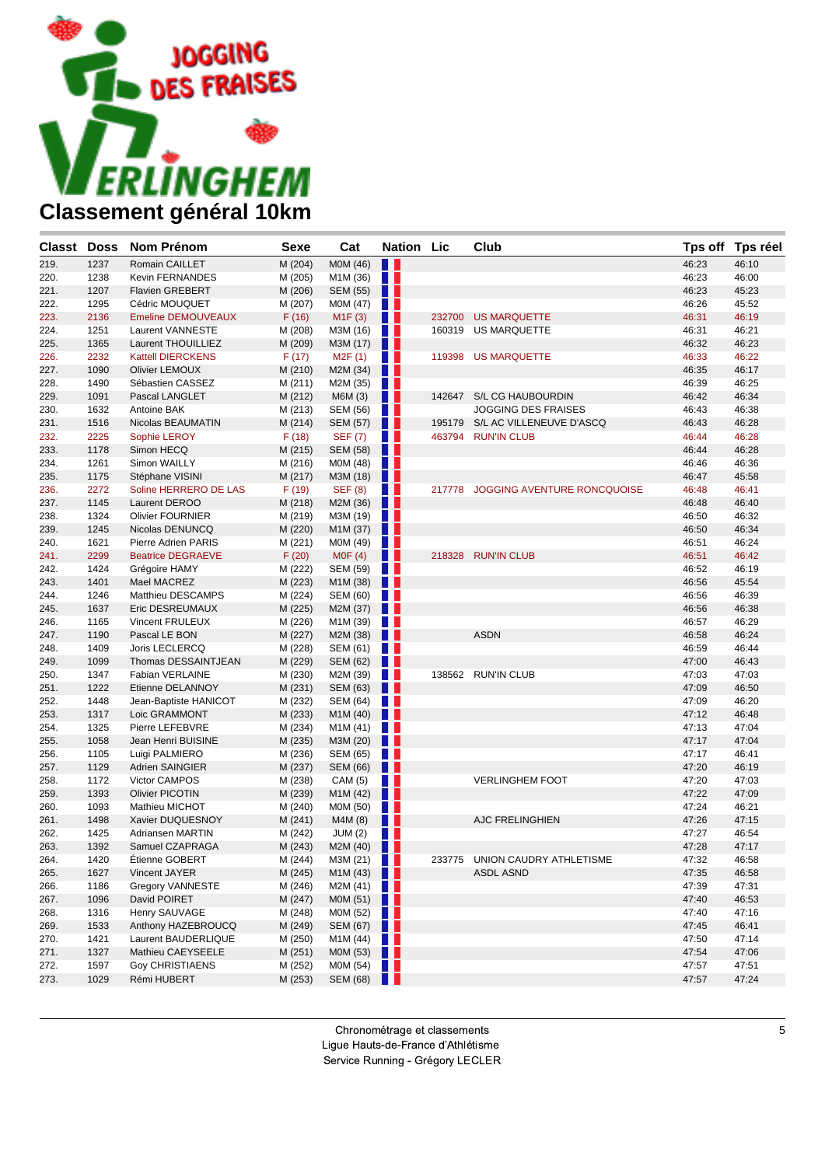

| Classt Doss |      | <b>Nom Prénom</b>         | <b>Sexe</b> | Cat             | <b>Nation Lic</b> |        | Club                               |       | Tps off Tps réel |
|-------------|------|---------------------------|-------------|-----------------|-------------------|--------|------------------------------------|-------|------------------|
| 219.        | 1237 | Romain CAILLET            | M (204)     | M0M (46)        | Ш                 |        |                                    | 46:23 | 46:10            |
| 220.        | 1238 | <b>Kevin FERNANDES</b>    | M (205)     | M1M (36)        | H.                |        |                                    | 46:23 | 46:00            |
| 221.        | 1207 | <b>Flavien GREBERT</b>    | M (206)     | <b>SEM (55)</b> | . .               |        |                                    | 46:23 | 45:23            |
| 222.        | 1295 | Cédric MOUQUET            | M (207)     | M0M (47)        | H.                |        |                                    | 46:26 | 45:52            |
| 223.        | 2136 | <b>Emeline DEMOUVEAUX</b> | F(16)       | M1F(3)          | . .               | 232700 | <b>US MARQUETTE</b>                | 46:31 | 46:19            |
| 224.        | 1251 | Laurent VANNESTE          | M (208)     | M3M (16)        | H.                | 160319 | <b>US MARQUETTE</b>                | 46:31 | 46:21            |
| 225.        | 1365 | Laurent THOUILLIEZ        | M (209)     | M3M (17)        | H L               |        |                                    | 46:32 | 46:23            |
| 226.        | 2232 | <b>Kattell DIERCKENS</b>  | F(17)       | M2F(1)          | W                 |        | 119398 US MARQUETTE                | 46:33 | 46:22            |
| 227.        | 1090 | <b>Olivier LEMOUX</b>     | M (210)     | M2M (34)        | . .               |        |                                    | 46:35 | 46:17            |
| 228.        | 1490 | Sébastien CASSEZ          | M (211)     | M2M (35)        | a sa              |        |                                    | 46:39 | 46:25            |
| 229.        | 1091 | Pascal LANGLET            | M (212)     | M6M (3)         | Ш                 | 142647 | S/L CG HAUBOURDIN                  | 46:42 | 46:34            |
| 230.        | 1632 | Antoine BAK               | M (213)     | SEM (56)        | H.                |        | <b>JOGGING DES FRAISES</b>         | 46:43 | 46:38            |
| 231.        | 1516 | Nicolas BEAUMATIN         | M (214)     | SEM (57)        | . .               |        | 195179 S/L AC VILLENEUVE D'ASCQ    | 46:43 | 46:28            |
| 232.        | 2225 | Sophie LEROY              | F(18)       | <b>SEF (7)</b>  | l p               |        | 463794 RUN'IN CLUB                 | 46:44 | 46:28            |
| 233.        | 1178 | Simon HECQ                | M (215)     | SEM (58)        | . .               |        |                                    | 46:44 | 46:28            |
| 234.        | 1261 | Simon WAILLY              | M (216)     | M0M (48)        | a ka              |        |                                    | 46:46 | 46:36            |
| 235.        | 1175 | Stéphane VISINI           | M (217)     | M3M (18)        | ш                 |        |                                    | 46:47 | 45:58            |
| 236.        | 2272 | Soline HERRERO DE LAS     | F(19)       | <b>SEF (8)</b>  | n n               |        | 217778 JOGGING AVENTURE RONCQUOISE | 46:48 | 46:41            |
| 237.        | 1145 | Laurent DEROO             | M (218)     | M2M (36)        | . .               |        |                                    | 46:48 | 46:40            |
| 238.        | 1324 | <b>Olivier FOURNIER</b>   | M (219)     | M3M (19)        | a ka              |        |                                    | 46:50 | 46:32            |
| 239.        | 1245 | Nicolas DENUNCQ           | M (220)     | M1M (37)        | a s               |        |                                    | 46:50 | 46:34            |
| 240.        | 1621 | Pierre Adrien PARIS       | M (221)     | M0M (49)        | a sa              |        |                                    | 46:51 | 46:24            |
| 241.        | 2299 | <b>Beatrice DEGRAEVE</b>  | F(20)       | MOF(4)          | Ш                 |        | 218328 RUN'IN CLUB                 | 46:51 | 46:42            |
| 242.        | 1424 | Grégoire HAMY             | M (222)     | <b>SEM (59)</b> | n p               |        |                                    | 46:52 | 46:19            |
| 243.        | 1401 | Mael MACREZ               | M (223)     | M1M (38)        | . .               |        |                                    | 46:56 | 45:54            |
| 244.        | 1246 | Matthieu DESCAMPS         | M (224)     | SEM (60)        | a ka              |        |                                    | 46:56 | 46:39            |
| 245.        | 1637 | Eric DESREUMAUX           | M (225)     | M2M (37)        | . .               |        |                                    | 46:56 | 46:38            |
| 246.        | 1165 | Vincent FRULEUX           | M (226)     | M1M (39)        | a ka              |        |                                    | 46:57 | 46:29            |
| 247.        | 1190 | Pascal LE BON             | M (227)     | M2M (38)        | n 1               |        | <b>ASDN</b>                        | 46:58 | 46:24            |
| 248.        | 1409 | Joris LECLERCQ            | M (228)     | SEM (61)        | a sa              |        |                                    | 46:59 | 46:44            |
| 249.        | 1099 | Thomas DESSAINTJEAN       | M (229)     | <b>SEM (62)</b> | . .               |        |                                    | 47:00 | 46:43            |
| 250.        | 1347 | Fabian VERLAINE           | M (230)     | M2M (39)        | . .               |        | 138562 RUN'IN CLUB                 | 47:03 | 47:03            |
| 251.        | 1222 | Etienne DELANNOY          | M (231)     | <b>SEM (63)</b> | a s               |        |                                    | 47:09 | 46:50            |
| 252.        | 1448 | Jean-Baptiste HANICOT     | M (232)     | SEM (64)        | n p               |        |                                    | 47:09 | 46:20            |
| 253.        | 1317 | Loic GRAMMONT             | M (233)     | M1M (40)        | . .               |        |                                    | 47:12 | 46:48            |
| 254.        | 1325 | Pierre LEFEBVRE           | M (234)     | M1M (41)        | a ka              |        |                                    | 47:13 | 47:04            |
| 255.        | 1058 | Jean Henri BUISINE        | M (235)     | M3M (20)        | a s               |        |                                    | 47:17 | 47:04            |
| 256.        | 1105 | Luigi PALMIERO            | M (236)     | SEM (65)        | a ka              |        |                                    | 47:17 | 46:41            |
| 257.        | 1129 | Adrien SAINGIER           | M (237)     | SEM (66)        | H                 |        |                                    | 47:20 | 46:19            |
| 258.        | 1172 | Victor CAMPOS             | M (238)     | CAM (5)         | Ш                 |        | <b>VERLINGHEM FOOT</b>             | 47:20 | 47:03            |
| 259.        | 1393 | <b>Olivier PICOTIN</b>    | M (239)     | M1M (42)        | . .               |        |                                    | 47:22 | 47:09            |
| 260.        | 1093 | Mathieu MICHOT            | M (240)     | M0M (50)        | a sa n            |        |                                    | 47:24 | 46:21            |
| 261.        | 1498 | Xavier DUQUESNOY          | M (241)     | M4M (8)         | Ш                 |        | <b>AJC FRELINGHIEN</b>             | 47:26 | 47:15            |
| 262.        | 1425 | Adriansen MARTIN          | M (242)     | JUM(2)          | w                 |        |                                    | 47:27 | 46:54            |
| 263.        | 1392 | Samuel CZAPRAGA           | M (243)     | M2M (40)        | H                 |        |                                    | 47:28 | 47:17            |
| 264.        | 1420 | Etienne GOBERT            | M (244)     | M3M(21)         |                   |        | 233775 UNION CAUDRY ATHLETISME     | 47:32 | 46:58            |
| 265.        | 1627 | Vincent JAYER             | M (245)     | M1M(43)         |                   |        | <b>ASDL ASND</b>                   | 47:35 | 46:58            |
| 266.        | 1186 | <b>Gregory VANNESTE</b>   | M (246)     | M2M $(41)$      |                   |        |                                    | 47:39 | 47:31            |
| 267.        | 1096 | David POIRET              | M (247)     | MOM $(51)$      |                   |        |                                    | 47:40 | 46:53            |
| 268.        | 1316 | Henry SAUVAGE             | M (248)     | M0M (52)        | a pr              |        |                                    | 47:40 | 47:16            |
| 269.        | 1533 | Anthony HAZEBROUCQ        | M (249)     | SEM (67)        | Ш                 |        |                                    | 47:45 | 46:41            |
| 270.        | 1421 | Laurent BAUDERLIQUE       | M (250)     | M1M (44)        | H.                |        |                                    | 47:50 | 47:14            |
| 271.        | 1327 | Mathieu CAEYSEELE         | M (251)     | M0M (53)        | <b>THE</b>        |        |                                    | 47:54 | 47:06            |
| 272.        | 1597 | <b>Goy CHRISTIAENS</b>    | M (252)     | M0M (54)        | W                 |        |                                    | 47:57 | 47:51            |
| 273.        | 1029 | Rémi HUBERT               | M (253)     | <b>SEM (68)</b> | 11                |        |                                    | 47:57 | 47:24            |
|             |      |                           |             |                 |                   |        |                                    |       |                  |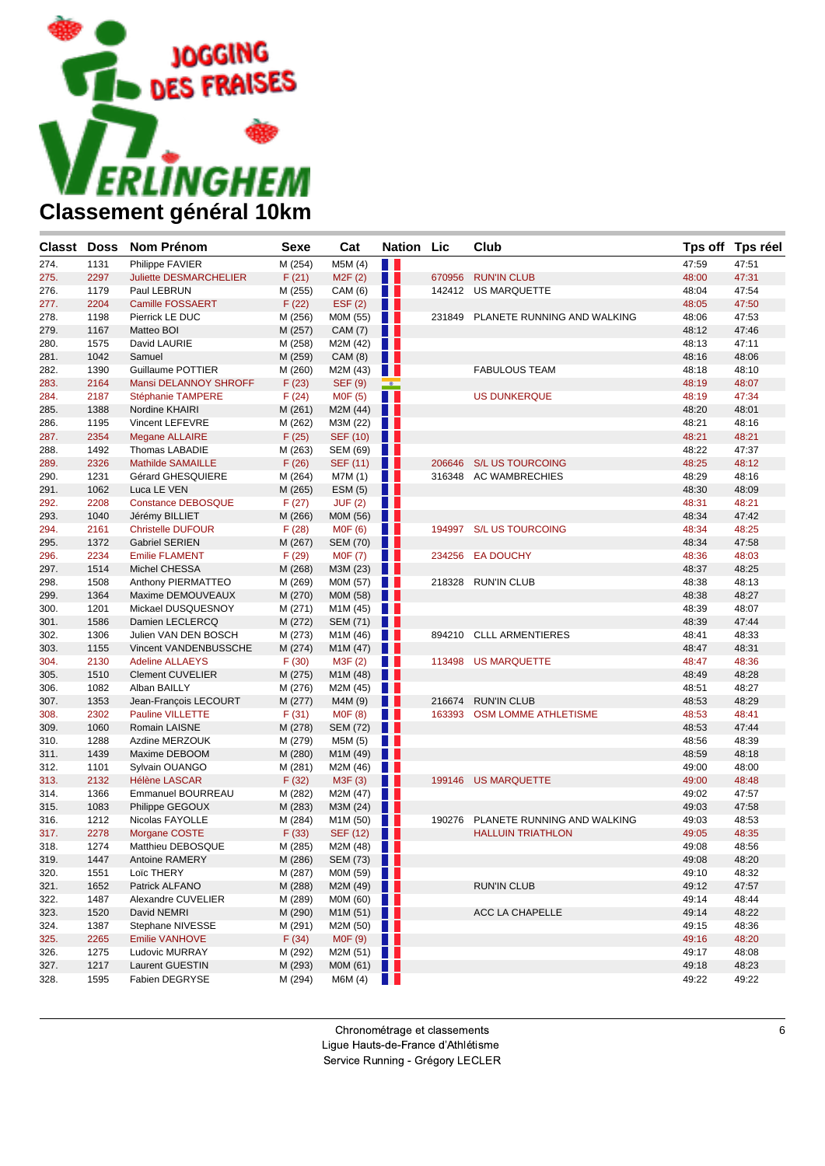

| <b>Classt</b><br><b>Doss</b> | <b>Nom Prénom</b>             | Sexe    | Cat                   | <b>Nation</b>            | Lic    | Club                        |       | Tps off Tps réel |
|------------------------------|-------------------------------|---------|-----------------------|--------------------------|--------|-----------------------------|-------|------------------|
| 274.<br>1131                 | Philippe FAVIER               | M (254) | M5M (4)               | H.                       |        |                             | 47:59 | 47:51            |
| 275.<br>2297                 | <b>Juliette DESMARCHELIER</b> | F(21)   | M2F(2)                | . .                      | 670956 | <b>RUN'IN CLUB</b>          | 48:00 | 47:31            |
| 276.<br>1179                 | Paul LEBRUN                   | M (255) | CAM (6)               | w                        | 142412 | US MARQUETTE                | 48:04 | 47:54            |
| 277.<br>2204                 | <b>Camille FOSSAERT</b>       | F(22)   | EST(2)                | . .                      |        |                             | 48:05 | 47:50            |
| 1198<br>278.                 | Pierrick LE DUC               | M (256) | M0M (55)              | . .                      | 231849 | PLANETE RUNNING AND WALKING | 48:06 | 47:53            |
| 279.<br>1167                 | Matteo BOI                    | M (257) | CAM (7)               | Ш                        |        |                             | 48:12 | 47:46            |
| 280.<br>1575                 | David LAURIE                  | M (258) | M2M (42)              | $\blacksquare$           |        |                             | 48:13 | 47:11            |
| 281.<br>1042                 | Samuel                        | M (259) | CAM (8)               | Ш                        |        |                             | 48:16 | 48:06            |
| 282.<br>1390                 | Guillaume POTTIER             | M (260) | M2M (43)              | . .                      |        | <b>FABULOUS TEAM</b>        | 48:18 | 48:10            |
| 2164<br>283.                 | Mansi DELANNOY SHROFF         | F(23)   | <b>SEF (9)</b>        | $\overline{\phantom{a}}$ |        |                             | 48:19 | 48:07            |
| 284.<br>2187                 | Stéphanie TAMPERE             | F(24)   | M0F (5)               | n T                      |        | <b>US DUNKERQUE</b>         | 48:19 | 47:34            |
| 1388<br>285.                 | Nordine KHAIRI                | M (261) | M2M (44)              | H I                      |        |                             | 48:20 | 48:01            |
| 1195<br>286.                 | <b>Vincent LEFEVRE</b>        | M (262) | M3M (22)              | W                        |        |                             | 48:21 | 48:16            |
| 287.<br>2354                 | <b>Megane ALLAIRE</b>         | F(25)   | SEF (10)              | H.                       |        |                             | 48:21 | 48:21            |
| 1492<br>288.                 | Thomas LABADIE                | M (263) | SEM (69)              | a se                     |        |                             | 48:22 | 47:37            |
| 289.<br>2326                 | <b>Mathilde SAMAILLE</b>      | F(26)   | SEF (11)              | ш                        | 206646 | <b>S/L US TOURCOING</b>     | 48:25 | 48:12            |
| 1231<br>290.                 | Gérard GHESQUIERE             | M (264) | M7M (1)               | <b>TELESCOPE</b>         |        | 316348 AC WAMBRECHIES       | 48:29 | 48:16            |
| 1062<br>291.                 | Luca LE VEN                   | M (265) | ESM(5)                | Ш                        |        |                             | 48:30 | 48:09            |
| 292.<br>2208                 | <b>Constance DEBOSQUE</b>     | F(27)   | JUF(2)                | H.                       |        |                             | 48:31 | 48:21            |
| 293.<br>1040                 | Jérémy BILLIET                | M (266) | M0M (56)              | Ш                        |        |                             | 48:34 | 47:42            |
| 294.<br>2161                 | <b>Christelle DUFOUR</b>      | F(28)   | <b>MOF (6)</b>        | <b>TELESCOPE</b>         | 194997 | <b>S/L US TOURCOING</b>     | 48:34 | 48:25            |
| 295.<br>1372                 | <b>Gabriel SERIEN</b>         | M (267) | <b>SEM (70)</b>       | a sa                     |        |                             | 48:34 | 47:58            |
| 2234<br>296.                 | <b>Emilie FLAMENT</b>         | F(29)   | <b>MOF (7)</b>        | H.                       | 234256 | <b>EA DOUCHY</b>            | 48:36 | 48:03            |
| 297.<br>1514                 | Michel CHESSA                 | M (268) | M3M (23)              | H                        |        |                             | 48:37 | 48:25            |
| 1508<br>298.                 | Anthony PIERMATTEO            | M (269) | M0M (57)              | H.                       | 218328 | <b>RUN'IN CLUB</b>          | 48:38 | 48:13            |
| 1364<br>299.                 | Maxime DEMOUVEAUX             | M (270) | M0M (58)              | Ш                        |        |                             | 48:38 | 48:27            |
| 1201<br>300.                 | Mickael DUSQUESNOY            | M (271) | M1M (45)              | n e s                    |        |                             | 48:39 | 48:07            |
| 1586<br>301.                 | Damien LECLERCQ               | M (272) | SEM (71)              | w                        |        |                             | 48:39 | 47:44            |
| 1306<br>302.                 | Julien VAN DEN BOSCH          | M (273) | M1M (46)              | m                        | 894210 | <b>CLLL ARMENTIERES</b>     | 48:41 | 48:33            |
| 303.<br>1155                 | Vincent VANDENBUSSCHE         | M (274) | M1M (47)              | w                        |        |                             | 48:47 | 48:31            |
| 2130<br>304.                 | <b>Adeline ALLAEYS</b>        | F(30)   | M3F (2)               | w                        |        | 113498 US MARQUETTE         | 48:47 | 48:36            |
| 305.<br>1510                 | <b>Clement CUVELIER</b>       | M (275) | M1M (48)              | Ш                        |        |                             | 48:49 | 48:28            |
| 1082<br>306.                 | Alban BAILLY                  | M (276) | M2M (45)              | . .                      |        |                             | 48:51 | 48:27            |
| 1353<br>307.                 | Jean-François LECOURT         | M (277) | M4M (9)               | n n                      | 216674 | <b>RUN'IN CLUB</b>          | 48:53 | 48:29            |
| 2302<br>308.                 | <b>Pauline VILLETTE</b>       | F(31)   | <b>MOF (8)</b>        | H.                       |        | 163393 OSM LOMME ATHLETISME | 48:53 | 48:41            |
| 309.<br>1060                 | Romain LAISNE                 | M (278) | SEM (72)              | ш                        |        |                             | 48:53 | 47:44            |
| 1288<br>310.                 | Azdine MERZOUK                | M (279) | M5M (5)               | H.                       |        |                             | 48:56 | 48:39            |
| 311.<br>1439                 | Maxime DEBOOM                 | M (280) | M1M (49)              | . .                      |        |                             | 48:59 | 48:18            |
| 312.<br>1101                 | Sylvain OUANGO                | M (281) | M2M (46)              | n e s                    |        |                             | 49:00 | 48:00            |
| 2132<br>313.                 | <b>Hélène LASCAR</b>          | F(32)   | M3F(3)                | Ш                        | 199146 | <b>US MARQUETTE</b>         | 49:00 | 48:48            |
| 314.<br>1366                 | Emmanuel BOURREAU             | M (282) | M2M (47)              | . .                      |        |                             | 49:02 | 47:57            |
| 1083<br>315.                 | Philippe GEGOUX               | M (283) | M3M (24)              | . .                      |        |                             | 49:03 | 47:58            |
| 1212<br>316.                 | Nicolas FAYOLLE               | M (284) | M <sub>1</sub> M (50) | H.                       | 190276 | PLANETE RUNNING AND WALKING | 49:03 | 48:53            |
| 2278<br>317.                 | Morgane COSTE                 | F(33)   | SEF (12)              | n n                      |        | <b>HALLUIN TRIATHLON</b>    | 49:05 | 48:35            |
| 1274<br>318.                 | Matthieu DEBOSQUE             | M (285) | M2M (48)              | W                        |        |                             | 49:08 | 48:56            |
| 1447<br>319.                 | Antoine RAMERY                | M (286) | <b>SEM (73)</b>       | . .                      |        |                             | 49:08 | 48:20            |
| 320.<br>1551                 | Loïc THERY                    | M (287) | MOM $(59)$            |                          |        |                             | 49:10 | 48:32            |
| 1652<br>321.                 | Patrick ALFANO                | M (288) | M2M (49)              | . .                      |        | <b>RUN'IN CLUB</b>          | 49:12 | 47:57            |
| 1487<br>322.                 | Alexandre CUVELIER            | M (289) | M0M (60)              | H.                       |        |                             | 49:14 | 48:44            |
| 323.<br>1520                 | David NEMRI                   | M (290) | M1M (51)              | ш                        |        | ACC LA CHAPELLE             | 49:14 | 48:22            |
| 324.<br>1387                 | Stephane NIVESSE              | M (291) | M2M (50)              | a sa                     |        |                             | 49:15 | 48:36            |
| 2265<br>325.                 | <b>Emilie VANHOVE</b>         | F(34)   | M0F (9)               | U U                      |        |                             | 49:16 | 48:20            |
| 326.<br>1275                 | Ludovic MURRAY                | M (292) | M2M (51)              | a sa                     |        |                             | 49:17 | 48:08            |
| 1217<br>327.                 | Laurent GUESTIN               | M (293) | M0M (61)              | <b>TELESCOPE</b>         |        |                             | 49:18 | 48:23            |
| 328.<br>1595                 | Fabien DEGRYSE                | M (294) | M6M (4)               | <u> Ha</u>               |        |                             | 49:22 | 49:22            |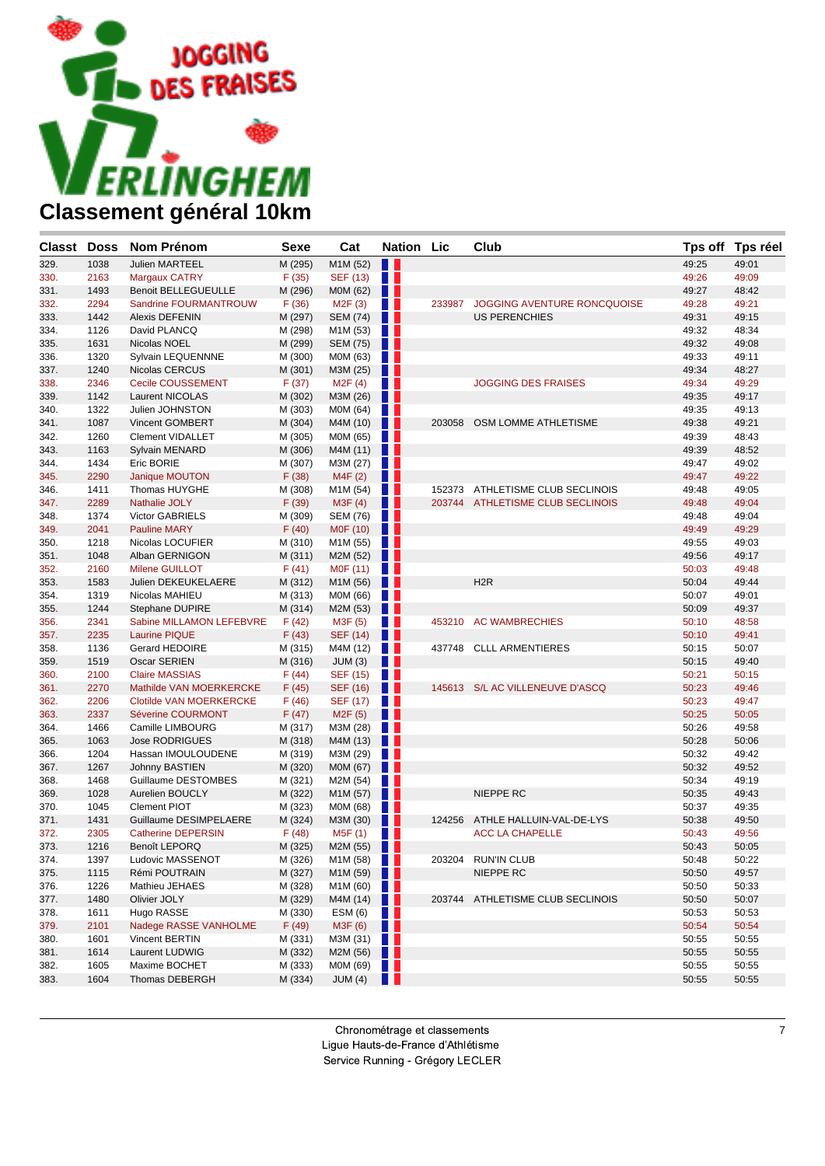

| <b>Classt Doss</b> |      | <b>Nom Prénom</b>              | <b>Sexe</b> | Cat                  | <b>Nation Lic</b> |        | Club                               |       | Tps off Tps réel |
|--------------------|------|--------------------------------|-------------|----------------------|-------------------|--------|------------------------------------|-------|------------------|
| 329.               | 1038 | <b>Julien MARTEEL</b>          | M (295)     | M1M (52)             | n n               |        |                                    | 49:25 | 49:01            |
| 330.               | 2163 | <b>Margaux CATRY</b>           | F(35)       | <b>SEF (13)</b>      | H.                |        |                                    | 49:26 | 49:09            |
| 331.               | 1493 | <b>Benoit BELLEGUEULLE</b>     | M (296)     | M0M (62)             | n n               |        |                                    | 49:27 | 48:42            |
| 332.               | 2294 | Sandrine FOURMANTROUW          | F(36)       | M <sub>2</sub> F(3)  | H.                | 233987 | <b>JOGGING AVENTURE RONCQUOISE</b> | 49:28 | 49:21            |
| 333.               | 1442 | Alexis DEFENIN                 | M (297)     | <b>SEM (74)</b>      | a sa              |        | <b>US PERENCHIES</b>               | 49:31 | 49:15            |
| 334.               | 1126 | David PLANCQ                   | M (298)     | M1M (53)             | H.                |        |                                    | 49:32 | 48:34            |
| 335.               | 1631 | Nicolas NOEL                   | M (299)     | SEM (75)             | . .               |        |                                    | 49:32 | 49:08            |
| 336.               | 1320 | Sylvain LEQUENNNE              | M (300)     | M0M (63)             | <b>TELESCOPE</b>  |        |                                    | 49:33 | 49:11            |
| 337.               | 1240 | Nicolas CERCUS                 | M (301)     | M3M (25)             | u u               |        |                                    | 49:34 | 48:27            |
| 338.               | 2346 | Cecile COUSSEMENT              | F(37)       | M2F(4)               | <b>TELESCOPE</b>  |        | <b>JOGGING DES FRAISES</b>         | 49:34 | 49:29            |
| 339.               | 1142 | Laurent NICOLAS                | M (302)     | M3M (26)             | w                 |        |                                    | 49:35 | 49:17            |
| 340.               | 1322 | Julien JOHNSTON                | M (303)     | M0M (64)             | a se              |        |                                    | 49:35 | 49:13            |
| 341.               | 1087 | Vincent GOMBERT                | M (304)     | M4M (10)             | a sa              |        | 203058 OSM LOMME ATHLETISME        | 49:38 | 49:21            |
| 342.               | 1260 | <b>Clement VIDALLET</b>        | M (305)     | M0M (65)             | H.                |        |                                    | 49:39 | 48:43            |
| 343.               | 1163 | Sylvain MENARD                 | M (306)     | M4M (11)             | a sa              |        |                                    | 49:39 | 48:52            |
| 344.               | 1434 | Eric BORIE                     | M (307)     | M3M (27)             | H.                |        |                                    | 49:47 | 49:02            |
| 345.               | 2290 | Janique MOUTON                 | F(38)       | M4F(2)               | Ш                 |        |                                    | 49:47 | 49:22            |
| 346.               | 1411 | Thomas HUYGHE                  | M (308)     | M1M (54)             | <b>TELESCOPE</b>  |        | 152373 ATHLETISME CLUB SECLINOIS   | 49:48 | 49:05            |
| 347.               | 2289 | <b>Nathalie JOLY</b>           | F(39)       | M3F(4)               | . .               |        | 203744 ATHLETISME CLUB SECLINOIS   | 49:48 | 49:04            |
| 348.               | 1374 | Victor GABRIELS                | M (309)     | SEM (76)             | $\blacksquare$    |        |                                    | 49:48 | 49:04            |
| 349.               | 2041 | <b>Pauline MARY</b>            | F(40)       | M0F (10)             | w                 |        |                                    | 49:49 | 49:29            |
| 350.               | 1218 | Nicolas LOCUFIER               | M (310)     | M1M (55)             |                   |        |                                    | 49:55 | 49:03            |
| 351.               | 1048 | Alban GERNIGON                 | M (311)     | M2M (52)             | . .               |        |                                    | 49:56 | 49:17            |
| 352.               | 2160 | Milene GUILLOT                 | F(41)       | M0F (11)             | n e s             |        |                                    | 50:03 | 49:48            |
| 353.               | 1583 | Julien DEKEUKELAERE            | M (312)     | M1M (56)             | a sa              |        | H <sub>2</sub> R                   | 50:04 | 49:44            |
| 354.               | 1319 | Nicolas MAHIEU                 | M (313)     | M0M (66)             | a ka              |        |                                    | 50:07 | 49:01            |
| 355.               | 1244 | <b>Stephane DUPIRE</b>         | M (314)     | M2M (53)             | a sa              |        |                                    | 50:09 | 49:37            |
| 356.               | 2341 | Sabine MILLAMON LEFEBVRE       | F(42)       | M3F (5)              | <b>TELESCOPE</b>  | 453210 | <b>AC WAMBRECHIES</b>              | 50:10 | 48:58            |
| 357.               | 2235 | <b>Laurine PIQUE</b>           | F(43)       | <b>SEF (14)</b>      | H.                |        |                                    | 50:10 | 49:41            |
| 358.               | 1136 | Gerard HEDOIRE                 | M (315)     | M4M (12)             | H.                |        | 437748 CLLL ARMENTIERES            | 50:15 | 50:07            |
| 359.               | 1519 | <b>Oscar SERIEN</b>            | M (316)     | JUM(3)               | Ш                 |        |                                    | 50:15 | 49:40            |
| 360.               | 2100 | <b>Claire MASSIAS</b>          | F(44)       | SEF (15)             | n e s             |        |                                    | 50:21 | 50:15            |
| 361.               | 2270 | Mathilde VAN MOERKERCKE        | F(45)       | SEF (16)             | u                 |        | 145613 S/L AC VILLENEUVE D'ASCQ    | 50:23 | 49:46            |
| 362.               | 2206 | <b>Clotilde VAN MOERKERCKE</b> | F(46)       | SEF (17)             | n e s             |        |                                    | 50:23 | 49:47            |
| 363.               | 2337 | Séverine COURMONT              | F(47)       | M <sub>2</sub> F (5) | . .               |        |                                    | 50:25 | 50:05            |
| 364.               | 1466 | Camille LIMBOURG               | M (317)     | M3M (28)             | H.                |        |                                    | 50:26 | 49:58            |
| 365.               | 1063 | <b>Jose RODRIGUES</b>          | M (318)     | M4M (13)             | u                 |        |                                    | 50:28 | 50:06            |
| 366.               | 1204 | Hassan IMOULOUDENE             | M (319)     | M3M (29)             | a ka              |        |                                    | 50:32 | 49:42            |
| 367.               | 1267 | Johnny BASTIEN                 | M (320)     | M0M (67)             | . .               |        |                                    | 50:32 | 49:52            |
| 368.               | 1468 | Guillaume DESTOMBES            | M (321)     | M2M (54)             | n e s             |        |                                    | 50:34 | 49:19            |
| 369.               | 1028 | Aurelien BOUCLY                | M (322)     | M1M (57)             | w                 |        | NIEPPE RC                          | 50:35 | 49:43            |
| 370.               | 1045 | <b>Clement PIOT</b>            | M (323)     | M0M (68)             |                   |        |                                    | 50:37 | 49:35            |
| 371.               | 1431 | Guillaume DESIMPELAERE         | M (324)     | M3M (30)             | w                 | 124256 | ATHLE HALLUIN-VAL-DE-LYS           | 50:38 | 49:50            |
| 372.               | 2305 | <b>Catherine DEPERSIN</b>      | F(48)       | M5F (1)              | <b>TELESCOPE</b>  |        | <b>ACC LA CHAPELLE</b>             | 50:43 | 49:56            |
| 373.               | 1216 | Benoît LEPORQ                  | M (325)     | M2M (55)             | . .               |        |                                    | 50:43 | 50:05            |
| 374.               | 1397 | Ludovic MASSENOT               | M (326)     | M1M(58)              |                   |        | 203204 RUN'IN CLUB                 | 50:48 | 50:22            |
| 375.               | 1115 | Rémi POUTRAIN                  | M (327)     | M1M(59)              |                   |        | NIEPPE RC                          | 50:50 | 49:57            |
| 376.               | 1226 | Mathieu JEHAES                 | M (328)     | M1M(60)              |                   |        |                                    | 50:50 | 50:33            |
| 377.               | 1480 | Olivier JOLY                   | M (329)     | M4M (14)             | . .               |        | 203744 ATHLETISME CLUB SECLINOIS   | 50:50 | 50:07            |
| 378.               | 1611 | Hugo RASSE                     | M (330)     | ESM(6)               | n n               |        |                                    | 50:53 | 50:53            |
| 379.               | 2101 | Nadege RASSE VANHOLME          | F(49)       | M3F (6)              | Ш                 |        |                                    | 50:54 | 50:54            |
| 380.               | 1601 | Vincent BERTIN                 | M (331)     | M3M(31)              |                   |        |                                    | 50:55 | 50:55            |
| 381.               | 1614 | Laurent LUDWIG                 | M (332)     | M2M(56)              |                   |        |                                    | 50:55 | 50:55            |
| 382.               | 1605 | Maxime BOCHET                  | M (333)     | MOM $(69)$           |                   |        |                                    | 50:55 | 50:55            |
| 383.               | 1604 | Thomas DEBERGH                 | M (334)     | JUM(4)               | ш                 |        |                                    | 50:55 | 50:55            |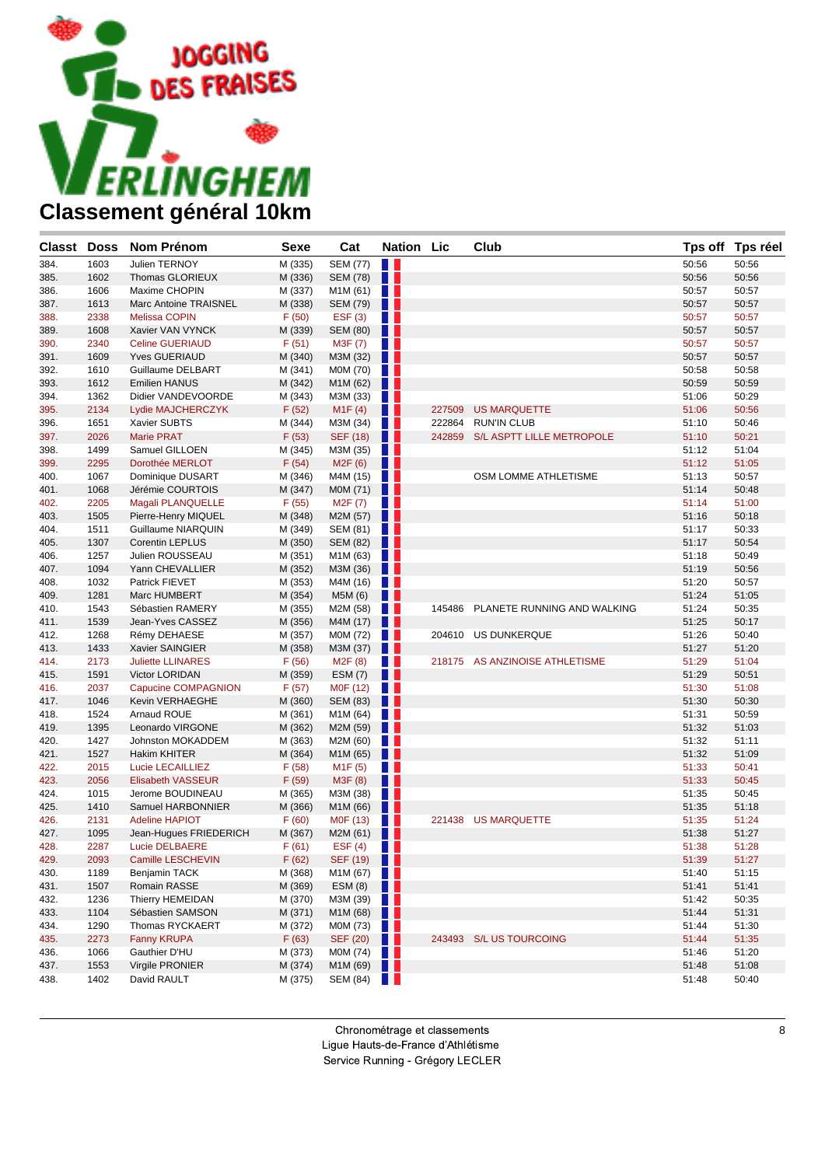

| <b>Classt Doss</b> |              | <b>Nom Prénom</b>                            | <b>Sexe</b>        | Cat                  | <b>Nation Lic</b> |        | Club                               |                | Tps off Tps réel |
|--------------------|--------------|----------------------------------------------|--------------------|----------------------|-------------------|--------|------------------------------------|----------------|------------------|
| 384.               | 1603         | Julien TERNOY                                | M (335)            | <b>SEM (77)</b>      | H I               |        |                                    | 50:56          | 50:56            |
| 385.               | 1602         | <b>Thomas GLORIEUX</b>                       | M (336)            | <b>SEM (78)</b>      | w                 |        |                                    | 50:56          | 50:56            |
| 386.               | 1606         | Maxime CHOPIN                                | M (337)            | M1M (61)             | a ka              |        |                                    | 50:57          | 50:57            |
| 387.               | 1613         | <b>Marc Antoine TRAISNEL</b>                 | M (338)            | <b>SEM (79)</b>      | w                 |        |                                    | 50:57          | 50:57            |
| 388.               | 2338         | <b>Melissa COPIN</b>                         | F(50)              | EST(3)               | a ka              |        |                                    | 50:57          | 50:57            |
| 389.               | 1608         | Xavier VAN VYNCK                             | M (339)            | SEM (80)             | a s               |        |                                    | 50:57          | 50:57            |
| 390.               | 2340         | <b>Celine GUERIAUD</b>                       | F(51)              | M3F (7)              | n n               |        |                                    | 50:57          | 50:57            |
| 391.               | 1609         | <b>Yves GUERIAUD</b>                         | M (340)            | M3M (32)             | a s               |        |                                    | 50:57          | 50:57            |
| 392.               | 1610         | Guillaume DELBART                            | M (341)            | M0M (70)             | a ka              |        |                                    | 50:58          | 50:58            |
| 393.               | 1612         | Emilien HANUS                                | M (342)            | M1M (62)             | . .               |        |                                    | 50:59          | 50:59            |
| 394.               | 1362         | Didier VANDEVOORDE                           | M (343)            | M3M (33)             | n a               |        |                                    | 51:06          | 50:29            |
| 395.               | 2134         | Lydie MAJCHERCZYK                            | F(52)              | M1F(4)               | Ш                 | 227509 | <b>US MARQUETTE</b>                | 51:06          | 50:56            |
| 396.               | 1651         | Xavier SUBTS                                 | M (344)            | M3M (34)             | . .               |        | 222864 RUN'IN CLUB                 | 51:10          | 50:46            |
| 397.               | 2026         | <b>Marie PRAT</b>                            | F(53)              | <b>SEF (18)</b>      | w                 | 242859 | S/L ASPTT LILLE METROPOLE          | 51:10          | 50:21            |
| 398.               | 1499         | Samuel GILLOEN                               | M (345)            | M3M (35)             | a ka              |        |                                    | 51:12          | 51:04            |
| 399.               | 2295         | Dorothée MERLOT                              | F(54)              | M2F(6)               | w                 |        |                                    | 51:12          | 51:05            |
| 400.               | 1067         | Dominique DUSART                             | M (346)            | M4M (15)             |                   |        | OSM LOMME ATHLETISME               | 51:13          | 50:57            |
| 401.               | 1068         | Jérémie COURTOIS                             | M (347)            | M0M (71)             | n n               |        |                                    | 51:14          | 50:48            |
| 402.               | 2205         | Magali PLANQUELLE                            | F(55)              | M2F (7)              | a ka              |        |                                    | 51:14          | 51:00            |
| 403.               | 1505         | Pierre-Henry MIQUEL                          | M (348)            | M2M (57)             |                   |        |                                    | 51:16          | 50:18            |
| 404.               | 1511         | Guillaume NIARQUIN                           | M (349)            | SEM (81)             | a ka              |        |                                    | 51:17          | 50:33            |
| 405.               | 1307         | Corentin LEPLUS                              | M (350)            | <b>SEM (82)</b>      | . .               |        |                                    | 51:17          | 50:54            |
| 406.               | 1257         | Julien ROUSSEAU                              | M (351)            | M1M (63)             | . .               |        |                                    | 51:18          | 50:49            |
| 407.               | 1094         | Yann CHEVALLIER                              | M (352)            | M3M (36)             | n n               |        |                                    | 51:19          | 50:56            |
| 408.               | 1032         | Patrick FIEVET                               | M (353)            | M4M (16)             | a ka              |        |                                    | 51:20          | 50:57            |
| 409.               | 1281         | Marc HUMBERT                                 | M (354)            | M5M (6)              | w                 |        |                                    | 51:24          | 51:05            |
| 410.               | 1543         | Sébastien RAMERY                             | M (355)            | M2M (58)             | a ka              |        | 145486 PLANETE RUNNING AND WALKING | 51:24          | 50:35            |
| 411.               | 1539         | Jean-Yves CASSEZ                             | M (356)            | M4M (17)             | n n               |        |                                    | 51:25          | 50:17            |
| 412.               | 1268         | Rémy DEHAESE                                 | M (357)            | M0M (72)             | . .               |        | 204610 US DUNKERQUE                | 51:26          | 50:40            |
| 413.               | 1433         | Xavier SAINGIER                              | M (358)            | M3M (37)             | ш                 |        |                                    | 51:27          | 51:20            |
| 414.               | 2173         | <b>Juliette LLINARES</b>                     | F(56)              | M2F(8)               | $\blacksquare$    |        | 218175 AS ANZINOISE ATHLETISME     | 51:29          | 51:04            |
| 415.               | 1591         | Victor LORIDAN                               | M (359)            | ESM(7)               | Ш                 |        |                                    | 51:29          | 50:51            |
| 416.               | 2037         | Capucine COMPAGNION                          | F(57)              | M0F (12)             | a ka              |        |                                    | 51:30          | 51:08            |
| 417.               | 1046         | Kevin VERHAEGHE                              | M (360)            | SEM (83)             | . .               |        |                                    | 51:30          | 50:30            |
| 418.               | 1524         | Arnaud ROUE                                  | M (361)            | M1M (64)             | a ka              |        |                                    | 51:31          | 50:59            |
| 419.               | 1395         | Leonardo VIRGONE                             | M (362)            | M2M (59)             | ш                 |        |                                    | 51:32          | 51:03            |
| 420.               | 1427         | Johnston MOKADDEM                            | M (363)            | M2M (60)             | a ka              |        |                                    | 51:32          | 51:11            |
| 421.               | 1527         | <b>Hakim KHITER</b>                          | M (364)            | M1M (65)             | . .               |        |                                    | 51:32          | 51:09            |
| 422.               | 2015<br>2056 | Lucie LECAILLIEZ<br><b>Elisabeth VASSEUR</b> | F(58)              | M <sub>1</sub> F(5)  | n n               |        |                                    | 51:33<br>51:33 | 50:41            |
| 423.<br>424.       |              | Jerome BOUDINEAU                             | F (59)             | M3F (8)              | H                 |        |                                    | 51:35          | 50:45<br>50:45   |
|                    | 1015<br>1410 |                                              | M (365)<br>M (366) | M3M (38)             | . .               |        |                                    | 51:35          | 51:18            |
| 425.<br>426.       | 2131         | Samuel HARBONNIER<br><b>Adeline HAPIOT</b>   | F(60)              | M1M (66)             | a ka              |        | 221438 US MARQUETTE                | 51:35          | 51:24            |
| 427.               | 1095         | Jean-Hugues FRIEDERICH                       | M (367)            | M0F (13)<br>M2M (61) | . .               |        |                                    | 51:38          | 51:27            |
| 428.               | 2287         | Lucie DELBAERE                               | F(61)              | EST(4)               | a sa              |        |                                    | 51:38          | 51:28            |
| 429.               | 2093         | Camille LESCHEVIN                            |                    |                      |                   |        |                                    | 51:39          | 51:27            |
| 430.               | 1189         | Benjamin TACK                                | F(62)<br>M (368)   | SEF (19)<br>M1M(67)  |                   |        |                                    | 51:40          | 51:15            |
| 431.               | 1507         | Romain RASSE                                 | M (369)            | ESM(8)               | u u               |        |                                    | 51:41          | 51:41            |
| 432.               | 1236         | Thierry HEMEIDAN                             | M (370)            | M3M (39)             | w                 |        |                                    | 51:42          | 50:35            |
| 433.               | 1104         | Sébastien SAMSON                             | M (371)            | M1M (68)             | . .               |        |                                    | 51:44          | 51:31            |
| 434.               | 1290         | Thomas RYCKAERT                              | M (372)            | M0M (73)             | a ka              |        |                                    | 51:44          | 51:30            |
| 435.               | 2273         | <b>Fanny KRUPA</b>                           | F(63)              | SEF (20)             | $\blacksquare$    |        | 243493 S/L US TOURCOING            | 51:44          | 51:35            |
| 436.               | 1066         | Gauthier D'HU                                | M (373)            | MOM $(74)$           |                   |        |                                    | 51:46          | 51:20            |
| 437.               | 1553         | Virgile PRONIER                              | M (374)            | M1M(69)              |                   |        |                                    | 51:48          | 51:08            |
| 438.               | 1402         | David RAULT                                  | M (375)            | SEM (84)             |                   |        |                                    | 51:48          | 50:40            |
|                    |              |                                              |                    |                      |                   |        |                                    |                |                  |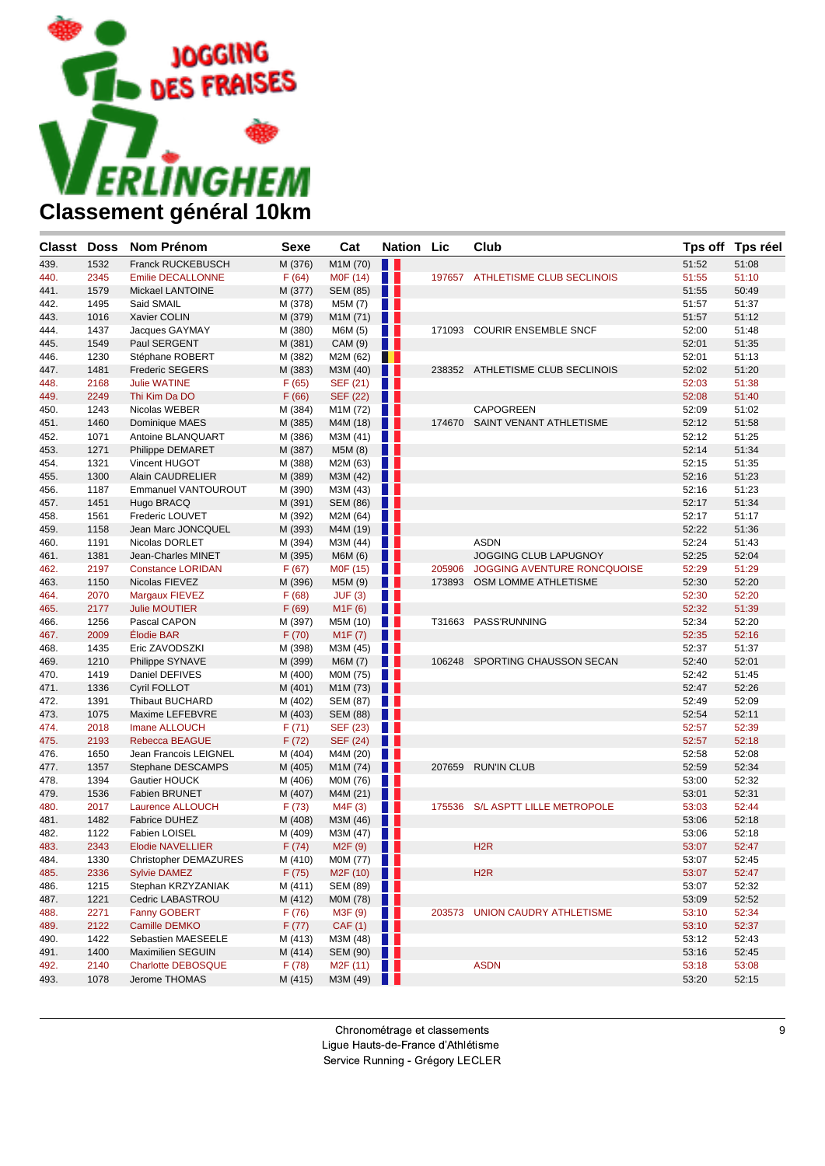

| <b>Classt</b> Doss |      | <b>Nom Prénom</b>            | <b>Sexe</b> | Cat                   | <b>Nation Lic</b> |        | Club                             |       | Tps off Tps réel |
|--------------------|------|------------------------------|-------------|-----------------------|-------------------|--------|----------------------------------|-------|------------------|
| 439.               | 1532 | <b>Franck RUCKEBUSCH</b>     | M (376)     | M1M (70)              | Ш                 |        |                                  | 51:52 | 51:08            |
| 440.               | 2345 | <b>Emilie DECALLONNE</b>     | F(64)       | M0F (14)              | w                 |        | 197657 ATHLETISME CLUB SECLINOIS | 51:55 | 51:10            |
| 441.               | 1579 | Mickael LANTOINE             | M (377)     | <b>SEM (85)</b>       | n                 |        |                                  | 51:55 | 50:49            |
| 442.               | 1495 | Said SMAIL                   | M (378)     | M5M (7)               | w                 |        |                                  | 51:57 | 51:37            |
| 443.               | 1016 | Xavier COLIN                 | M (379)     | M1M (71)              | H                 |        |                                  | 51:57 | 51:12            |
| 444.               | 1437 | Jacques GAYMAY               | M (380)     | M6M (5)               | H.                | 171093 | <b>COURIR ENSEMBLE SNCF</b>      | 52:00 | 51:48            |
| 445.               | 1549 | Paul SERGENT                 | M (381)     | CAM (9)               | H.                |        |                                  | 52:01 | 51:35            |
| 446.               | 1230 | Stéphane ROBERT              | M (382)     | M2M (62)              | . .               |        |                                  | 52:01 | 51:13            |
| 447.               | 1481 | <b>Frederic SEGERS</b>       | M (383)     | M3M (40)              | ш                 |        | 238352 ATHLETISME CLUB SECLINOIS | 52:02 | 51:20            |
| 448.               | 2168 | <b>Julie WATINE</b>          | F(65)       | SEF (21)              | H.                |        |                                  | 52:03 | 51:38            |
| 449.               | 2249 | Thi Kim Da DO                | F(66)       | <b>SEF (22)</b>       | Ш                 |        |                                  | 52:08 | 51:40            |
| 450.               | 1243 | Nicolas WEBER                | M (384)     | M1M (72)              | n e s             |        | <b>CAPOGREEN</b>                 | 52:09 | 51:02            |
| 451.               | 1460 | Dominique MAES               | M (385)     | M4M (18)              | n n               | 174670 | SAINT VENANT ATHLETISME          | 52:12 | 51:58            |
| 452.               | 1071 | Antoine BLANQUART            | M (386)     | M3M (41)              | <b>TELESCOPE</b>  |        |                                  | 52:12 | 51:25            |
| 453.               | 1271 | Philippe DEMARET             | M (387)     | M5M (8)               | . .               |        |                                  | 52:14 | 51:34            |
| 454.               | 1321 | Vincent HUGOT                | M (388)     | M2M (63)              | <b>TILL</b>       |        |                                  | 52:15 | 51:35            |
| 455.               | 1300 | Alain CAUDRELIER             | M (389)     | M3M (42)              | . .               |        |                                  | 52:16 | 51:23            |
| 456.               | 1187 | Emmanuel VANTOUROUT          | M (390)     | M3M (43)              | W                 |        |                                  | 52:16 | 51:23            |
| 457.               | 1451 | Hugo BRACQ                   | M (391)     | SEM (86)              | . .               |        |                                  | 52:17 | 51:34            |
| 458.               | 1561 | Frederic LOUVET              | M (392)     | M2M (64)              | <b>STAR</b>       |        |                                  | 52:17 | 51:17            |
| 459.               | 1158 | Jean Marc JONCQUEL           | M (393)     | M4M (19)              | H                 |        |                                  | 52:22 | 51:36            |
| 460.               | 1191 | Nicolas DORLET               | M (394)     | M3M (44)              | n e s             |        | <b>ASDN</b>                      | 52:24 | 51:43            |
| 461.               | 1381 | Jean-Charles MINET           | M (395)     | M6M (6)               | H.                |        | JOGGING CLUB LAPUGNOY            | 52:25 | 52:04            |
| 462.               | 2197 | <b>Constance LORIDAN</b>     | F(67)       | M0F (15)              | <b>TELESCOPE</b>  | 205906 | JOGGING AVENTURE RONCQUOISE      | 52:29 | 51:29            |
| 463.               | 1150 | Nicolas FIEVEZ               | M (396)     | M5M (9)               | . .               | 173893 | OSM LOMME ATHLETISME             | 52:30 | 52:20            |
| 464.               | 2070 | Margaux FIEVEZ               | F(68)       | JUF(3)                | H.                |        |                                  | 52:30 | 52:20            |
| 465.               | 2177 | <b>Julie MOUTIER</b>         | F(69)       | M1F(6)                | . .               |        |                                  | 52:32 | 51:39            |
| 466.               | 1256 | Pascal CAPON                 | M (397)     | M5M (10)              | W                 |        | T31663 PASS'RUNNING              | 52:34 | 52:20            |
| 467.               | 2009 | Élodie BAR                   | F(70)       | M1F(7)                | Ш                 |        |                                  | 52:35 | 52:16            |
| 468.               | 1435 | Eric ZAVODSZKI               | M (398)     | M3M (45)              | a ser             |        |                                  | 52:37 | 51:37            |
| 469.               | 1210 | Philippe SYNAVE              | M (399)     | M6M (7)               | . .               | 106248 | SPORTING CHAUSSON SECAN          | 52:40 | 52:01            |
| 470.               | 1419 | Daniel DEFIVES               | M (400)     | M0M (75)              | W                 |        |                                  | 52:42 | 51:45            |
| 471.               | 1336 | Cyril FOLLOT                 | M (401)     | M1M (73)              | Ш                 |        |                                  | 52:47 | 52:26            |
| 472.               | 1391 | Thibaut BUCHARD              | M (402)     | SEM (87)              | W                 |        |                                  | 52:49 | 52:09            |
| 473.               | 1075 | Maxime LEFEBVRE              | M (403)     | <b>SEM (88)</b>       | n n               |        |                                  | 52:54 | 52:11            |
| 474.               | 2018 | Imane ALLOUCH                | F(71)       | SEF (23)              | <b>TELESCOPE</b>  |        |                                  | 52:57 | 52:39            |
| 475.               | 2193 | <b>Rebecca BEAGUE</b>        | F(72)       | <b>SEF (24)</b>       | . .               |        |                                  | 52:57 | 52:18            |
| 476.               | 1650 | Jean Francois LEIGNEL        | M (404)     | M4M (20)              | $\blacksquare$    |        |                                  | 52:58 | 52:08            |
| 477.               | 1357 | Stephane DESCAMPS            | M (405)     | M1M (74)              | n n               | 207659 | <b>RUN'IN CLUB</b>               | 52:59 | 52:34            |
| 478.               | 1394 | Gautier HOUCK                | M (406)     | M0M (76)              | a ser             |        |                                  | 53:00 | 52:32            |
| 479.               | 1536 | <b>Fabien BRUNET</b>         | M (407)     | M4M (21)              | Ш                 |        |                                  | 53:01 | 52:31            |
| 480.               | 2017 | Laurence ALLOUCH             | F(73)       | M4F (3)               | n e               | 175536 | S/L ASPTT LILLE METROPOLE        | 53:03 | 52:44            |
| 481.               | 1482 | Fabrice DUHEZ                | M (408)     | M3M (46)              | Ш                 |        |                                  | 53:06 | 52:18            |
| 482.               | 1122 | Fabien LOISEL                | M (409)     | M3M (47)              | $\blacksquare$    |        |                                  | 53:06 | 52:18            |
| 483.               | 2343 | <b>Elodie NAVELLIER</b>      | F(74)       | M <sub>2</sub> F (9)  | u                 |        | H <sub>2</sub> R                 | 53:07 | 52:47            |
| 484.               | 1330 | <b>Christopher DEMAZURES</b> | M (410)     | M0M (77)              | a se              |        |                                  | 53:07 | 52:45            |
| 485.               | 2336 | <b>Sylvie DAMEZ</b>          | F(75)       | M <sub>2</sub> F (10) | <b>TELE</b>       |        | H <sub>2</sub> R                 | 53:07 | 52:47            |
| 486.               | 1215 | Stephan KRZYZANIAK           | M (411)     | SEM (89)              | H L               |        |                                  | 53:07 | 52:32            |
| 487.               | 1221 | Cedric LABASTROU             | M (412)     | M0M (78)              | ш                 |        |                                  | 53:09 | 52:52            |
| 488.               | 2271 | <b>Fanny GOBERT</b>          | F(76)       | M3F (9)               | W                 |        | 203573 UNION CAUDRY ATHLETISME   | 53:10 | 52:34            |
| 489.               | 2122 | Camille DEMKO                | F(77)       | CAF(1)                | . .               |        |                                  | 53:10 | 52:37            |
| 490.               | 1422 | Sebastien MAESEELE           | M (413)     | M3M (48)              | H.                |        |                                  | 53:12 | 52:43            |
| 491.               | 1400 | Maximilien SEGUIN            | M (414)     | SEM (90)              | <b>TELESCOPE</b>  |        |                                  | 53:16 | 52:45            |
| 492.               | 2140 | Charlotte DEBOSQUE           | F(78)       | M2F (11)              | a ka              |        | <b>ASDN</b>                      | 53:18 | 53:08            |
| 493.               | 1078 | Jerome THOMAS                | M (415)     | M3M (49)              | ш                 |        |                                  | 53:20 | 52:15            |
|                    |      |                              |             |                       |                   |        |                                  |       |                  |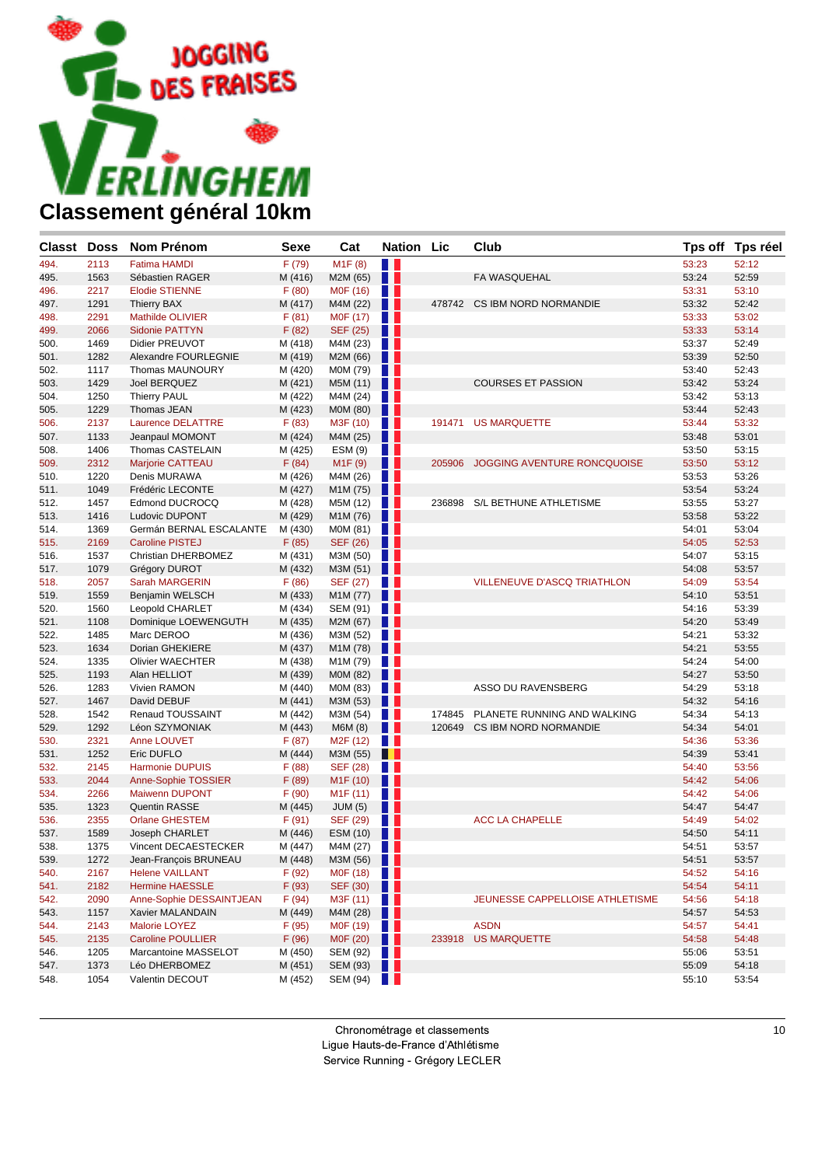

| Classt Doss  |              | Nom Prénom                                       | <b>Sexe</b>      | Cat                     | <b>Nation Lic</b> |        | Club                               |                | Tps off Tps réel |
|--------------|--------------|--------------------------------------------------|------------------|-------------------------|-------------------|--------|------------------------------------|----------------|------------------|
| 494.         | 2113         | <b>Fatima HAMDI</b>                              | F(79)            | M1F(8)                  | $\blacksquare$    |        |                                    | 53:23          | 52:12            |
| 495.         | 1563         | Sébastien RAGER                                  | M (416)          | M2M (65)                | w                 |        | FA WASQUEHAL                       | 53:24          | 52:59            |
| 496.         | 2217         | <b>Elodie STIENNE</b>                            | F(80)            | M0F (16)                | . .               |        |                                    | 53:31          | 53:10            |
| 497.         | 1291         | <b>Thierry BAX</b>                               | M (417)          | M4M (22)                | w                 |        | 478742 CS IBM NORD NORMANDIE       | 53:32          | 52:42            |
| 498.         | 2291         | Mathilde OLIVIER                                 | F(81)            | M0F (17)                | a ka              |        |                                    | 53:33          | 53:02            |
| 499.         | 2066         | Sidonie PATTYN                                   | F(82)            | SEF (25)                | w                 |        |                                    | 53:33          | 53:14            |
| 500.         | 1469         | Didier PREUVOT                                   | M (418)          | M4M (23)                |                   |        |                                    | 53:37          | 52:49            |
| 501.         | 1282         | Alexandre FOURLEGNIE                             | M (419)          | M2M (66)                | a sa              |        |                                    | 53:39          | 52:50            |
| 502.         | 1117         | Thomas MAUNOURY                                  | M (420)          | M0M (79)                | a ka              |        |                                    | 53:40          | 52:43            |
| 503.         | 1429         | Joel BERQUEZ                                     | M (421)          | M5M (11)                | . .               |        | <b>COURSES ET PASSION</b>          | 53:42          | 53:24            |
| 504.         | 1250         | <b>Thierry PAUL</b>                              | M (422)          | M4M (24)                | a ka              |        |                                    | 53:42          | 53:13            |
| 505.         | 1229         | Thomas JEAN                                      | M (423)          | M0M (80)                | w                 |        |                                    | 53:44          | 52:43            |
| 506.         | 2137         | <b>Laurence DELATTRE</b>                         | F(83)            | M3F (10)                | . .               |        | 191471 US MARQUETTE                | 53:44          | 53:32            |
| 507.         | 1133         | Jeanpaul MOMONT                                  | M (424)          | M4M (25)                | ш                 |        |                                    | 53:48          | 53:01            |
| 508.         | 1406         | Thomas CASTELAIN                                 | M (425)          | ESM(9)                  | . .               |        |                                    | 53:50          | 53:15            |
| 509.         | 2312         | Marjorie CATTEAU                                 | F(84)            | M1F(9)                  | Ш                 | 205906 | JOGGING AVENTURE RONCQUOISE        | 53:50          | 53:12            |
| 510.         | 1220         | Denis MURAWA                                     | M (426)          | M4M (26)                | a ka              |        |                                    | 53:53          | 53:26            |
| 511.         | 1049         | Frédéric LECONTE                                 | M (427)          | M1M (75)                | . .               |        |                                    | 53:54          | 53:24            |
| 512.         | 1457         | Edmond DUCROCQ                                   | M (428)          | M5M (12)                | . .               | 236898 | S/L BETHUNE ATHLETISME             | 53:55          | 53:27            |
| 513.         | 1416         | Ludovic DUPONT                                   | M (429)          | M1M (76)                | . .               |        |                                    | 53:58          | 53:22            |
| 514.         | 1369         | Germán BERNAL ESCALANTE                          | M (430)          | M0M (81)                | <b>TELESCOPE</b>  |        |                                    | 54:01          | 53:04            |
| 515.         | 2169         | <b>Caroline PISTEJ</b>                           | F(85)            | <b>SEF (26)</b>         | . .               |        |                                    | 54:05          | 52:53            |
| 516.         | 1537         | Christian DHERBOMEZ                              | M (431)          | M3M (50)                | . .               |        |                                    | 54:07          | 53:15            |
| 517.         | 1079         | Grégory DUROT                                    | M (432)          | M3M (51)                | . .               |        |                                    | 54:08          | 53:57            |
| 518.         | 2057         | <b>Sarah MARGERIN</b>                            | F(86)            | SEF (27)                | . .               |        | <b>VILLENEUVE D'ASCQ TRIATHLON</b> | 54:09          | 53:54            |
| 519.         | 1559         | Benjamin WELSCH                                  | M (433)          | M1M (77)                | . .               |        |                                    | 54:10          | 53:51            |
| 520.         | 1560         | Leopold CHARLET                                  | M (434)          | SEM $(91)$              |                   |        |                                    | 54:16          | 53:39            |
| 521.         | 1108         | Dominique LOEWENGUTH                             | M (435)          | M2M (67)                | . .               |        |                                    | 54:20          | 53:49            |
| 522.         | 1485         | Marc DEROO                                       | M (436)          | M3M (52)                | <b>TELEVISION</b> |        |                                    | 54:21          | 53:32            |
| 523.         | 1634         | Dorian GHEKIERE                                  | M (437)          | M1M (78)                | ш                 |        |                                    | 54:21          | 53:55            |
| 524.         | 1335         | <b>Olivier WAECHTER</b>                          | M (438)          | M1M (79)                | a ka              |        |                                    | 54:24          | 54:00            |
| 525.         | 1193         | Alan HELLIOT                                     | M (439)          | M0M (82)                | u p               |        |                                    | 54:27          | 53:50            |
| 526.         | 1283         | Vivien RAMON                                     | M (440)          | M0M (83)                | . .               |        | ASSO DU RAVENSBERG                 | 54:29          | 53:18            |
| 527.         | 1467         | David DEBUF                                      | M (441)          | M3M (53)                | . .               |        |                                    | 54:32          | 54:16            |
| 528.         | 1542         | Renaud TOUSSAINT                                 | M (442)          | M3M (54)                |                   |        | 174845 PLANETE RUNNING AND WALKING | 54:34          | 54:13            |
| 529.         | 1292         | Léon SZYMONIAK                                   | M (443)          | M6M (8)                 | a s               | 120649 | CS IBM NORD NORMANDIE              | 54:34          | 54:01            |
| 530.         | 2321         | Anne LOUVET                                      | F(87)            | M2F (12)                | a ka              |        |                                    | 54:36          | 53:36            |
| 531.         | 1252         | Eric DUFLO                                       | M (444)          | M3M (55)                | . .               |        |                                    | 54:39          | 53:41            |
| 532.         | 2145         | <b>Harmonie DUPUIS</b>                           | F(88)            | SEF (28)                |                   |        |                                    | 54:40          | 53:56            |
| 533.         | 2044         | Anne-Sophie TOSSIER                              | F(89)            | M <sub>1</sub> F (10)   | a sa              |        |                                    | 54:42          | 54:06            |
| 534.         | 2266         | <b>Maiwenn DUPONT</b>                            | F(90)            | M <sub>1</sub> F(11)    | a ka              |        |                                    | 54:42          | 54:06            |
| 535.         | 1323         | <b>Quentin RASSE</b>                             | M (445)          | JUM(5)                  | U                 |        |                                    | 54:47          | 54:47            |
| 536.         | 2355         | <b>Orlane GHESTEM</b>                            | F(91)            | SEF (29)                | a ka              |        | <b>ACC LA CHAPELLE</b>             | 54:49          | 54:02            |
| 537.         | 1589         | Joseph CHARLET<br>Vincent DECAESTECKER           | M (446)          | ESM (10)                | . .               |        |                                    | 54:50          | 54:11            |
| 538.<br>539. | 1375         |                                                  | M (447)          | M4M (27)                |                   |        |                                    | 54:51          | 53:57            |
|              | 1272         | Jean-François BRUNEAU                            | M (448)          | M3M(56)                 |                   |        |                                    | 54:51          | 53:57            |
| 540.         | 2167         | <b>Helene VAILLANT</b><br><b>Hermine HAESSLE</b> | F(92)            | MOF (18) $\blacksquare$ |                   |        |                                    | 54:52          | 54:16            |
| 541.         | 2182         | Anne-Sophie DESSAINTJEAN                         | F(93)            | SEF (30)                | w                 |        |                                    | 54:54          | 54:11            |
| 542.<br>543. | 2090         | Xavier MALANDAIN                                 | F(94)<br>M (449) | M3F $(11)$              |                   |        | JEUNESSE CAPPELLOISE ATHLETISME    | 54:56<br>54:57 | 54:18<br>54:53   |
|              | 1157         |                                                  | F(95)            | M4M(28)<br>M0F (19)     | <b>TELESCOPE</b>  |        | <b>ASDN</b>                        |                |                  |
| 544.<br>545. | 2143<br>2135 | Malorie LOYEZ<br><b>Caroline POULLIER</b>        | F (96)           | MOF $(20)$              |                   |        | 233918 US MARQUETTE                | 54:57<br>54:58 | 54:41<br>54:48   |
|              | 1205         | Marcantoine MASSELOT                             | M (450)          |                         |                   |        |                                    | 55:06          | 53:51            |
| 546.<br>547. | 1373         | Léo DHERBOMEZ                                    | M (451)          | SEM $(92)$<br>SEM (93)  |                   |        |                                    | 55:09          | 54:18            |
| 548.         | 1054         | Valentin DECOUT                                  | M (452)          |                         |                   |        |                                    | 55:10          | 53:54            |
|              |              |                                                  |                  | SEM $(94)$              |                   |        |                                    |                |                  |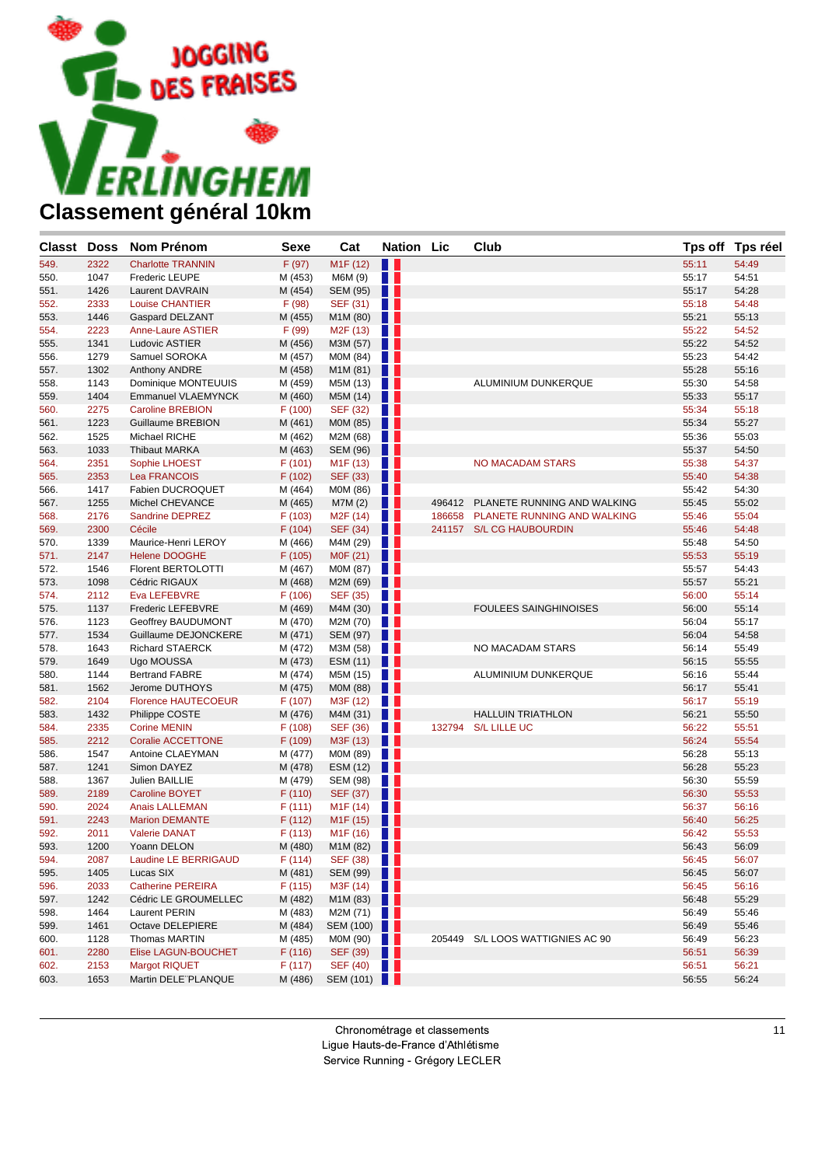

| <b>Classt Doss</b> |      | <b>Nom Prénom</b>          | <b>Sexe</b> | Cat                   | <b>Nation Lic</b> |        | Club                             |       | Tps off Tps réel |
|--------------------|------|----------------------------|-------------|-----------------------|-------------------|--------|----------------------------------|-------|------------------|
| 549.               | 2322 | <b>Charlotte TRANNIN</b>   | F (97)      | M <sub>1</sub> F (12) | <b>H</b> 1        |        |                                  | 55:11 | 54:49            |
| 550.               | 1047 | Frederic LEUPE             | M (453)     | M6M (9)               | H.                |        |                                  | 55:17 | 54:51            |
| 551.               | 1426 | <b>Laurent DAVRAIN</b>     | M (454)     | <b>SEM (95)</b>       | $\blacksquare$    |        |                                  | 55:17 | 54:28            |
| 552.               | 2333 | <b>Louise CHANTIER</b>     | F(98)       | SEF (31)              | W                 |        |                                  | 55:18 | 54:48            |
| 553.               | 1446 | Gaspard DELZANT            | M (455)     | M1M (80)              | . .               |        |                                  | 55:21 | 55:13            |
| 554.               | 2223 | Anne-Laure ASTIER          | F (99)      | M <sub>2</sub> F (13) | . .               |        |                                  | 55:22 | 54:52            |
| 555.               | 1341 | Ludovic ASTIER             | M (456)     | M3M (57)              | w                 |        |                                  | 55:22 | 54:52            |
| 556.               | 1279 | Samuel SOROKA              | M (457)     | M0M (84)              | . .               |        |                                  | 55:23 | 54:42            |
| 557.               | 1302 | Anthony ANDRE              | M (458)     | M1M (81)              |                   |        |                                  | 55:28 | 55:16            |
| 558.               | 1143 | Dominique MONTEUUIS        | M (459)     | M5M (13)              | a sa s            |        | ALUMINIUM DUNKERQUE              | 55:30 | 54:58            |
| 559.               | 1404 | Emmanuel VLAEMYNCK         | M (460)     | M5M (14)              | . .               |        |                                  | 55:33 | 55:17            |
| 560.               | 2275 | <b>Caroline BREBION</b>    | F(100)      | SEF (32)              | . .               |        |                                  | 55:34 | 55:18            |
| 561.               | 1223 | <b>Guillaume BREBION</b>   | M (461)     | M0M (85)              | w                 |        |                                  | 55:34 | 55:27            |
| 562.               | 1525 | Michael RICHE              | M (462)     | M2M (68)              | a ka              |        |                                  | 55:36 | 55:03            |
| 563.               | 1033 | <b>Thibaut MARKA</b>       | M (463)     | SEM (96)              | . .               |        |                                  | 55:37 | 54:50            |
| 564.               | 2351 | Sophie LHOEST              | F(101)      | M1F (13)              | W                 |        | <b>NO MACADAM STARS</b>          | 55:38 | 54:37            |
| 565.               | 2353 | <b>Lea FRANCOIS</b>        | F (102)     | SEF (33)              | . .               |        |                                  | 55:40 | 54:38            |
| 566.               | 1417 | Fabien DUCROQUET           | M (464)     | M0M (86)              | n n               |        |                                  | 55:42 | 54:30            |
| 567.               | 1255 | Michel CHEVANCE            | M (465)     | M7M (2)               | . .               | 496412 | PLANETE RUNNING AND WALKING      | 55:45 | 55:02            |
| 568.               | 2176 | Sandrine DEPREZ            | F(103)      | M2F (14)              | . .               | 186658 | PLANETE RUNNING AND WALKING      | 55:46 | 55:04            |
| 569.               | 2300 | Cécile                     | F(104)      | SEF (34)              | H                 |        | 241157 S/L CG HAUBOURDIN         | 55:46 | 54:48            |
| 570.               | 1339 | Maurice-Henri LEROY        | M (466)     | M4M (29)              | a sa s            |        |                                  | 55:48 | 54:50            |
| 571.               | 2147 | <b>Helene DOOGHE</b>       | F (105)     | M0F (21)              | w                 |        |                                  | 55:53 | 55:19            |
| 572.               | 1546 | <b>Florent BERTOLOTTI</b>  | M (467)     | M0M (87)              | . .               |        |                                  | 55:57 | 54:43            |
| 573.               | 1098 | Cédric RIGAUX              | M (468)     | M2M (69)              |                   |        |                                  | 55:57 | 55:21            |
| 574.               | 2112 | Eva LEFEBVRE               | F(106)      | SEF (35)              | a ka              |        |                                  | 56:00 | 55:14            |
| 575.               | 1137 | Frederic LEFEBVRE          | M (469)     | M4M (30)              | . .               |        | <b>FOULEES SAINGHINOISES</b>     | 56:00 | 55:14            |
| 576.               | 1123 | Geoffrey BAUDUMONT         | M (470)     | M2M (70)              | . .               |        |                                  | 56:04 | 55:17            |
| 577.               | 1534 | Guillaume DEJONCKERE       | M (471)     | SEM (97)              | n n               |        |                                  | 56:04 | 54:58            |
| 578.               | 1643 | <b>Richard STAERCK</b>     | M (472)     | M3M (58)              | a ka              |        | NO MACADAM STARS                 | 56:14 | 55:49            |
| 579.               | 1649 | Ugo MOUSSA                 | M (473)     | ESM (11)              |                   |        |                                  | 56:15 | 55:55            |
| 580.               | 1144 | <b>Bertrand FABRE</b>      | M (474)     | M5M (15)              | a sa s            |        | ALUMINIUM DUNKERQUE              | 56:16 | 55:44            |
| 581.               | 1562 | Jerome DUTHOYS             | M (475)     | M0M (88)              | . .               |        |                                  | 56:17 | 55:41            |
| 582.               | 2104 | <b>Florence HAUTECOEUR</b> | F(107)      | M3F (12)              | . .               |        |                                  | 56:17 | 55:19            |
| 583.               | 1432 | Philippe COSTE             | M (476)     | M4M (31)              | . .               |        | <b>HALLUIN TRIATHLON</b>         | 56:21 | 55:50            |
| 584.               | 2335 | <b>Corine MENIN</b>        | F(108)      | SEF (36)              | a ka              |        | 132794 S/L LILLE UC              | 56:22 | 55:51            |
| 585.               | 2212 | <b>Coralie ACCETTONE</b>   | F (109)     | M3F (13)              | Ш                 |        |                                  | 56:24 | 55:54            |
| 586.               | 1547 | Antoine CLAEYMAN           | M (477)     | M0M (89)              | n a               |        |                                  | 56:28 | 55:13            |
| 587.               | 1241 | Simon DAYEZ                | M (478)     | ESM (12)              | n n               |        |                                  | 56:28 | 55:23            |
| 588.               | 1367 | Julien BAILLIE             | M (479)     | <b>SEM (98)</b>       | a ka              |        |                                  | 56:30 | 55:59            |
| 589.               | 2189 | <b>Caroline BOYET</b>      | F(110)      | SEF (37)              | w                 |        |                                  | 56:30 | 55:53            |
| 590.               | 2024 | <b>Anais LALLEMAN</b>      | F(111)      | M <sub>1</sub> F (14) | a sa s            |        |                                  | 56:37 | 56:16            |
| 591.               | 2243 | <b>Marion DEMANTE</b>      | F(112)      | M <sub>1</sub> F (15) | w                 |        |                                  | 56:40 | 56:25            |
| 592.               | 2011 | <b>Valerie DANAT</b>       | F(113)      | M1F (16)              | . .               |        |                                  | 56:42 | 55:53            |
| 593.               | 1200 | Yoann DELON                | M (480)     | M1M (82)              | . .               |        |                                  | 56:43 | 56:09            |
| 594.               | 2087 | Laudine LE BERRIGAUD       | F (114)     | SEF (38)              |                   |        |                                  | 56:45 | 56:07            |
| 595.               | 1405 | Lucas SIX                  | M (481)     | SEM (99)              |                   |        |                                  | 56:45 | 56:07            |
| 596.               | 2033 | <b>Catherine PEREIRA</b>   | F(115)      | M3F (14)              | a sa s            |        |                                  | 56:45 | 56:16            |
| 597.               | 1242 | Cédric LE GROUMELLEC       | M (482)     | M1M(83)               |                   |        |                                  | 56:48 | 55:29            |
| 598.               | 1464 | <b>Laurent PERIN</b>       | M (483)     | M2M $(71)$            |                   |        |                                  | 56:49 | 55:46            |
| 599.               | 1461 | Octave DELEPIERE           | M (484)     | SEM (100)             |                   |        |                                  | 56:49 | 55:46            |
| 600.               | 1128 | Thomas MARTIN              | M (485)     | MOM(90)               |                   |        | 205449 S/L LOOS WATTIGNIES AC 90 | 56:49 | 56:23            |
| 601.               | 2280 | Elise LAGUN-BOUCHET        | F(116)      | SEF $(39)$            |                   |        |                                  | 56:51 | 56:39            |
| 602.               | 2153 | Margot RIQUET              | F (117)     | SEF(40)               |                   |        |                                  | 56:51 | 56:21            |
| 603.               | 1653 | Martin DELE"PLANQUE        | M (486)     | SEM (101)             |                   |        |                                  | 56:55 | 56:24            |
|                    |      |                            |             |                       |                   |        |                                  |       |                  |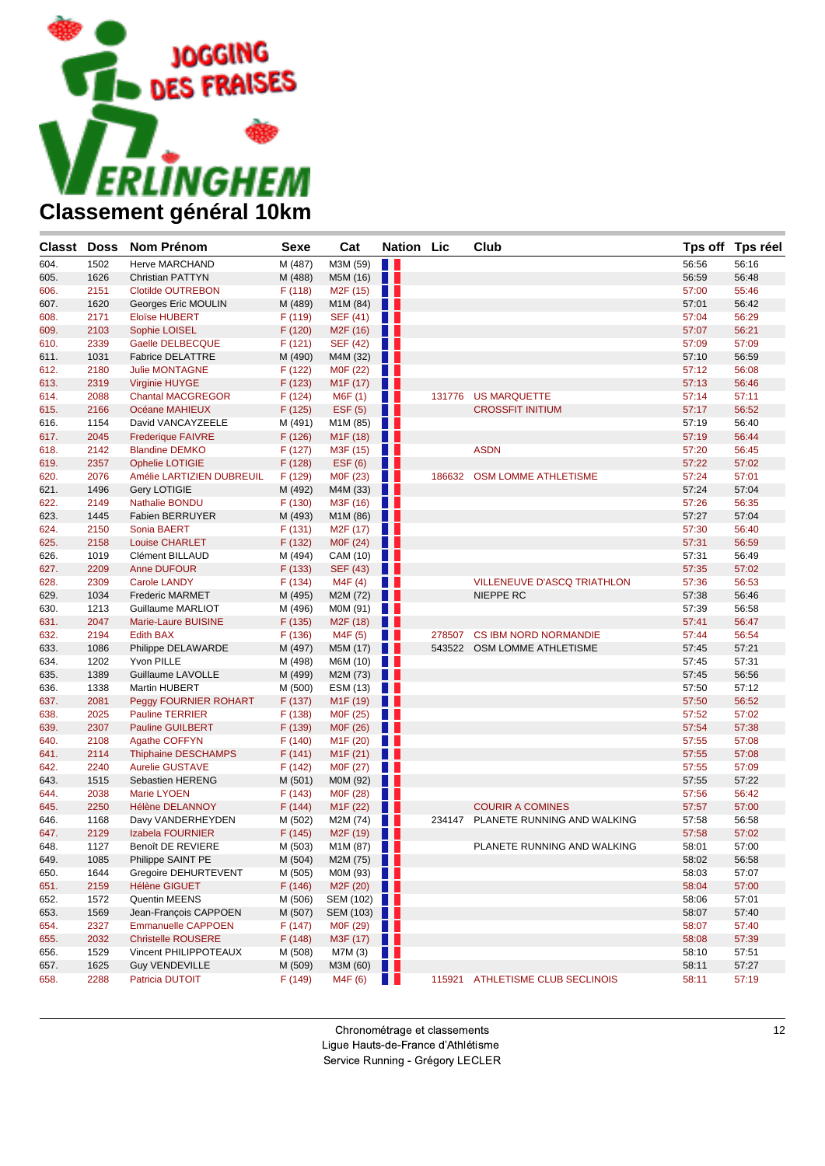

| <b>Classt Doss</b> |      | <b>Nom Prénom</b>          | <b>Sexe</b> | Cat                     | <b>Nation Lic</b> |        | Club                             |       | Tps off Tps réel |
|--------------------|------|----------------------------|-------------|-------------------------|-------------------|--------|----------------------------------|-------|------------------|
| 604.               | 1502 | <b>Herve MARCHAND</b>      | M (487)     | M3M (59)                | H.                |        |                                  | 56:56 | 56:16            |
| 605.               | 1626 | <b>Christian PATTYN</b>    | M (488)     | M5M (16)                | Ш                 |        |                                  | 56:59 | 56:48            |
| 606.               | 2151 | <b>Clotilde OUTREBON</b>   | F (118)     | M <sub>2</sub> F (15)   | a ka              |        |                                  | 57:00 | 55:46            |
| 607.               | 1620 | Georges Eric MOULIN        | M (489)     | M1M (84)                | . .               |        |                                  | 57:01 | 56:42            |
| 608.               | 2171 | <b>Eloïse HUBERT</b>       | F (119)     | SEF (41)                | n a               |        |                                  | 57:04 | 56:29            |
| 609.               | 2103 | Sophie LOISEL              | F (120)     | M <sub>2</sub> F (16)   | w                 |        |                                  | 57:07 | 56:21            |
| 610.               | 2339 | Gaelle DELBECQUE           | F(121)      | <b>SEF (42)</b>         | . .               |        |                                  | 57:09 | 57:09            |
| 611.               | 1031 | <b>Fabrice DELATTRE</b>    | M (490)     | M4M (32)                | Ш                 |        |                                  | 57:10 | 56:59            |
| 612.               | 2180 | <b>Julie MONTAGNE</b>      | F (122)     | M0F (22)                | n a               |        |                                  | 57:12 | 56:08            |
| 613.               | 2319 | <b>Virginie HUYGE</b>      | F (123)     | M <sub>1</sub> F (17)   | . .               |        |                                  | 57:13 | 56:46            |
| 614.               | 2088 | <b>Chantal MACGREGOR</b>   | F(124)      | M6F (1)                 | w                 | 131776 | <b>US MARQUETTE</b>              | 57:14 | 57:11            |
| 615.               | 2166 | Océane MAHIEUX             | F (125)     | EST(5)                  | H                 |        | <b>CROSSFIT INITIUM</b>          | 57:17 | 56:52            |
| 616.               | 1154 | David VANCAYZEELE          | M (491)     | M1M (85)                | H.                |        |                                  | 57:19 | 56:40            |
| 617.               | 2045 | <b>Frederique FAIVRE</b>   | F(126)      | M <sub>1</sub> F (18)   | Ш                 |        |                                  | 57:19 | 56:44            |
| 618.               | 2142 | <b>Blandine DEMKO</b>      | F (127)     | M3F (15)                | . .               |        | <b>ASDN</b>                      | 57:20 | 56:45            |
| 619.               | 2357 | <b>Ophelie LOTIGIE</b>     | F (128)     | EST(6)                  | Ш                 |        |                                  | 57:22 | 57:02            |
| 620.               | 2076 | Amélie LARTIZIEN DUBREUIL  | F (129)     | M0F (23)                | n a               |        | 186632 OSM LOMME ATHLETISME      | 57:24 | 57:01            |
| 621.               | 1496 | Gery LOTIGIE               | M (492)     | M4M (33)                | Ш                 |        |                                  | 57:24 | 57:04            |
| 622.               | 2149 | <b>Nathalie BONDU</b>      | F(130)      | M3F (16)                | . .               |        |                                  | 57:26 | 56:35            |
| 623.               | 1445 | <b>Fabien BERRUYER</b>     | M (493)     | M1M (86)                | u                 |        |                                  | 57:27 | 57:04            |
| 624.               | 2150 | Sonia BAERT                | F(131)      | M2F (17)                | a ka              |        |                                  | 57:30 | 56:40            |
| 625.               | 2158 | <b>Louise CHARLET</b>      | F(132)      | M0F (24)                | . .               |        |                                  | 57:31 | 56:59            |
| 626.               | 1019 | Clément BILLAUD            | M (494)     | CAM (10)                | . .               |        |                                  | 57:31 | 56:49            |
| 627.               | 2209 | <b>Anne DUFOUR</b>         | F (133)     | SEF (43)                | Ш                 |        |                                  | 57:35 | 57:02            |
| 628.               | 2309 | <b>Carole LANDY</b>        | F(134)      | M4F (4)                 | n n               |        | VILLENEUVE D'ASCQ TRIATHLON      | 57:36 | 56:53            |
| 629.               | 1034 | <b>Frederic MARMET</b>     | M (495)     | M2M (72)                |                   |        | NIEPPE RC                        | 57:38 | 56:46            |
| 630.               | 1213 | Guillaume MARLIOT          | M (496)     | M0M (91)                | n a               |        |                                  | 57:39 | 56:58            |
| 631.               | 2047 | Marie-Laure BUISINE        | F(135)      | M2F (18)                | a sa              |        |                                  | 57:41 | 56:47            |
| 632.               | 2194 | <b>Edith BAX</b>           | F(136)      | M4F (5)                 | a sa              |        | 278507 CS IBM NORD NORMANDIE     | 57:44 | 56:54            |
| 633.               | 1086 | Philippe DELAWARDE         | M (497)     | M5M (17)                |                   |        | 543522 OSM LOMME ATHLETISME      | 57:45 | 57:21            |
| 634.               | 1202 | Yvon PILLE                 | M (498)     | M6M (10)                | H.                |        |                                  | 57:45 | 57:31            |
| 635.               | 1389 | Guillaume LAVOLLE          | M (499)     | M2M (73)                | . .               |        |                                  | 57:45 | 56:56            |
| 636.               | 1338 | Martin HUBERT              | M (500)     | ESM (13)                | a ka              |        |                                  | 57:50 | 57:12            |
| 637.               | 2081 | Peggy FOURNIER ROHART      | F (137)     | M <sub>1</sub> F (19)   | n n               |        |                                  | 57:50 | 56:52            |
| 638.               | 2025 | <b>Pauline TERRIER</b>     | F (138)     | M0F (25)                | H H               |        |                                  | 57:52 | 57:02            |
| 639.               | 2307 | <b>Pauline GUILBERT</b>    | F (139)     | M0F (26)                | H I               |        |                                  | 57:54 | 57:38            |
| 640.               | 2108 | Agathe COFFYN              | F (140)     | M <sub>1</sub> F (20)   | . .               |        |                                  | 57:55 | 57:08            |
| 641.               | 2114 | <b>Thiphaine DESCHAMPS</b> | F(141)      | M <sub>1</sub> F (21)   | w                 |        |                                  | 57:55 | 57:08            |
| 642.               | 2240 | <b>Aurelie GUSTAVE</b>     | F(142)      | M0F (27)                | . .               |        |                                  | 57:55 | 57:09            |
| 643.               | 1515 | Sebastien HERENG           | M (501)     | M0M (92)                | w                 |        |                                  | 57:55 | 57:22            |
| 644.               | 2038 | <b>Marie LYOEN</b>         | F(143)      | M0F (28)                | n a               |        |                                  | 57:56 | 56:42            |
| 645.               | 2250 | <b>Hélène DELANNOY</b>     | F(144)      | M <sub>1</sub> F (22)   | n n               |        | <b>COURIR A COMINES</b>          | 57:57 | 57:00            |
| 646.               | 1168 | Davy VANDERHEYDEN          | M (502)     | M2M (74)                | n a               | 234147 | PLANETE RUNNING AND WALKING      | 57:58 | 56:58            |
| 647.               | 2129 | Izabela FOURNIER           | F (145)     | M2F (19)                | n n               |        |                                  | 57:58 | 57:02            |
| 648.               | 1127 | <b>Benoît DE REVIERE</b>   | M (503)     | M1M (87)                | L T               |        | PLANETE RUNNING AND WALKING      | 58:01 | 57:00            |
| 649.               | 1085 | Philippe SAINT PE          | M (504)     | M2M $(75)$              |                   |        |                                  | 58:02 | 56:58            |
| 650.               | 1644 | Gregoire DEHURTEVENT       | M (505)     | MOM (93) $\blacksquare$ |                   |        |                                  | 58:03 | 57:07            |
| 651.               | 2159 | <b>Hélène GIGUET</b>       | F(146)      | M2F $(20)$              |                   |        |                                  | 58:04 | 57:00            |
| 652.               | 1572 | Quentin MEENS              | M (506)     | SEM (102)               |                   |        |                                  | 58:06 | 57:01            |
| 653.               | 1569 | Jean-François CAPPOEN      | M (507)     | SEM (103)               |                   |        |                                  | 58:07 | 57:40            |
| 654.               | 2327 | <b>Emmanuelle CAPPOEN</b>  | F(147)      | MOF $(29)$              |                   |        |                                  | 58:07 | 57:40            |
| 655.               | 2032 | <b>Christelle ROUSERE</b>  | F (148)     | M3F(17)                 |                   |        |                                  | 58:08 | 57:39            |
| 656.               | 1529 | Vincent PHILIPPOTEAUX      | M (508)     | M7M (3)                 | <b>TILL</b>       |        |                                  | 58:10 | 57:51            |
| 657.               | 1625 | <b>Guy VENDEVILLE</b>      | M (509)     | M3M(60)                 |                   |        |                                  | 58:11 | 57:27            |
| 658.               | 2288 | Patricia DUTOIT            | F (149)     | M4F (6)                 |                   |        | 115921 ATHLETISME CLUB SECLINOIS | 58:11 | 57:19            |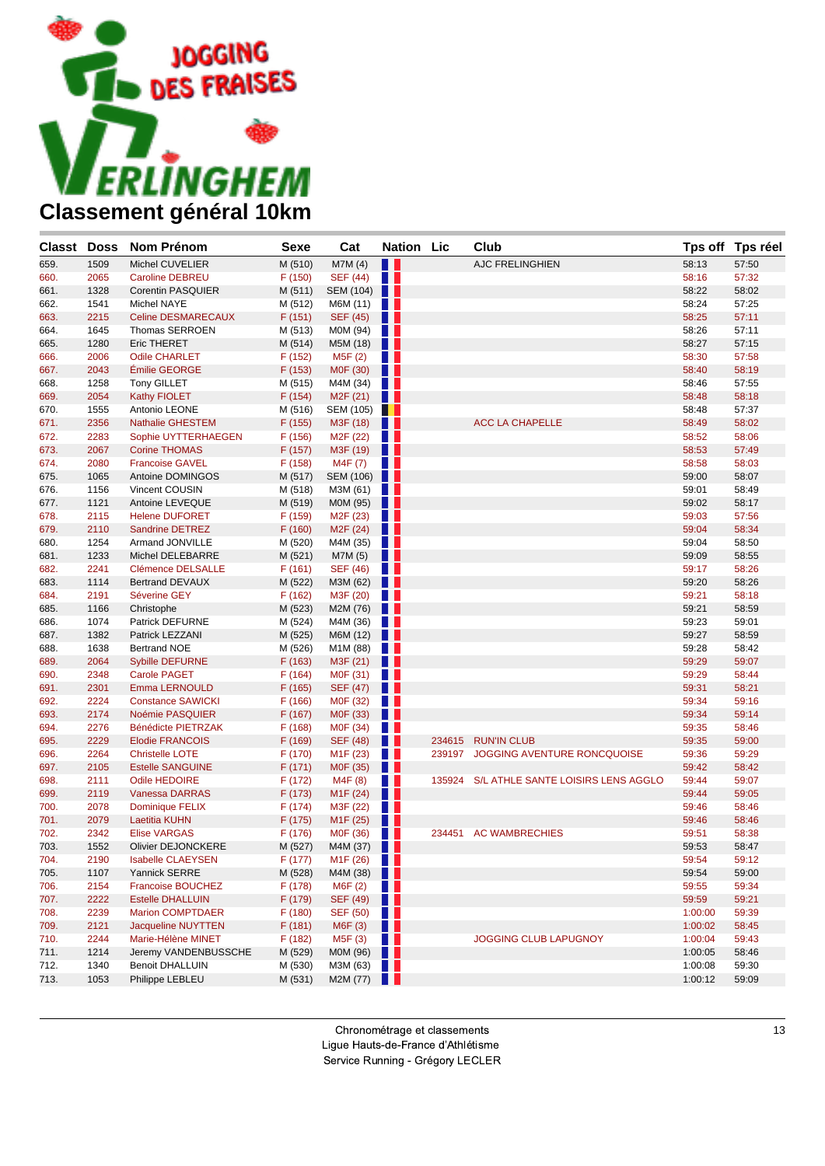

| <b>Classt</b> Doss |      | <b>Nom Prénom</b>         | <b>Sexe</b> | Cat                   | <b>Nation</b> Lic |        | Club                                      |         | Tps off Tps réel |
|--------------------|------|---------------------------|-------------|-----------------------|-------------------|--------|-------------------------------------------|---------|------------------|
| 659.               | 1509 | Michel CUVELIER           | M (510)     | M7M(4)                | N T               |        | AJC FRELINGHIEN                           | 58:13   | 57:50            |
| 660.               | 2065 | <b>Caroline DEBREU</b>    | F (150)     | <b>SEF (44)</b>       | H H               |        |                                           | 58:16   | 57:32            |
| 661.               | 1328 | Corentin PASQUIER         | M (511)     | SEM (104)             |                   |        |                                           | 58:22   | 58:02            |
| 662.               | 1541 | Michel NAYE               | M (512)     | M6M (11)              | $\blacksquare$    |        |                                           | 58:24   | 57:25            |
| 663.               | 2215 | Celine DESMARECAUX        | F(151)      | SEF (45)              | a s               |        |                                           | 58:25   | 57:11            |
| 664.               | 1645 | Thomas SERROEN            | M (513)     | M0M (94)              | HH.               |        |                                           | 58:26   | 57:11            |
| 665.               | 1280 | <b>Eric THERET</b>        | M (514)     | M5M (18)              | w                 |        |                                           | 58:27   | 57:15            |
| 666.               | 2006 | <b>Odile CHARLET</b>      | F (152)     | M5F (2)               | . .               |        |                                           | 58:30   | 57:58            |
| 667.               | 2043 | Émilie GEORGE             | F (153)     | M0F (30)              | H I               |        |                                           | 58:40   | 58:19            |
| 668.               | 1258 | <b>Tony GILLET</b>        | M (515)     | M4M (34)              | . .               |        |                                           | 58:46   | 57:55            |
| 669.               | 2054 | <b>Kathy FIOLET</b>       | F(154)      | M <sub>2</sub> F (21) | w                 |        |                                           | 58:48   | 58:18            |
| 670.               | 1555 | Antonio LEONE             | M (516)     | SEM (105)             |                   |        |                                           | 58:48   | 57:37            |
| 671.               | 2356 | <b>Nathalie GHESTEM</b>   | F (155)     | M3F (18)              | w                 |        | <b>ACC LA CHAPELLE</b>                    | 58:49   | 58:02            |
| 672.               | 2283 | Sophie UYTTERHAEGEN       | F(156)      | M <sub>2</sub> F (22) | a ka              |        |                                           | 58:52   | 58:06            |
| 673.               | 2067 | <b>Corine THOMAS</b>      | F (157)     | M3F (19)              | u                 |        |                                           | 58:53   | 57:49            |
| 674.               | 2080 | <b>Francoise GAVEL</b>    | F(158)      | M4F (7)               | W                 |        |                                           | 58:58   | 58:03            |
| 675.               | 1065 | Antoine DOMINGOS          | M (517)     | SEM (106)             |                   |        |                                           | 59:00   | 58:07            |
| 676.               | 1156 | Vincent COUSIN            | M (518)     | M3M (61)              | . .               |        |                                           | 59:01   | 58:49            |
| 677.               | 1121 | Antoine LEVEQUE           | M (519)     | M0M (95)              | w                 |        |                                           | 59:02   | 58:17            |
| 678.               | 2115 | <b>Helene DUFORET</b>     | F (159)     | M2F (23)              | . .               |        |                                           | 59:03   | 57:56            |
| 679.               | 2110 | <b>Sandrine DETREZ</b>    | F(160)      | M <sub>2</sub> F (24) | H                 |        |                                           | 59:04   | 58:34            |
| 680.               | 1254 | Armand JONVILLE           | M (520)     | M4M (35)              | a sa s            |        |                                           | 59:04   | 58:50            |
| 681.               | 1233 | <b>Michel DELEBARRE</b>   | M (521)     | M7M (5)               | . .               |        |                                           | 59:09   | 58:55            |
| 682.               | 2241 | Clémence DELSALLE         | F(161)      | <b>SEF (46)</b>       | . .               |        |                                           | 59:17   | 58:26            |
| 683.               | 1114 | <b>Bertrand DEVAUX</b>    | M (522)     | M3M (62)              | u                 |        |                                           | 59:20   | 58:26            |
| 684.               | 2191 | Séverine GEY              | F (162)     | M3F (20)              | a ka              |        |                                           | 59:21   | 58:18            |
| 685.               | 1166 | Christophe                | M (523)     | M2M (76)              | H                 |        |                                           | 59:21   | 58:59            |
| 686.               | 1074 | Patrick DEFURNE           | M (524)     | M4M (36)              | a ka              |        |                                           | 59:23   | 59:01            |
| 687.               | 1382 | Patrick LEZZANI           | M (525)     | M6M (12)              | Ш                 |        |                                           | 59:27   | 58:59            |
| 688.               | 1638 | <b>Bertrand NOE</b>       | M (526)     | M1M (88)              | a ka              |        |                                           | 59:28   | 58:42            |
| 689.               | 2064 | <b>Sybille DEFURNE</b>    | F(163)      | M3F (21)              | a s               |        |                                           | 59:29   | 59:07            |
| 690.               | 2348 | <b>Carole PAGET</b>       | F(164)      | M0F (31)              | n a               |        |                                           | 59:29   | 58:44            |
| 691.               | 2301 | Emma LERNOULD             | F(165)      | SEF (47)              | Ш                 |        |                                           | 59:31   | 58:21            |
| 692.               | 2224 | <b>Constance SAWICKI</b>  | F(166)      | M0F (32)              | n n               |        |                                           | 59:34   | 59:16            |
| 693.               | 2174 | Noémie PASQUIER           | F (167)     | M0F (33)              | . .               |        |                                           | 59:34   | 59:14            |
| 694.               | 2276 | Bénédicte PIETRZAK        | F(168)      | M0F (34)              | n a               |        |                                           | 59:35   | 58:46            |
| 695.               | 2229 | <b>Elodie FRANCOIS</b>    | F (169)     | <b>SEF (48)</b>       | . .               | 234615 | <b>RUN'IN CLUB</b>                        | 59:35   | 59:00            |
| 696.               | 2264 | <b>Christelle LOTE</b>    | F (170)     | M <sub>1</sub> F (23) | n a               | 239197 | JOGGING AVENTURE RONCQUOISE               | 59:36   | 59:29            |
| 697.               | 2105 | <b>Estelle SANGUINE</b>   | F(171)      | M0F (35)              | Ш                 |        |                                           | 59:42   | 58:42            |
| 698.               | 2111 | <b>Odile HEDOIRE</b>      | F (172)     | M4F (8)               | a sa              |        | 135924 S/L ATHLE SANTE LOISIRS LENS AGGLO | 59:44   | 59:07            |
| 699.               | 2119 | <b>Vanessa DARRAS</b>     | F(173)      | M <sub>1</sub> F (24) | w                 |        |                                           | 59:44   | 59:05            |
| 700.               | 2078 | <b>Dominique FELIX</b>    | F(174)      | M3F (22)              |                   |        |                                           | 59:46   | 58:46            |
| 701.               | 2079 | <b>Laetitia KUHN</b>      | F (175)     | M <sub>1</sub> F (25) | n n               |        |                                           | 59:46   | 58:46            |
| 702.               | 2342 | <b>Elise VARGAS</b>       | F (176)     | M0F (36)              | . .               |        | 234451 AC WAMBRECHIES                     | 59:51   | 58:38            |
| 703.               | 1552 | <b>Olivier DEJONCKERE</b> | M (527)     | M4M (37)              | . .               |        |                                           | 59:53   | 58:47            |
| 704.               | 2190 | <b>Isabelle CLAEYSEN</b>  | F (177)     | M1F(26)               |                   |        |                                           | 59:54   | 59:12            |
| 705.               | 1107 | Yannick SERRE             | M (528)     | M4M(38)               |                   |        |                                           | 59:54   | 59:00            |
| 706.               | 2154 | <b>Francoise BOUCHEZ</b>  | F (178)     | M6F (2)               | W                 |        |                                           | 59:55   | 59:34            |
| 707.               | 2222 | <b>Estelle DHALLUIN</b>   | F (179)     | <b>SEF (49)</b>       | w                 |        |                                           | 59:59   | 59:21            |
| 708.               | 2239 | <b>Marion COMPTDAER</b>   | F(180)      | <b>SEF (50)</b>       | a ka              |        |                                           | 1:00:00 | 59:39            |
| 709.               | 2121 | Jacqueline NUYTTEN        | F(181)      | M6F (3)               | Ш                 |        |                                           | 1:00:02 | 58:45            |
| 710.               | 2244 | Marie-Hélène MINET        | F (182)     | M5F (3)               | <u>a k</u>        |        | JOGGING CLUB LAPUGNOY                     | 1:00:04 | 59:43            |
| 711.               | 1214 | Jeremy VANDENBUSSCHE      | M (529)     | M0M (96)              | w                 |        |                                           | 1:00:05 | 58:46            |
| 712.               | 1340 | <b>Benoit DHALLUIN</b>    | M (530)     | M3M(63)               |                   |        |                                           | 1:00:08 | 59:30            |
| 713.               | 1053 | Philippe LEBLEU           | M (531)     | M2M (77)              | w                 |        |                                           | 1:00:12 | 59:09            |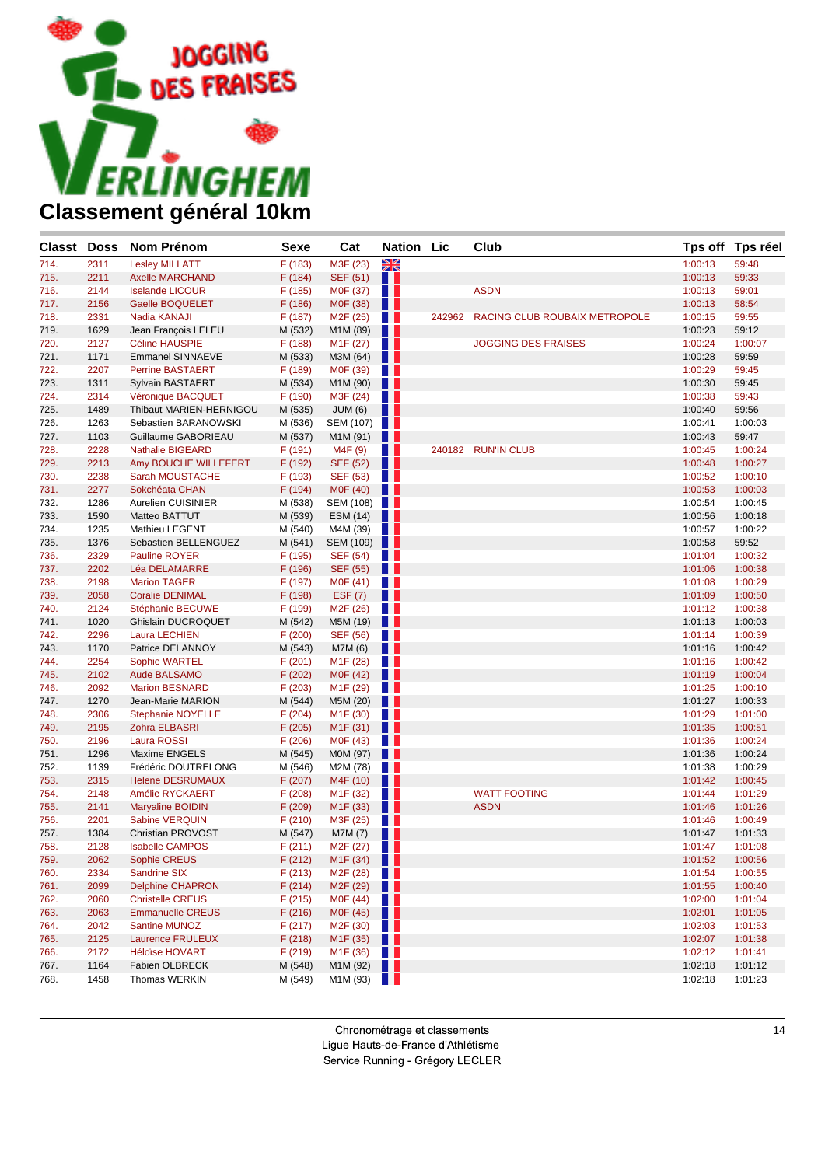

| <b>Classt</b> Doss |      | Nom Prénom                | Sexe    | Cat                                  | <b>Nation Lic</b> |        | Club                          | Tps off | <b>Tps réel</b> |
|--------------------|------|---------------------------|---------|--------------------------------------|-------------------|--------|-------------------------------|---------|-----------------|
| 714.               | 2311 | <b>Lesley MILLATT</b>     | F (183) | M3F (23)                             | <b>NK</b>         |        |                               | 1:00:13 | 59:48           |
| 715.               | 2211 | <b>Axelle MARCHAND</b>    | F(184)  | SEF (51)                             | H                 |        |                               | 1:00:13 | 59:33           |
| 716.               | 2144 | <b>Iselande LICOUR</b>    | F (185) | M0F (37)                             | a sa n            |        | <b>ASDN</b>                   | 1:00:13 | 59:01           |
| 717.               | 2156 | <b>Gaelle BOQUELET</b>    | F (186) | M0F (38)                             | . .               |        |                               | 1:00:13 | 58:54           |
| 718.               | 2331 | Nadia KANAJI              | F (187) | M <sub>2</sub> F (25)                | a sa n            | 242962 | RACING CLUB ROUBAIX METROPOLE | 1:00:15 | 59:55           |
| 719.               | 1629 | Jean François LELEU       | M (532) | M1M (89)                             | Ш                 |        |                               | 1:00:23 | 59:12           |
| 720.               | 2127 | Céline HAUSPIE            | F (188) | M <sub>1</sub> F (27)                | a sa s            |        | <b>JOGGING DES FRAISES</b>    | 1:00:24 | 1:00:07         |
| 721.               | 1171 | <b>Emmanel SINNAEVE</b>   | M (533) | M3M (64)                             | Ш                 |        |                               | 1:00:28 | 59:59           |
| 722.               | 2207 | <b>Perrine BASTAERT</b>   | F (189) | M0F (39)                             | n H               |        |                               | 1:00:29 | 59:45           |
| 723.               | 1311 | Sylvain BASTAERT          | M (534) | M1M (90)                             | Ш                 |        |                               | 1:00:30 | 59:45           |
| 724.               | 2314 | Véronique BACQUET         | F (190) | M3F (24)                             | H.                |        |                               | 1:00:38 | 59:43           |
| 725.               | 1489 | Thibaut MARIEN-HERNIGOU   | M (535) | JUM(6)                               | . .               |        |                               | 1:00:40 | 59:56           |
| 726.               | 1263 | Sebastien BARANOWSKI      | M (536) | SEM (107)                            |                   |        |                               | 1:00:41 | 1:00:03         |
| 727.               | 1103 | Guillaume GABORIEAU       | M (537) | M1M (91)                             | . .               |        |                               | 1:00:43 | 59:47           |
| 728.               | 2228 | <b>Nathalie BIGEARD</b>   | F (191) | M4F (9)                              | a sa              |        | 240182 RUN'IN CLUB            | 1:00:45 | 1:00:24         |
| 729.               | 2213 | Amy BOUCHE WILLEFERT      | F (192) | <b>SEF (52)</b>                      | H I               |        |                               | 1:00:48 | 1:00:27         |
| 730.               | 2238 | Sarah MOUSTACHE           | F (193) | SEF (53)                             | . .               |        |                               | 1:00:52 | 1:00:10         |
| 731.               | 2277 | Sokchéata CHAN            | F (194) | M0F (40)                             | w                 |        |                               | 1:00:53 | 1:00:03         |
| 732.               | 1286 | Aurelien CUISINIER        | M (538) | SEM (108)                            |                   |        |                               | 1:00:54 | 1:00:45         |
| 733.               | 1590 | Matteo BATTUT             | M (539) | ESM (14)                             | n n               |        |                               | 1:00:56 | 1:00:18         |
| 734.               | 1235 | Mathieu LEGENT            | M (540) | M4M (39)                             | H.                |        |                               | 1:00:57 | 1:00:22         |
| 735.               | 1376 | Sebastien BELLENGUEZ      | M (541) | SEM (109)                            |                   |        |                               | 1:00:58 | 59:52           |
| 736.               | 2329 | <b>Pauline ROYER</b>      | F (195) | <b>SEF (54)</b>                      | a sa              |        |                               | 1:01:04 | 1:00:32         |
| 737.               | 2202 | <b>Léa DELAMARRE</b>      | F (196) | SEF (55)                             | w                 |        |                               | 1:01:06 | 1:00:38         |
| 738.               | 2198 | <b>Marion TAGER</b>       | F (197) | M0F (41)                             | H H               |        |                               | 1:01:08 | 1:00:29         |
| 739.               | 2058 | <b>Coralie DENIMAL</b>    | F (198) | <b>ESF (7)</b>                       | . .               |        |                               | 1:01:09 | 1:00:50         |
| 740.               | 2124 | Stéphanie BECUWE          | F (199) | M <sub>2</sub> F (26)                | H H               |        |                               | 1:01:12 | 1:00:38         |
| 741.               | 1020 | <b>Ghislain DUCROQUET</b> | M (542) | M5M (19)                             | Ш                 |        |                               | 1:01:13 | 1:00:03         |
| 742.               | 2296 | <b>Laura LECHIEN</b>      | F(200)  | SEF (56)                             | a sa              |        |                               | 1:01:14 | 1:00:39         |
| 743.               | 1170 | Patrice DELANNOY          | M (543) | M7M (6)                              | H                 |        |                               | 1:01:16 | 1:00:42         |
| 744.               | 2254 | Sophie WARTEL             | F(201)  | M <sub>1</sub> F (28)                | H L               |        |                               | 1:01:16 | 1:00:42         |
| 745.               | 2102 | Aude BALSAMO              | F (202) | M0F (42)                             | Ш                 |        |                               | 1:01:19 | 1:00:04         |
| 746.               | 2092 | <b>Marion BESNARD</b>     | F(203)  | M <sub>1</sub> F (29)                | H.                |        |                               | 1:01:25 | 1:00:10         |
| 747.               | 1270 | Jean-Marie MARION         | M (544) | M5M (20)                             | . .               |        |                               | 1:01:27 | 1:00:33         |
| 748.               | 2306 | <b>Stephanie NOYELLE</b>  | F(204)  | M <sub>1</sub> F (30)                | H.                |        |                               | 1:01:29 | 1:01:00         |
| 749.               | 2195 | Zohra ELBASRI             | F (205) | M <sub>1</sub> F (31)                | Ш                 |        |                               | 1:01:35 | 1:00:51         |
| 750.               | 2196 | Laura ROSSI               | F(206)  | M0F (43)                             | H L               |        |                               | 1:01:36 | 1:00:24         |
| 751.               | 1296 | Maxime ENGELS             | M (545) | M0M (97)                             | ш                 |        |                               | 1:01:36 | 1:00:24         |
| 752.               | 1139 | Frédéric DOUTRELONG       | M (546) | M2M (78)                             | a sa s            |        |                               | 1:01:38 | 1:00:29         |
| 753.               | 2315 | <b>Helene DESRUMAUX</b>   | F (207) | M4F (10)                             | u u               |        |                               | 1:01:42 | 1:00:45         |
| 754.               | 2148 | Amélie RYCKAERT           | F(208)  | M <sub>1</sub> F (32)                | H.                |        | <b>WATT FOOTING</b>           | 1:01:44 | 1:01:29         |
| 755.               | 2141 | <b>Maryaline BOIDIN</b>   | F (209) | M <sub>1</sub> F (33)                | . .               |        | <b>ASDN</b>                   | 1:01:46 | 1:01:26         |
| 756.               | 2201 | Sabine VERQUIN            | F(210)  | M3F (25)                             | H.                |        |                               | 1:01:46 | 1:00:49         |
| 757.               | 1384 | Christian PROVOST         | M (547) | M7M (7)                              | . .               |        |                               | 1:01:47 | 1:01:33         |
| 758.               | 2128 | <b>Isabelle CAMPOS</b>    | F(211)  | M2F (27)                             | ш                 |        |                               | 1:01:47 | 1:01:08         |
| 759.               | 2062 | Sophie CREUS              | F(212)  | M <sub>1</sub> F (34) $\blacksquare$ |                   |        |                               | 1:01:52 | 1:00:56         |
| 760.               | 2334 | Sandrine SIX              | F (213) | M <sub>2</sub> F (28) $\blacksquare$ |                   |        |                               | 1:01:54 | 1:00:55         |
| 761.               | 2099 | <b>Delphine CHAPRON</b>   | F(214)  | M2F (29)                             | Ш                 |        |                               | 1:01:55 | 1:00:40         |
| 762.               | 2060 | <b>Christelle CREUS</b>   | F(215)  | M0F (44)                             | a sa s            |        |                               | 1:02:00 | 1:01:04         |
| 763.               | 2063 | <b>Emmanuelle CREUS</b>   | F(216)  | M0F (45)                             | w                 |        |                               | 1:02:01 | 1:01:05         |
| 764.               | 2042 | <b>Santine MUNOZ</b>      | F (217) | M2F (30)                             | w                 |        |                               | 1:02:03 | 1:01:53         |
| 765.               | 2125 | Laurence FRULEUX          | F (218) | M <sub>1</sub> F (35)                | . .               |        |                               | 1:02:07 | 1:01:38         |
| 766.               | 2172 | <b>Héloïse HOVART</b>     | F(219)  | M <sub>1</sub> F (36)                | <b>The Second</b> |        |                               | 1:02:12 | 1:01:41         |
| 767.               | 1164 | Fabien OLBRECK            | M (548) | M1M(92)                              |                   |        |                               | 1:02:18 | 1:01:12         |
| 768.               | 1458 | Thomas WERKIN             | M (549) | M1M(93)                              |                   |        |                               | 1:02:18 | 1:01:23         |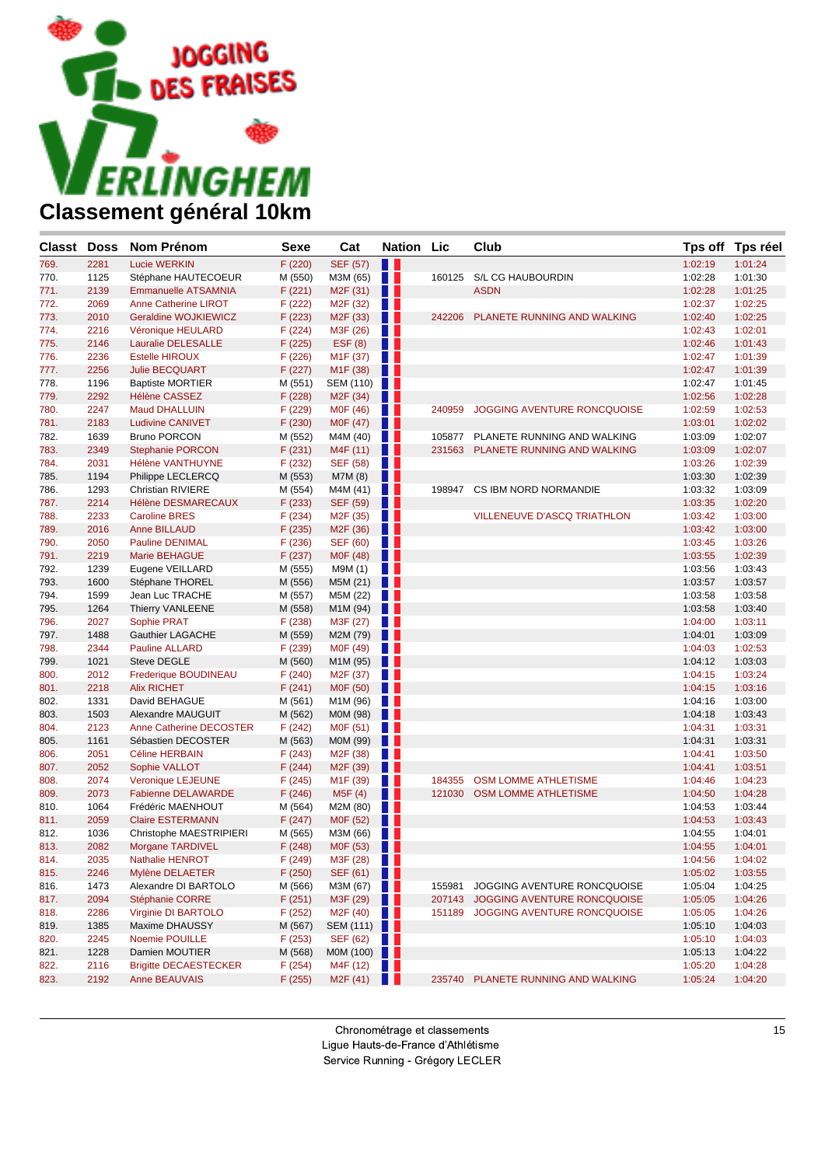

| <b>Classt Doss</b> |      | <b>Nom Prénom</b>            | <b>Sexe</b> | Cat                                  | Nation Lic       |        | Club                               |         | Tps off Tps réel |
|--------------------|------|------------------------------|-------------|--------------------------------------|------------------|--------|------------------------------------|---------|------------------|
| 769.               | 2281 | <b>Lucie WERKIN</b>          | F (220)     | <b>SEF (57)</b>                      | H                |        |                                    | 1:02:19 | 1:01:24          |
| 770.               | 1125 | Stéphane HAUTECOEUR          | M (550)     | M3M (65)                             | $\blacksquare$   | 160125 | S/L CG HAUBOURDIN                  | 1:02:28 | 1:01:30          |
| 771.               | 2139 | <b>Emmanuelle ATSAMNIA</b>   | F(221)      | M <sub>2</sub> F (31)                | ш                |        | <b>ASDN</b>                        | 1:02:28 | 1:01:25          |
| 772.               | 2069 | <b>Anne Catherine LIROT</b>  | F (222)     | M <sub>2</sub> F (32)                |                  |        |                                    | 1:02:37 | 1:02:25          |
| 773.               | 2010 | Geraldine WOJKIEWICZ         | F (223)     | M <sub>2</sub> F (33)                | . .              | 242206 | PLANETE RUNNING AND WALKING        | 1:02:40 | 1:02:25          |
| 774.               | 2216 | Véronique HEULARD            | F(224)      | M3F (26)                             |                  |        |                                    | 1:02:43 | 1:02:01          |
| 775.               | 2146 | Lauralie DELESALLE           | F (225)     | EST(8)                               | u u              |        |                                    | 1:02:46 | 1:01:43          |
| 776.               | 2236 | <b>Estelle HIROUX</b>        | F(226)      | M <sub>1</sub> F (37)                |                  |        |                                    | 1:02:47 | 1:01:39          |
| 777.               | 2256 | <b>Julie BECQUART</b>        | F (227)     | M <sub>1</sub> F (38)                | w                |        |                                    | 1:02:47 | 1:01:39          |
| 778.               | 1196 | <b>Baptiste MORTIER</b>      | M (551)     | SEM (110)                            |                  |        |                                    | 1:02:47 | 1:01:45          |
| 779.               | 2292 | <b>Hélène CASSEZ</b>         | F (228)     | M <sub>2</sub> F (34)                | . .              |        |                                    | 1:02:56 | 1:02:28          |
| 780.               | 2247 | <b>Maud DHALLUIN</b>         | F (229)     | M0F (46)                             | a ka             | 240959 | <b>JOGGING AVENTURE RONCQUOISE</b> | 1:02:59 | 1:02:53          |
| 781.               | 2183 | <b>Ludivine CANIVET</b>      | F (230)     | M0F (47)                             | . .              |        |                                    | 1:03:01 | 1:02:02          |
| 782.               | 1639 | <b>Bruno PORCON</b>          | M (552)     | M4M (40)                             | . .              |        | 105877 PLANETE RUNNING AND WALKING | 1:03:09 | 1:02:07          |
| 783.               | 2349 | <b>Stephanie PORCON</b>      | F(231)      | M4F (11)                             | . .              |        | 231563 PLANETE RUNNING AND WALKING | 1:03:09 | 1:02:07          |
| 784.               | 2031 | Hélène VANTHUYNE             | F(232)      | SEF (58)                             | a ka             |        |                                    | 1:03:26 | 1:02:39          |
| 785.               | 1194 | Philippe LECLERCQ            | M (553)     | M7M (8)                              | Ш                |        |                                    | 1:03:30 | 1:02:39          |
| 786.               | 1293 | <b>Christian RIVIERE</b>     | M (554)     | M4M (41)                             | . .              | 198947 | CS IBM NORD NORMANDIE              | 1:03:32 | 1:03:09          |
| 787.               | 2214 | Hélène DESMARECAUX           | F(233)      | <b>SEF (59)</b>                      | . .              |        |                                    | 1:03:35 | 1:02:20          |
| 788.               | 2233 | <b>Caroline BRES</b>         | F(234)      | M <sub>2</sub> F (35)                | a ka             |        | <b>VILLENEUVE D'ASCQ TRIATHLON</b> | 1:03:42 | 1:03:00          |
| 789.               | 2016 | <b>Anne BILLAUD</b>          | F (235)     | M <sub>2</sub> F (36)                | H                |        |                                    | 1:03:42 | 1:03:00          |
| 790.               | 2050 | <b>Pauline DENIMAL</b>       | F(236)      | SEF (60)                             | a ka             |        |                                    | 1:03:45 | 1:03:26          |
| 791.               | 2219 | <b>Marie BEHAGUE</b>         | F (237)     | MOF (48)                             | . .              |        |                                    | 1:03:55 | 1:02:39          |
| 792.               | 1239 | Eugene VEILLARD              | M (555)     | M9M (1)                              | . .              |        |                                    | 1:03:56 | 1:03:43          |
| 793.               | 1600 | Stéphane THOREL              | M (556)     | M5M (21)                             | . .              |        |                                    | 1:03:57 | 1:03:57          |
| 794.               | 1599 | Jean Luc TRACHE              | M (557)     | M5M (22)                             | H.               |        |                                    | 1:03:58 | 1:03:58          |
| 795.               | 1264 | Thierry VANLEENE             | M (558)     | M1M (94)                             |                  |        |                                    | 1:03:58 | 1:03:40          |
| 796.               | 2027 | Sophie PRAT                  | F(238)      | M3F (27)                             | a ka             |        |                                    | 1:04:00 | 1:03:11          |
| 797.               | 1488 | Gauthier LAGACHE             | M (559)     | M2M (79)                             | . .              |        |                                    | 1:04:01 | 1:03:09          |
| 798.               | 2344 | <b>Pauline ALLARD</b>        | F (239)     | M0F (49)                             | a ka             |        |                                    | 1:04:03 | 1:02:53          |
| 799.               | 1021 | Steve DEGLE                  | M (560)     | M1M (95)                             | w                |        |                                    | 1:04:12 | 1:03:03          |
| 800.               | 2012 | Frederique BOUDINEAU         | F(240)      | M <sub>2</sub> F (37)                | a ka             |        |                                    | 1:04:15 | 1:03:24          |
| 801.               | 2218 | <b>Alix RICHET</b>           | F(241)      | M0F (50)                             | w                |        |                                    | 1:04:15 | 1:03:16          |
| 802.               | 1331 | David BEHAGUE                | M (561)     | M1M (96)                             | . .              |        |                                    | 1:04:16 | 1:03:00          |
| 803.               | 1503 | Alexandre MAUGUIT            | M (562)     | M0M (98)                             | u u              |        |                                    | 1:04:18 | 1:03:43          |
| 804.               | 2123 | Anne Catherine DECOSTER      | F(242)      | M0F (51)                             | a ka             |        |                                    | 1:04:31 | 1:03:31          |
| 805.               | 1161 | Sébastien DECOSTER           | M (563)     | M0M (99)                             | . .              |        |                                    | 1:04:31 | 1:03:31          |
| 806.               | 2051 | <b>Céline HERBAIN</b>        | F(243)      | M <sub>2</sub> F (38)                | a ka             |        |                                    | 1:04:41 | 1:03:50          |
| 807.               | 2052 | Sophie VALLOT                | F(244)      | M <sub>2</sub> F (39)                | H.               |        |                                    | 1:04:41 | 1:03:51          |
| 808.               | 2074 | <b>Veronique LEJEUNE</b>     | F(245)      | M <sub>1</sub> F (39)                | . .              | 184355 | <b>OSM LOMME ATHLETISME</b>        | 1:04:46 | 1:04:23          |
| 809.               | 2073 | <b>Fabienne DELAWARDE</b>    | F(246)      | M5F(4)                               | H                | 121030 | <b>OSM LOMME ATHLETISME</b>        | 1:04:50 | 1:04:28          |
| 810.               | 1064 | Frédéric MAENHOUT            | M (564)     | M2M (80)                             | a ka             |        |                                    | 1:04:53 | 1:03:44          |
| 811.               | 2059 | <b>Claire ESTERMANN</b>      | F(247)      | M0F (52)                             | . .              |        |                                    | 1:04:53 | 1:03:43          |
| 812.               | 1036 | Christophe MAESTRIPIERI      | M (565)     | M3M (66)                             |                  |        |                                    | 1:04:55 | 1:04:01          |
| 813.               | 2082 | <b>Morgane TARDIVEL</b>      | F(248)      | M0F (53)                             | . .              |        |                                    | 1:04:55 | 1:04:01          |
| 814.               | 2035 | Nathalie HENROT              | F (249)     | M3F(28)                              |                  |        |                                    | 1:04:56 | 1:04:02          |
| 815.               | 2246 | Mylène DELAETER              | F(250)      | SEF (61)                             | H                |        |                                    | 1:05:02 | 1:03:55          |
| 816.               | 1473 | Alexandre DI BARTOLO         | M (566)     | M3M (67)                             | a ka             | 155981 | JOGGING AVENTURE RONCQUOISE        | 1:05:04 | 1:04:25          |
| 817.               | 2094 | Stéphanie CORRE              | F(251)      | M3F (29)                             |                  |        | 207143 JOGGING AVENTURE RONCQUOISE | 1:05:05 | 1:04:26          |
| 818.               | 2286 | Virginie DI BARTOLO          | F(252)      | M <sub>2</sub> F (40) $\blacksquare$ |                  |        | 151189 JOGGING AVENTURE RONCQUOISE | 1:05:05 | 1:04:26          |
| 819.               | 1385 | Maxime DHAUSSY               | M (567)     | SEM (111)                            |                  |        |                                    | 1:05:10 | 1:04:03          |
| 820.               | 2245 | Noemie POUILLE               | F(253)      | SEF (62)                             | <b>TELESCOPE</b> |        |                                    | 1:05:10 | 1:04:03          |
| 821.               | 1228 | Damien MOUTIER               | M (568)     | MOM (100) $\blacksquare$             |                  |        |                                    | 1:05:13 | 1:04:22          |
| 822.               | 2116 | <b>Brigitte DECAESTECKER</b> | F(254)      | M4F $(12)$                           |                  |        |                                    | 1:05:20 | 1:04:28          |
| 823.               | 2192 | <b>Anne BEAUVAIS</b>         | F (255)     | M2F (41)                             | . .              |        | 235740 PLANETE RUNNING AND WALKING | 1:05:24 | 1:04:20          |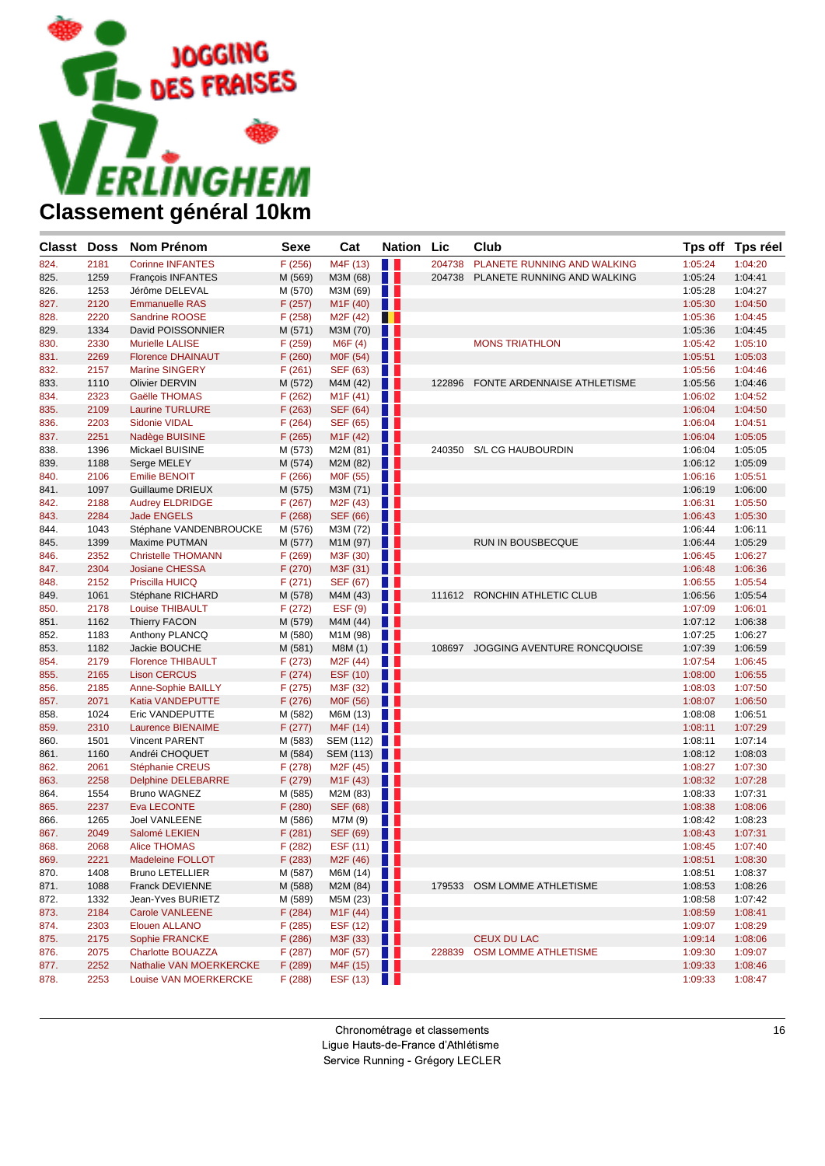

| <b>Classt</b> Doss |      | Nom Prénom                | Sexe    | Cat                   | <b>Nation</b>  | <b>Lic</b> | Club                               |         | Tps off Tps réel |
|--------------------|------|---------------------------|---------|-----------------------|----------------|------------|------------------------------------|---------|------------------|
| 824.               | 2181 | <b>Corinne INFANTES</b>   | F(256)  | M4F (13)              | H              | 204738     | PLANETE RUNNING AND WALKING        | 1:05:24 | 1:04:20          |
| 825.               | 1259 | François INFANTES         | M (569) | M3M (68)              | Ш              |            | 204738 PLANETE RUNNING AND WALKING | 1:05:24 | 1:04:41          |
| 826.               | 1253 | Jérôme DELEVAL            | M (570) | M3M (69)              | . .            |            |                                    | 1:05:28 | 1:04:27          |
| 827.               | 2120 | <b>Emmanuelle RAS</b>     | F (257) | M <sub>1</sub> F (40) | H              |            |                                    | 1:05:30 | 1:04:50          |
| 828.               | 2220 | <b>Sandrine ROOSE</b>     | F (258) | M <sub>2</sub> F (42) | . .            |            |                                    | 1:05:36 | 1:04:45          |
| 829.               | 1334 | David POISSONNIER         | M (571) | M3M (70)              | . .            |            |                                    | 1:05:36 | 1:04:45          |
| 830.               | 2330 | <b>Murielle LALISE</b>    | F (259) | M6F (4)               | H L            |            | <b>MONS TRIATHLON</b>              | 1:05:42 | 1:05:10          |
| 831.               | 2269 | <b>Florence DHAINAUT</b>  | F(260)  | MOF (54)              | H              |            |                                    | 1:05:51 | 1:05:03          |
| 832.               | 2157 | <b>Marine SINGERY</b>     | F(261)  | SEF (63)              | l p            |            |                                    | 1:05:56 | 1:04:46          |
| 833.               | 1110 | <b>Olivier DERVIN</b>     | M (572) | M4M (42)              | H I            | 122896     | FONTE ARDENNAISE ATHLETISME        | 1:05:56 | 1:04:46          |
| 834.               | 2323 | Gaëlle THOMAS             | F (262) | M <sub>1</sub> F (41) | H L            |            |                                    | 1:06:02 | 1:04:52          |
| 835.               | 2109 | <b>Laurine TURLURE</b>    | F(263)  | <b>SEF (64)</b>       | Ш              |            |                                    | 1:06:04 | 1:04:50          |
| 836.               | 2203 | <b>Sidonie VIDAL</b>      | F(264)  | SEF (65)              | Ш              |            |                                    | 1:06:04 | 1:04:51          |
| 837.               | 2251 | Nadège BUISINE            | F (265) | M <sub>1</sub> F (42) | H              |            |                                    | 1:06:04 | 1:05:05          |
| 838.               | 1396 | Mickael BUISINE           | M (573) | M2M (81)              | HH.            | 240350     | S/L CG HAUBOURDIN                  | 1:06:04 | 1:05:05          |
| 839.               | 1188 | Serge MELEY               | M (574) | M2M (82)              | H              |            |                                    | 1:06:12 | 1:05:09          |
| 840.               | 2106 | <b>Emilie BENOIT</b>      | F(266)  | M0F (55)              | a sa n         |            |                                    | 1:06:16 | 1:05:51          |
| 841.               | 1097 | Guillaume DRIEUX          | M (575) | M3M (71)              | w              |            |                                    | 1:06:19 | 1:06:00          |
| 842.               | 2188 | <b>Audrey ELDRIDGE</b>    | F(267)  | M <sub>2</sub> F (43) | . .            |            |                                    | 1:06:31 | 1:05:50          |
| 843.               | 2284 | <b>Jade ENGELS</b>        | F(268)  | SEF (66)              | Ш              |            |                                    | 1:06:43 | 1:05:30          |
| 844.               | 1043 | Stéphane VANDENBROUCKE    | M (576) | M3M (72)              | H              |            |                                    | 1:06:44 | 1:06:11          |
| 845.               | 1399 | Maxime PUTMAN             | M (577) | M1M (97)              | a s            |            | RUN IN BOUSBECQUE                  | 1:06:44 | 1:05:29          |
| 846.               | 2352 | <b>Christelle THOMANN</b> | F(269)  | M3F (30)              | Ш              |            |                                    | 1:06:45 | 1:06:27          |
| 847.               | 2304 | <b>Josiane CHESSA</b>     | F (270) | M3F (31)              | u u            |            |                                    | 1:06:48 | 1:06:36          |
| 848.               | 2152 | Priscilla HUICQ           | F(271)  | SEF (67)              | Ш              |            |                                    | 1:06:55 | 1:05:54          |
| 849.               | 1061 | Stéphane RICHARD          | M (578) | M4M (43)              | . .            |            | 111612 RONCHIN ATHLETIC CLUB       | 1:06:56 | 1:05:54          |
| 850.               | 2178 | Louise THIBAULT           | F(272)  | EST(9)                | n n            |            |                                    | 1:07:09 | 1:06:01          |
| 851.               | 1162 | <b>Thierry FACON</b>      | M (579) | M4M (44)              | Ш              |            |                                    | 1:07:12 | 1:06:38          |
| 852.               | 1183 | Anthony PLANCQ            | M (580) | M1M (98)              | . .            |            |                                    | 1:07:25 | 1:06:27          |
| 853.               | 1182 | Jackie BOUCHE             | M (581) | M8M (1)               | H I            | 108697     | JOGGING AVENTURE RONCQUOISE        | 1:07:39 | 1:06:59          |
| 854.               | 2179 | <b>Florence THIBAULT</b>  | F(273)  | M <sub>2</sub> F (44) | H L            |            |                                    | 1:07:54 | 1:06:45          |
| 855.               | 2165 | <b>Lison CERCUS</b>       | F(274)  | ESF (10)              | H I            |            |                                    | 1:08:00 | 1:06:55          |
| 856.               | 2185 | Anne-Sophie BAILLY        | F(275)  | M3F (32)              | Ш              |            |                                    | 1:08:03 | 1:07:50          |
| 857.               | 2071 | Katia VANDEPUTTE          | F (276) | M0F (56)              | u u            |            |                                    | 1:08:07 | 1:06:50          |
| 858.               | 1024 | Eric VANDEPUTTE           | M (582) | M6M (13)              | Ш              |            |                                    | 1:08:08 | 1:06:51          |
| 859.               | 2310 | Laurence BIENAIME         | F(277)  | M4F (14)              | H              |            |                                    | 1:08:11 | 1:07:29          |
| 860.               | 1501 | <b>Vincent PARENT</b>     | M (583) | <b>SEM (112)</b>      | a sa n         |            |                                    | 1:08:11 | 1:07:14          |
| 861.               | 1160 | Andréi CHOQUET            | M (584) | SEM (113)             | u u            |            |                                    | 1:08:12 | 1:08:03          |
| 862.               | 2061 | Stéphanie CREUS           | F (278) | M <sub>2</sub> F (45) | Ш              |            |                                    | 1:08:27 | 1:07:30          |
| 863.               | 2258 | <b>Delphine DELEBARRE</b> | F (279) | M <sub>1</sub> F (43) | u u            |            |                                    | 1:08:32 | 1:07:28          |
| 864.               | 1554 | Bruno WAGNEZ              | M (585) | M2M (83)              | H L            |            |                                    | 1:08:33 | 1:07:31          |
| 865.               | 2237 | Eva LECONTE               | F(280)  | SEF (68)              | H I            |            |                                    | 1:08:38 | 1:08:06          |
| 866.               | 1265 | Joel VANLEENE             | M (586) | M7M (9)               | . .            |            |                                    | 1:08:42 | 1:08:23          |
| 867.               | 2049 | Salomé LEKIEN             | F(281)  | <b>SEF (69)</b>       | a s            |            |                                    | 1:08:43 | 1:07:31          |
| 868.               | 2068 | <b>Alice THOMAS</b>       | F (282) | ESF (11)              | H.             |            |                                    | 1:08:45 | 1:07:40          |
| 869.               | 2221 | <b>Madeleine FOLLOT</b>   | F (283) | M2F (46)              | n n            |            |                                    | 1:08:51 | 1:08:30          |
| 870.               | 1408 | <b>Bruno LETELLIER</b>    | M (587) | M6M(14)               |                |            |                                    | 1:08:51 | 1:08:37          |
| 871.               | 1088 | Franck DEVIENNE           | M (588) | M2M (84)              | H I            |            | 179533 OSM LOMME ATHLETISME        | 1:08:53 | 1:08:26          |
| 872.               | 1332 | Jean-Yves BURIETZ         | M (589) | M5M (23)              | . .            |            |                                    | 1:08:58 | 1:07:42          |
| 873.               | 2184 | <b>Carole VANLEENE</b>    | F(284)  | M <sub>1</sub> F (44) | u u            |            |                                    | 1:08:59 | 1:08:41          |
| 874.               | 2303 | <b>Elouen ALLANO</b>      | F (285) | ESF (12)              | $\mathbb{R}^n$ |            |                                    | 1:09:07 | 1:08:29          |
| 875.               | 2175 | Sophie FRANCKE            | F(286)  | M3F (33)              | Ш              |            | <b>CEUX DU LAC</b>                 | 1:09:14 | 1:08:06          |
| 876.               | 2075 | <b>Charlotte BOUAZZA</b>  | F (287) | M0F (57)              | Ш              |            | 228839 OSM LOMME ATHLETISME        | 1:09:30 | 1:09:07          |
| 877.               | 2252 | Nathalie VAN MOERKERCKE   | F (289) | M4F (15)              | a s            |            |                                    | 1:09:33 | 1:08:46          |
| 878.               | 2253 | Louise VAN MOERKERCKE     | F(288)  | ESF (13)              | H.             |            |                                    | 1:09:33 | 1:08:47          |
|                    |      |                           |         |                       |                |            |                                    |         |                  |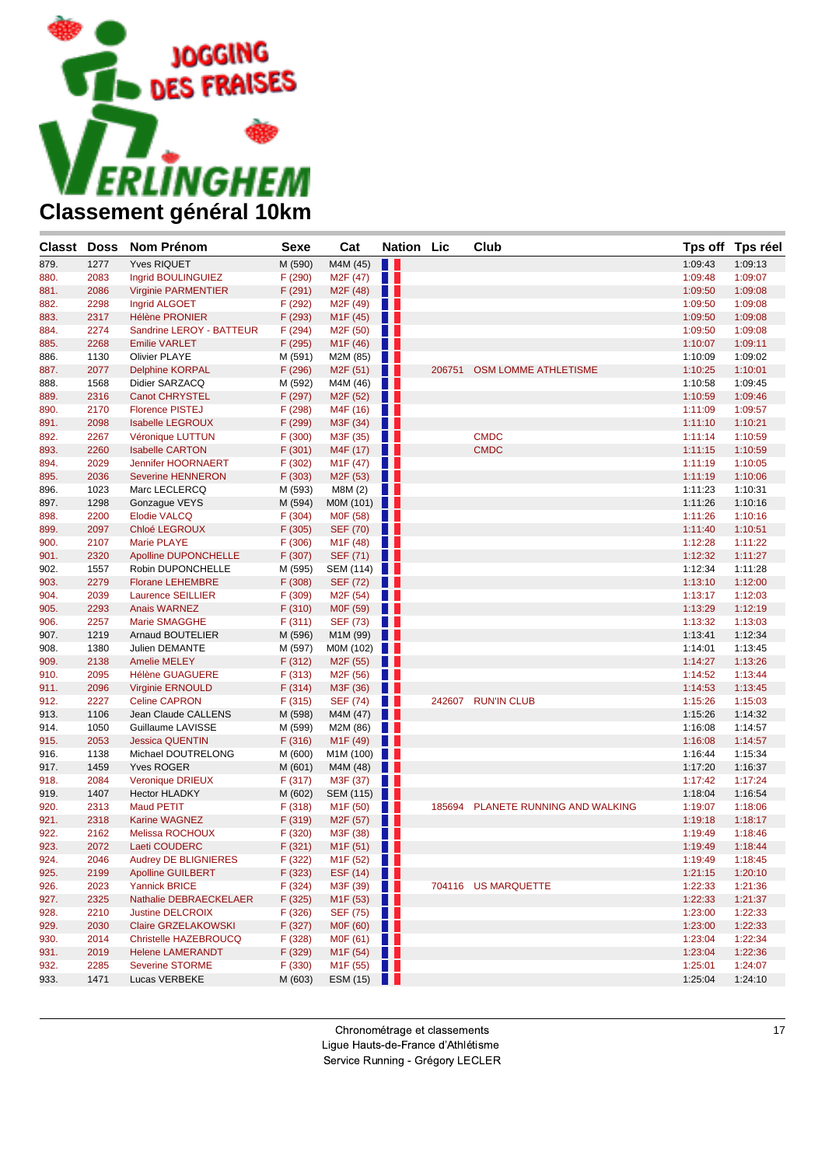

| Classt Doss  |              | Nom Prénom                               | <b>Sexe</b>       | Cat                                  | <b>Nation Lic</b> |        | Club                               |                    | Tps off Tps réel   |
|--------------|--------------|------------------------------------------|-------------------|--------------------------------------|-------------------|--------|------------------------------------|--------------------|--------------------|
| 879.         | 1277         | <b>Yves RIQUET</b>                       | M (590)           | M4M (45)                             | H                 |        |                                    | 1:09:43            | 1:09:13            |
| 880.         | 2083         | Ingrid BOULINGUIEZ                       | F (290)           | M <sub>2</sub> F (47)                | . .               |        |                                    | 1:09:48            | 1:09:07            |
| 881.         | 2086         | <b>Virginie PARMENTIER</b>               | F(291)            | M <sub>2</sub> F (48)                | H                 |        |                                    | 1:09:50            | 1:09:08            |
| 882.         | 2298         | Ingrid ALGOET                            | F (292)           | M <sub>2</sub> F (49)                | H.                |        |                                    | 1:09:50            | 1:09:08            |
| 883.         | 2317         | <b>Hélène PRONIER</b>                    | F (293)           | M <sub>1</sub> F (45)                | a s               |        |                                    | 1:09:50            | 1:09:08            |
| 884.         | 2274         | Sandrine LEROY - BATTEUR                 | F (294)           | M <sub>2</sub> F (50)                | H.                |        |                                    | 1:09:50            | 1:09:08            |
| 885.         | 2268         | <b>Emilie VARLET</b>                     | F (295)           | M <sub>1</sub> F (46)                | U U               |        |                                    | 1:10:07            | 1:09:11            |
| 886.         | 1130         | <b>Olivier PLAYE</b>                     | M (591)           | M2M (85)                             | HH.               |        |                                    | 1:10:09            | 1:09:02            |
| 887.         | 2077         | <b>Delphine KORPAL</b>                   | F (296)           | M <sub>2</sub> F (51)                | u u               | 206751 | <b>OSM LOMME ATHLETISME</b>        | 1:10:25            | 1:10:01            |
| 888.         | 1568         | Didier SARZACQ                           | M (592)           | M4M (46)                             | a ka              |        |                                    | 1:10:58            | 1:09:45            |
| 889.         | 2316         | <b>Canot CHRYSTEL</b>                    | F (297)           | M <sub>2</sub> F (52)                | u u               |        |                                    | 1:10:59            | 1:09:46            |
| 890.         | 2170         | <b>Florence PISTEJ</b>                   | F (298)           | M4F (16)                             | H.                |        |                                    | 1:11:09            | 1:09:57            |
| 891.         | 2098         | <b>Isabelle LEGROUX</b>                  | F (299)           | M3F (34)                             | Ш                 |        |                                    | 1:11:10            | 1:10:21            |
| 892.         | 2267         | Véronique LUTTUN                         | F (300)           | M3F (35)                             | H p               |        | <b>CMDC</b>                        | 1:11:14            | 1:10:59            |
| 893.         | 2260         | <b>Isabelle CARTON</b>                   | F (301)           | M4F (17)                             | Ш                 |        | <b>CMDC</b>                        | 1:11:15            | 1:10:59            |
| 894.         | 2029         | Jennifer HOORNAERT                       | F (302)           | M <sub>1</sub> F (47)                | a ka              |        |                                    | 1:11:19            | 1:10:05            |
| 895.         | 2036         | <b>Severine HENNERON</b>                 | F (303)           | M <sub>2</sub> F (53)                | $\blacksquare$    |        |                                    | 1:11:19            | 1:10:06            |
| 896.         | 1023         | Marc LECLERCQ                            | M (593)           | M8M (2)                              | H I               |        |                                    | 1:11:23            | 1:10:31            |
| 897.         | 1298         | Gonzague VEYS                            | M (594)           | MOM $(101)$                          |                   |        |                                    | 1:11:26            | 1:10:16            |
| 898.         | 2200         | <b>Elodie VALCQ</b>                      | F (304)           | M0F (58)                             | Ш                 |        |                                    | 1:11:26            | 1:10:16            |
| 899.         | 2097         | Chloé LEGROUX                            | F (305)           | SEF (70)                             | H I               |        |                                    | 1:11:40            | 1:10:51            |
| 900.         | 2107         | Marie PLAYE                              | F(306)            | M <sub>1</sub> F (48)                | H.                |        |                                    | 1:12:28            | 1:11:22            |
| 901.         | 2320         | <b>Apolline DUPONCHELLE</b>              | F(307)            | SEF (71)                             | . .               |        |                                    | 1:12:32            | 1:11:27            |
| 902.         | 1557         | Robin DUPONCHELLE                        | M (595)           | SEM (114)                            |                   |        |                                    | 1:12:34            | 1:11:28            |
| 903.         | 2279         | <b>Florane LEHEMBRE</b>                  | F (308)           | SEF (72)                             | Ш                 |        |                                    | 1:13:10            | 1:12:00            |
| 904.         | 2039         | <b>Laurence SEILLIER</b>                 | F (309)           | M <sub>2</sub> F (54)                | a ka              |        |                                    | 1:13:17<br>1:13:29 | 1:12:03            |
| 905.         | 2293<br>2257 | <b>Anais WARNEZ</b>                      | F (310)           | M0F (59)<br>SEF (73)                 | a s<br>Ш          |        |                                    | 1:13:32            | 1:12:19<br>1:13:03 |
| 906.         | 1219         | Marie SMAGGHE<br><b>Arnaud BOUTELIER</b> | F(311)<br>M (596) |                                      | n 11              |        |                                    | 1:13:41            | 1:12:34            |
| 907.<br>908. | 1380         | Julien DEMANTE                           | M (597)           | M1M (99)<br>M0M (102)                | a se              |        |                                    | 1:14:01            | 1:13:45            |
| 909.         | 2138         | <b>Amelie MELEY</b>                      | F (312)           | M2F (55)                             | Ш                 |        |                                    | 1:14:27            | 1:13:26            |
| 910.         | 2095         | <b>Hélène GUAGUERE</b>                   | F(313)            | M <sub>2</sub> F (56)                | a sa n            |        |                                    | 1:14:52            | 1:13:44            |
| 911.         | 2096         | <b>Virginie ERNOULD</b>                  | F(314)            | M3F (36)                             | . .               |        |                                    | 1:14:53            | 1:13:45            |
| 912.         | 2227         | <b>Celine CAPRON</b>                     | F(315)            | SEF (74)                             | a ka              |        | 242607 RUN'IN CLUB                 | 1:15:26            | 1:15:03            |
| 913.         | 1106         | Jean Claude CALLENS                      | M (598)           | M4M (47)                             | . .               |        |                                    | 1:15:26            | 1:14:32            |
| 914.         | 1050         | Guillaume LAVISSE                        | M (599)           | M2M (86)                             | a ka              |        |                                    | 1:16:08            | 1:14:57            |
| 915.         | 2053         | <b>Jessica QUENTIN</b>                   | F(316)            | M <sub>1</sub> F (49)                | a s               |        |                                    | 1:16:08            | 1:14:57            |
| 916.         | 1138         | Michael DOUTRELONG                       | M (600)           | M1M (100)                            | a se              |        |                                    | 1:16:44            | 1:15:34            |
| 917.         | 1459         | <b>Yves ROGER</b>                        | M (601)           | M4M (48)                             | H                 |        |                                    | 1:17:20            | 1:16:37            |
| 918.         | 2084         | <b>Veronique DRIEUX</b>                  | F(317)            | M3F (37)                             | a ka              |        |                                    | 1:17:42            | 1:17:24            |
| 919.         | 1407         | <b>Hector HLADKY</b>                     | M (602)           | SEM (115)                            | w                 |        |                                    | 1:18:04            | 1:16:54            |
| 920.         | 2313         | <b>Maud PETIT</b>                        | F(318)            | M <sub>1</sub> F (50)                |                   |        | 185694 PLANETE RUNNING AND WALKING | 1:19:07            | 1:18:06            |
| 921.         | 2318         | <b>Karine WAGNEZ</b>                     | F (319)           | M <sub>2</sub> F (57)                | a s               |        |                                    | 1:19:18            | 1:18:17            |
| 922.         | 2162         | Melissa ROCHOUX                          | F (320)           | M3F (38)                             | a ka              |        |                                    | 1:19:49            | 1:18:46            |
| 923.         | 2072         | Laeti COUDERC                            | F(321)            | M <sub>1</sub> F (51)                | . .               |        |                                    | 1:19:49            | 1:18:44            |
| 924.         | 2046         | Audrey DE BLIGNIERES                     | F (322)           | M <sub>1</sub> F (52) $\blacksquare$ |                   |        |                                    | 1:19:49            | 1:18:45            |
| 925.         | 2199         | <b>Apolline GUILBERT</b>                 | F(323)            | ESF $(14)$                           |                   |        |                                    | 1:21:15            | 1:20:10            |
| 926.         | 2023         | <b>Yannick BRICE</b>                     | F(324)            | M3F (39)                             |                   |        | 704116 US MARQUETTE                | 1:22:33            | 1:21:36            |
| 927.         | 2325         | Nathalie DEBRAECKELAER                   | F (325)           | M <sub>1</sub> F (53) $\Box$         |                   |        |                                    | 1:22:33            | 1:21:37            |
| 928.         | 2210         | <b>Justine DELCROIX</b>                  | F (326)           | SEF $(75)$                           |                   |        |                                    | 1:23:00            | 1:22:33            |
| 929.         | 2030         | Claire GRZELAKOWSKI                      | F(327)            | MOF $(60)$                           |                   |        |                                    | 1:23:00            | 1:22:33            |
| 930.         | 2014         | Christelle HAZEBROUCQ                    | F (328)           | M0F (61)                             | H.                |        |                                    | 1:23:04            | 1:22:34            |
| 931.         | 2019         | <b>Helene LAMERANDT</b>                  | F (329)           | M <sub>1</sub> F $(54)$              |                   |        |                                    | 1:23:04            | 1:22:36            |
| 932.         | 2285         | <b>Severine STORME</b>                   | F(330)            | M <sub>1</sub> F $(55)$              |                   |        |                                    | 1:25:01            | 1:24:07            |
| 933.         | 1471         | Lucas VERBEKE                            | M (603)           | ESM $(15)$                           |                   |        |                                    | 1:25:04            | 1:24:10            |